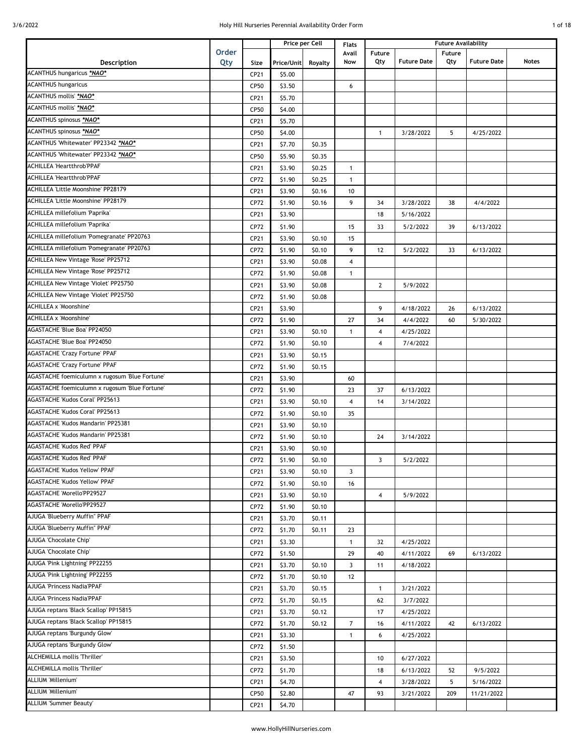|  | of 18 |
|--|-------|
|  |       |

|                                                |              |              |                  | Price per Cell   | Flats          | <b>Future Availability</b> |                    |               |                    |              |
|------------------------------------------------|--------------|--------------|------------------|------------------|----------------|----------------------------|--------------------|---------------|--------------------|--------------|
|                                                | <b>Order</b> |              |                  |                  | Avail          | Future                     | <b>Future Date</b> | <b>Future</b> |                    | <b>Notes</b> |
| Description<br>ACANTHUS hungaricus *NAO*       | Qty          | Size         | Price/Unit       | Royalty          | Now            | Qty                        |                    | Qty           | <b>Future Date</b> |              |
| <b>ACANTHUS hungaricus</b>                     |              | CP21         | \$5.00           |                  |                |                            |                    |               |                    |              |
| ACANTHUS mollis' *NAO*                         |              | CP50         | \$3.50           |                  | 6              |                            |                    |               |                    |              |
| ACANTHUS mollis' *NAO*                         |              | CP21         | \$5.70           |                  |                |                            |                    |               |                    |              |
| ACANTHUS spinosus *NAO*                        |              | CP50         | \$4.00           |                  |                |                            |                    |               |                    |              |
| ACANTHUS spinosus *NAO*                        |              | CP21         | \$5.70           |                  |                |                            |                    | 5             |                    |              |
| ACANTHUS 'Whitewater' PP23342 *NAO*            |              | CP50<br>CP21 | \$4.00           | \$0.35           |                | $\mathbf{1}$               | 3/28/2022          |               | 4/25/2022          |              |
| ACANTHUS 'Whitewater' PP23342 *NAO*            |              |              | \$7.70           |                  |                |                            |                    |               |                    |              |
| <b>ACHILLEA 'Heartthrob'PPAF</b>               |              | CP50<br>CP21 | \$5.90<br>\$3.90 | \$0.35<br>\$0.25 | $\mathbf{1}$   |                            |                    |               |                    |              |
| <b>ACHILLEA 'Heartthrob'PPAF</b>               |              | CP72         | \$1.90           | \$0.25           | $\mathbf{1}$   |                            |                    |               |                    |              |
| ACHILLEA 'Little Moonshine' PP28179            |              | CP21         | \$3.90           | \$0.16           | 10             |                            |                    |               |                    |              |
| ACHILLEA 'Little Moonshine' PP28179            |              | CP72         | \$1.90           | \$0.16           | 9              | 34                         | 3/28/2022          | 38            | 4/4/2022           |              |
| ACHILLEA millefolium 'Paprika'                 |              | CP21         | \$3.90           |                  |                | 18                         | 5/16/2022          |               |                    |              |
| ACHILLEA millefolium 'Paprika'                 |              | CP72         | \$1.90           |                  | 15             | 33                         | 5/2/2022           | 39            | 6/13/2022          |              |
| ACHILLEA millefolium 'Pomegranate' PP20763     |              | CP21         | \$3.90           | \$0.10           | 15             |                            |                    |               |                    |              |
| ACHILLEA millefolium 'Pomegranate' PP20763     |              | CP72         | \$1.90           | \$0.10           | 9              | 12                         | 5/2/2022           | 33            | 6/13/2022          |              |
| <b>ACHILLEA New Vintage 'Rose' PP25712</b>     |              | CP21         | \$3.90           | \$0.08           | 4              |                            |                    |               |                    |              |
| <b>ACHILLEA New Vintage 'Rose' PP25712</b>     |              | CP72         | \$1.90           | \$0.08           | $\mathbf{1}$   |                            |                    |               |                    |              |
| ACHILLEA New Vintage 'Violet' PP25750          |              | CP21         | \$3.90           | \$0.08           |                | $\mathbf{2}$               | 5/9/2022           |               |                    |              |
| ACHILLEA New Vintage 'Violet' PP25750          |              | CP72         | \$1.90           | \$0.08           |                |                            |                    |               |                    |              |
| <b>ACHILLEA x 'Moonshine'</b>                  |              | CP21         | \$3.90           |                  |                | 9                          | 4/18/2022          | 26            | 6/13/2022          |              |
| ACHILLEA x 'Moonshine'                         |              | CP72         | \$1.90           |                  | 27             | 34                         | 4/4/2022           | 60            | 5/30/2022          |              |
| AGASTACHE 'Blue Boa' PP24050                   |              | CP21         | \$3.90           | \$0.10           | $\mathbf{1}$   | 4                          | 4/25/2022          |               |                    |              |
| AGASTACHE 'Blue Boa' PP24050                   |              | CP72         | \$1.90           | \$0.10           |                | 4                          | 7/4/2022           |               |                    |              |
| <b>AGASTACHE 'Crazy Fortune' PPAF</b>          |              | CP21         | \$3.90           | \$0.15           |                |                            |                    |               |                    |              |
| <b>AGASTACHE 'Crazy Fortune' PPAF</b>          |              | CP72         | \$1.90           | \$0.15           |                |                            |                    |               |                    |              |
| AGASTACHE foemiculumn x rugosum 'Blue Fortune' |              | CP21         | \$3.90           |                  | 60             |                            |                    |               |                    |              |
| AGASTACHE foemiculumn x rugosum 'Blue Fortune' |              | CP72         | \$1.90           |                  | 23             | 37                         | 6/13/2022          |               |                    |              |
| AGASTACHE 'Kudos Coral' PP25613                |              | CP21         | \$3.90           | \$0.10           | 4              | 14                         | 3/14/2022          |               |                    |              |
| <b>AGASTACHE 'Kudos Coral' PP25613</b>         |              | CP72         | \$1.90           | \$0.10           | 35             |                            |                    |               |                    |              |
| AGASTACHE 'Kudos Mandarin' PP25381             |              | CP21         | \$3.90           | \$0.10           |                |                            |                    |               |                    |              |
| AGASTACHE 'Kudos Mandarin' PP25381             |              | CP72         | \$1.90           | \$0.10           |                | 24                         | 3/14/2022          |               |                    |              |
| <b>AGASTACHE 'Kudos Red' PPAF</b>              |              | CP21         | \$3.90           | \$0.10           |                |                            |                    |               |                    |              |
| <b>AGASTACHE 'Kudos Red' PPAF</b>              |              | CP72         | \$1.90           | \$0.10           |                | 3                          | 5/2/2022           |               |                    |              |
| <b>AGASTACHE 'Kudos Yellow' PPAF</b>           |              | CP21         | \$3.90           | \$0.10           | 3              |                            |                    |               |                    |              |
| AGASTACHE 'Kudos Yellow' PPAF                  |              | CP72         | \$1.90           | \$0.10           | 16             |                            |                    |               |                    |              |
| AGASTACHE 'Morello'PP29527                     |              | CP21         | \$3.90           | \$0.10           |                | $\overline{4}$             | 5/9/2022           |               |                    |              |
| AGASTACHE 'Morello'PP29527                     |              | CP72         | \$1.90           | \$0.10           |                |                            |                    |               |                    |              |
| AJUGA 'Blueberry Muffin" PPAF                  |              | CP21         | \$3.70           | \$0.11           |                |                            |                    |               |                    |              |
| AJUGA 'Blueberry Muffin" PPAF                  |              | CP72         | \$1.70           | \$0.11           | 23             |                            |                    |               |                    |              |
| AJUGA 'Chocolate Chip'                         |              | CP21         | \$3.30           |                  | $\mathbf{1}$   | 32                         | 4/25/2022          |               |                    |              |
| AJUGA 'Chocolate Chip'                         |              | CP72         | \$1.50           |                  | 29             | 40                         | 4/11/2022          | 69            | 6/13/2022          |              |
| AJUGA 'Pink Lightning' PP22255                 |              | CP21         | \$3.70           | \$0.10           | 3              | 11                         | 4/18/2022          |               |                    |              |
| AJUGA 'Pink Lightning' PP22255                 |              | CP72         | \$1.70           | \$0.10           | 12             |                            |                    |               |                    |              |
| AJUGA 'Princess Nadia'PPAF                     |              | CP21         | \$3.70           | \$0.15           |                | $\mathbf{1}$               | 3/21/2022          |               |                    |              |
| AJUGA 'Princess Nadia'PPAF                     |              | CP72         | \$1.70           | \$0.15           |                | 62                         | 3/7/2022           |               |                    |              |
| AJUGA reptans 'Black Scallop' PP15815          |              | CP21         | \$3.70           | \$0.12           |                | 17                         | 4/25/2022          |               |                    |              |
| AJUGA reptans 'Black Scallop' PP15815          |              | CP72         | \$1.70           | \$0.12           | $\overline{7}$ | 16                         | 4/11/2022          | 42            | 6/13/2022          |              |
| AJUGA reptans 'Burgundy Glow'                  |              | CP21         | \$3.30           |                  | $\mathbf{1}$   | 6                          | 4/25/2022          |               |                    |              |
| AJUGA reptans 'Burgundy Glow'                  |              | CP72         | \$1.50           |                  |                |                            |                    |               |                    |              |
| ALCHEMILLA mollis 'Thriller'                   |              | CP21         | \$3.50           |                  |                | 10                         | 6/27/2022          |               |                    |              |
| ALCHEMILLA mollis 'Thriller'                   |              | CP72         | \$1.70           |                  |                | 18                         | 6/13/2022          | 52            | 9/5/2022           |              |
| ALLIUM 'Millenium'                             |              | CP21         | \$4.70           |                  |                | $\overline{\mathbf{4}}$    | 3/28/2022          | 5             | 5/16/2022          |              |
| ALLIUM 'Millenium'                             |              | CP50         | \$2.80           |                  | 47             | 93                         | 3/21/2022          | 209           | 11/21/2022         |              |
| <b>ALLIUM 'Summer Beauty'</b>                  |              | CP21         | \$4.70           |                  |                |                            |                    |               |                    |              |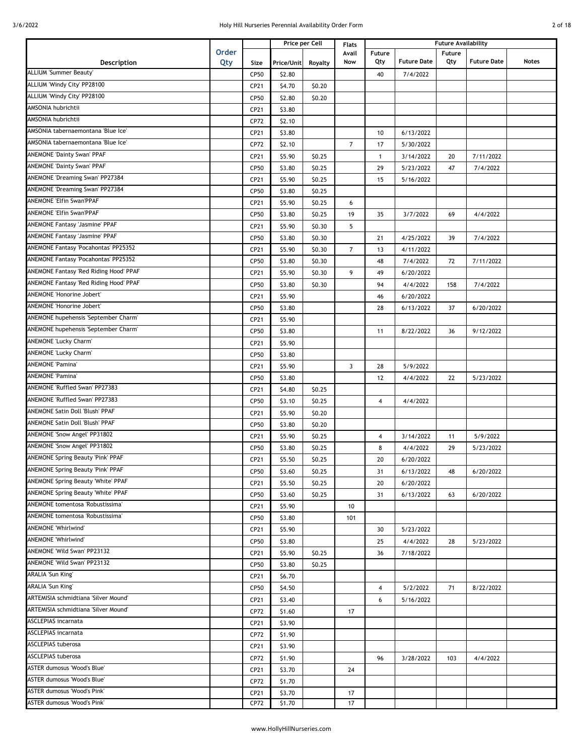| 2 of 18 |  |
|---------|--|
|         |  |

|                                             |              |             |            | Price per Cell | <b>Flats</b>   | <b>Future Availability</b> |                    |        |                    |              |
|---------------------------------------------|--------------|-------------|------------|----------------|----------------|----------------------------|--------------------|--------|--------------------|--------------|
|                                             | <b>Order</b> |             |            |                | Avail          | <b>Future</b>              |                    | Future |                    |              |
| Description                                 | Qty          | Size        | Price/Unit | Royalty        | Now            | Qty                        | <b>Future Date</b> | Qty    | <b>Future Date</b> | <b>Notes</b> |
| <b>ALLIUM 'Summer Beauty'</b>               |              | CP50        | \$2.80     |                |                | 40                         | 7/4/2022           |        |                    |              |
| ALLIUM 'Windy City' PP28100                 |              | CP21        | \$4.70     | \$0.20         |                |                            |                    |        |                    |              |
| ALLIUM 'Windy City' PP28100                 |              | CP50        | \$2.80     | \$0.20         |                |                            |                    |        |                    |              |
| AMSONIA hubrichtii                          |              | CP21        | \$3.80     |                |                |                            |                    |        |                    |              |
| AMSONIA hubrichtii                          |              | CP72        | \$2.10     |                |                |                            |                    |        |                    |              |
| AMSONIA tabernaemontana 'Blue Ice'          |              | CP21        | \$3.80     |                |                | 10                         | 6/13/2022          |        |                    |              |
| AMSONIA tabernaemontana Blue Ice'           |              | CP72        | \$2.10     |                | $\overline{7}$ | 17                         | 5/30/2022          |        |                    |              |
| <b>ANEMONE 'Dainty Swan' PPAF</b>           |              | CP21        | \$5.90     | \$0.25         |                | $\mathbf{1}$               | 3/14/2022          | 20     | 7/11/2022          |              |
| <b>ANEMONE 'Dainty Swan' PPAF</b>           |              | CP50        | \$3.80     | \$0.25         |                | 29                         | 5/23/2022          | 47     | 7/4/2022           |              |
| ANEMONE 'Dreaming Swan' PP27384             |              | CP21        | \$5.90     | \$0.25         |                | 15                         | 5/16/2022          |        |                    |              |
| ANEMONE 'Dreaming Swan' PP27384             |              | CP50        | \$3.80     | \$0.25         |                |                            |                    |        |                    |              |
| <b>ANEMONE 'Elfin Swan'PPAF</b>             |              | CP21        | \$5.90     | \$0.25         | 6              |                            |                    |        |                    |              |
| <b>ANEMONE 'Elfin Swan'PPAF</b>             |              | CP50        | \$3.80     | \$0.25         | 19             | 35                         | 3/7/2022           | 69     | 4/4/2022           |              |
| <b>ANEMONE Fantasy 'Jasmine' PPAF</b>       |              | CP21        | \$5.90     | \$0.30         | 5              |                            |                    |        |                    |              |
| <b>ANEMONE Fantasy 'Jasmine' PPAF</b>       |              | CP50        | \$3.80     | \$0.30         |                | 21                         | 4/25/2022          | 39     | 7/4/2022           |              |
| ANEMONE Fantasy 'Pocahontas' PP25352        |              | CP21        | \$5.90     | \$0.30         | $\overline{7}$ | 13                         | 4/11/2022          |        |                    |              |
| <b>ANEMONE Fantasy 'Pocahontas' PP25352</b> |              | CP50        | \$3.80     | \$0.30         |                | 48                         | 7/4/2022           | 72     | 7/11/2022          |              |
| ANEMONE Fantasy 'Red Riding Hood' PPAF      |              | CP21        | \$5.90     | \$0.30         | 9              | 49                         | 6/20/2022          |        |                    |              |
| ANEMONE Fantasy 'Red Riding Hood' PPAF      |              | CP50        | \$3.80     | \$0.30         |                | 94                         | 4/4/2022           | 158    | 7/4/2022           |              |
| ANEMONE 'Honorine Jobert'                   |              | CP21        | \$5.90     |                |                | 46                         | 6/20/2022          |        |                    |              |
| <b>ANEMONE 'Honorine Jobert'</b>            |              |             |            |                |                |                            |                    |        |                    |              |
| ANEMONE hupehensis 'September Charm'        |              | CP50        | \$3.80     |                |                | 28                         | 6/13/2022          | 37     | 6/20/2022          |              |
| ANEMONE hupehensis 'September Charm'        |              | CP21        | \$5.90     |                |                |                            |                    |        |                    |              |
| <b>ANEMONE 'Lucky Charm'</b>                |              | CP50        | \$3.80     |                |                | 11                         | 8/22/2022          | 36     | 9/12/2022          |              |
|                                             |              | CP21        | \$5.90     |                |                |                            |                    |        |                    |              |
| <b>ANEMONE 'Lucky Charm'</b>                |              | CP50        | \$3.80     |                |                |                            |                    |        |                    |              |
| <b>ANEMONE 'Pamina'</b>                     |              | CP21        | \$5.90     |                | $\overline{3}$ | 28                         | 5/9/2022           |        |                    |              |
| <b>ANEMONE 'Pamina'</b>                     |              | CP50        | \$3.80     |                |                | 12                         | 4/4/2022           | 22     | 5/23/2022          |              |
| ANEMONE 'Ruffled Swan' PP27383              |              | CP21        | \$4.80     | \$0.25         |                |                            |                    |        |                    |              |
| ANEMONE 'Ruffled Swan' PP27383              |              | CP50        | \$3.10     | \$0.25         |                | 4                          | 4/4/2022           |        |                    |              |
| ANEMONE Satin Doll 'Blush' PPAF             |              | CP21        | \$5.90     | \$0.20         |                |                            |                    |        |                    |              |
| ANEMONE Satin Doll 'Blush' PPAF             |              | CP50        | \$3.80     | \$0.20         |                |                            |                    |        |                    |              |
| <b>ANEMONE 'Snow Angel' PP31802</b>         |              | CP21        | \$5.90     | \$0.25         |                | 4                          | 3/14/2022          | 11     | 5/9/2022           |              |
| ANEMONE 'Snow Angel' PP31802                |              | CP50        | \$3.80     | \$0.25         |                | 8                          | 4/4/2022           | 29     | 5/23/2022          |              |
| <b>ANEMONE Spring Beauty 'Pink' PPAF</b>    |              | CP21        | \$5.50     | \$0.25         |                | 20                         | 6/20/2022          |        |                    |              |
| <b>ANEMONE Spring Beauty 'Pink' PPAF</b>    |              | <b>CP50</b> | \$3.60     | \$0.25         |                | 31                         | 6/13/2022          | 48     | 6/20/2022          |              |
| ANEMONE Spring Beauty 'White' PPAF          |              | CP21        | \$5.50     | \$0.25         |                | 20                         | 6/20/2022          |        |                    |              |
| ANEMONE Spring Beauty 'White' PPAF          |              | CP50        | \$3.60     | \$0.25         |                | 31                         | 6/13/2022          | 63     | 6/20/2022          |              |
| ANEMONE tomentosa 'Robustissima'            |              | CP21        | \$5.90     |                | 10             |                            |                    |        |                    |              |
| ANEMONE tomentosa 'Robustissima'            |              | CP50        | \$3.80     |                | 101            |                            |                    |        |                    |              |
| <b>ANEMONE 'Whirlwind'</b>                  |              | CP21        | \$5.90     |                |                | 30                         | 5/23/2022          |        |                    |              |
| ANEMONE 'Whirlwind'                         |              | CP50        | \$3.80     |                |                | 25                         | 4/4/2022           | 28     | 5/23/2022          |              |
| ANEMONE 'Wild Swan' PP23132                 |              | CP21        | \$5.90     | \$0.25         |                | 36                         | 7/18/2022          |        |                    |              |
| ANEMONE 'Wild Swan' PP23132                 |              | CP50        | \$3.80     | \$0.25         |                |                            |                    |        |                    |              |
| ARALIA 'Sun King'                           |              | CP21        | \$6.70     |                |                |                            |                    |        |                    |              |
| <b>ARALIA 'Sun King'</b>                    |              | <b>CP50</b> | \$4.50     |                |                | $\overline{4}$             | 5/2/2022           | 71     | 8/22/2022          |              |
| ARTEMISIA schmidtiana 'Silver Mound'        |              | CP21        | \$3.40     |                |                | 6                          | 5/16/2022          |        |                    |              |
| ARTEMISIA schmidtiana 'Silver Mound'        |              | CP72        | \$1.60     |                | 17             |                            |                    |        |                    |              |
| <b>ASCLEPIAS incarnata</b>                  |              | CP21        | \$3.90     |                |                |                            |                    |        |                    |              |
| <b>ASCLEPIAS incarnata</b>                  |              |             |            |                |                |                            |                    |        |                    |              |
| <b>ASCLEPIAS tuberosa</b>                   |              | CP72        | \$1.90     |                |                |                            |                    |        |                    |              |
| <b>ASCLEPIAS tuberosa</b>                   |              | CP21        | \$3.90     |                |                |                            |                    |        |                    |              |
| <b>ASTER dumosus 'Wood's Blue'</b>          |              | CP72        | \$1.90     |                |                | 96                         | 3/28/2022          | 103    | 4/4/2022           |              |
| ASTER dumosus 'Wood's Blue'                 |              | CP21        | \$3.70     |                | 24             |                            |                    |        |                    |              |
|                                             |              | CP72        | \$1.70     |                |                |                            |                    |        |                    |              |
| ASTER dumosus 'Wood's Pink'                 |              | CP21        | \$3.70     |                | 17             |                            |                    |        |                    |              |
| ASTER dumosus 'Wood's Pink'                 |              | CP72        | \$1.70     |                | 17             |                            |                    |        |                    |              |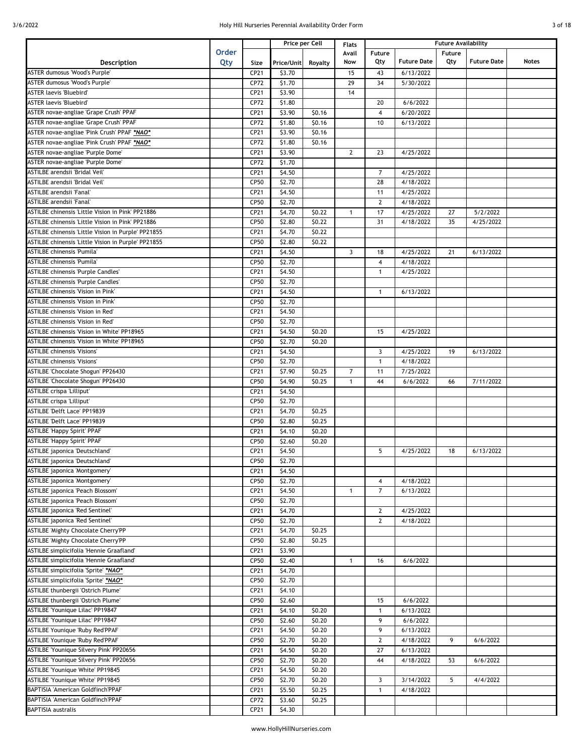| 3 of 18 |  |
|---------|--|
|         |  |

|                                                     |              |      |            | Price per Cell | Flats        | <b>Future Availability</b> |                    |               |                    |              |
|-----------------------------------------------------|--------------|------|------------|----------------|--------------|----------------------------|--------------------|---------------|--------------------|--------------|
|                                                     | <b>Order</b> |      |            |                | Avail        | <b>Future</b>              |                    | <b>Future</b> |                    |              |
| Description                                         | Qty          | Size | Price/Unit | Royalty        | Now          | Qty                        | <b>Future Date</b> | Qty           | <b>Future Date</b> | <b>Notes</b> |
| ASTER dumosus 'Wood's Purple'                       |              | CP21 | \$3.70     |                | 15           | 43                         | 6/13/2022          |               |                    |              |
| ASTER dumosus 'Wood's Purple'                       |              | CP72 | \$1.70     |                | 29           | 34                         | 5/30/2022          |               |                    |              |
| <b>ASTER laevis 'Bluebird'</b>                      |              | CP21 | \$3.90     |                | 14           |                            |                    |               |                    |              |
| <b>ASTER laevis 'Bluebird'</b>                      |              | CP72 | \$1.80     |                |              | 20                         | 6/6/2022           |               |                    |              |
| <b>ASTER novae-angliae 'Grape Crush' PPAF</b>       |              | CP21 | \$3.90     | \$0.16         |              | $\overline{4}$             | 6/20/2022          |               |                    |              |
| <b>ASTER novae-angliae 'Grape Crush' PPAF</b>       |              | CP72 | \$1.80     | \$0.16         |              | 10                         | 6/13/2022          |               |                    |              |
| ASTER novae-angliae 'Pink Crush' PPAF *NAO*         |              | CP21 | \$3.90     | \$0.16         |              |                            |                    |               |                    |              |
| ASTER novae-angliae 'Pink Crush' PPAF *NAO*         |              | CP72 | \$1.80     | \$0.16         |              |                            |                    |               |                    |              |
| ASTER novae-angliae 'Purple Dome'                   |              | CP21 | \$3.90     |                | $\mathbf{2}$ | 23                         | 4/25/2022          |               |                    |              |
| ASTER novae-angliae 'Purple Dome'                   |              | CP72 | \$1.70     |                |              |                            |                    |               |                    |              |
| ASTILBE arendsii 'Bridal Veil'                      |              | CP21 | \$4.50     |                |              | $\overline{7}$             | 4/25/2022          |               |                    |              |
| ASTILBE arendsii 'Bridal Veil'                      |              | CP50 | \$2.70     |                |              | 28                         | 4/18/2022          |               |                    |              |
| ASTILBE arendsii 'Fanal'                            |              | CP21 | \$4.50     |                |              | 11                         | 4/25/2022          |               |                    |              |
| ASTILBE arendsii 'Fanal'                            |              | CP50 | \$2.70     |                |              | $\mathbf{2}$               | 4/18/2022          |               |                    |              |
| ASTILBE chinensis 'Little Vision in Pink' PP21886   |              | CP21 | \$4.70     | \$0.22         | $\mathbf{1}$ | 17                         | 4/25/2022          | 27            | 5/2/2022           |              |
| ASTILBE chinensis 'Little Vision in Pink' PP21886   |              |      |            |                |              |                            |                    |               |                    |              |
|                                                     |              | CP50 | \$2.80     | \$0.22         |              | 31                         | 4/18/2022          | 35            | 4/25/2022          |              |
| ASTILBE chinensis 'Little Vision in Purple' PP21855 |              | CP21 | \$4.70     | \$0.22         |              |                            |                    |               |                    |              |
| ASTILBE chinensis 'Little Vision in Purple' PP21855 |              | CP50 | \$2.80     | \$0.22         |              |                            |                    |               |                    |              |
| <b>ASTILBE chinensis 'Pumila'</b>                   |              | CP21 | \$4.50     |                | 3            | 18                         | 4/25/2022          | 21            | 6/13/2022          |              |
| ASTILBE chinensis 'Pumila'                          |              | CP50 | \$2.70     |                |              | $\overline{4}$             | 4/18/2022          |               |                    |              |
| <b>ASTILBE chinensis 'Purple Candles'</b>           |              | CP21 | \$4.50     |                |              | $\mathbf{1}$               | 4/25/2022          |               |                    |              |
| <b>ASTILBE chinensis 'Purple Candles'</b>           |              | CP50 | \$2.70     |                |              |                            |                    |               |                    |              |
| ASTILBE chinensis 'Vision in Pink'                  |              | CP21 | \$4.50     |                |              | $\mathbf{1}$               | 6/13/2022          |               |                    |              |
| ASTILBE chinensis 'Vision in Pink'                  |              | CP50 | \$2.70     |                |              |                            |                    |               |                    |              |
| ASTILBE chinensis 'Vision in Red'                   |              | CP21 | \$4.50     |                |              |                            |                    |               |                    |              |
| ASTILBE chinensis 'Vision in Red'                   |              | CP50 | \$2.70     |                |              |                            |                    |               |                    |              |
| ASTILBE chinensis 'Vision in White' PP18965         |              | CP21 | \$4.50     | \$0.20         |              | 15                         | 4/25/2022          |               |                    |              |
| ASTILBE chinensis 'Vision in White' PP18965         |              | CP50 | \$2.70     | \$0.20         |              |                            |                    |               |                    |              |
| <b>ASTILBE chinensis 'Visions'</b>                  |              | CP21 | \$4.50     |                |              | 3                          | 4/25/2022          | 19            | 6/13/2022          |              |
| <b>ASTILBE chinensis 'Visions'</b>                  |              | CP50 | \$2.70     |                |              | $\mathbf{1}$               | 4/18/2022          |               |                    |              |
| ASTILBE 'Chocolate Shogun' PP26430                  |              | CP21 | \$7.90     | \$0.25         | 7            | 11                         | 7/25/2022          |               |                    |              |
| ASTILBE 'Chocolate Shogun' PP26430                  |              | CP50 | \$4.90     | \$0.25         | $\mathbf{1}$ | 44                         | 6/6/2022           | 66            | 7/11/2022          |              |
| <b>ASTILBE</b> crispa 'Lilliput'                    |              | CP21 | \$4.50     |                |              |                            |                    |               |                    |              |
| ASTILBE crispa 'Lilliput'                           |              | CP50 | \$2.70     |                |              |                            |                    |               |                    |              |
| <b>ASTILBE 'Delft Lace' PP19839</b>                 |              | CP21 | \$4.70     | \$0.25         |              |                            |                    |               |                    |              |
| ASTILBE 'Delft Lace' PP19839                        |              | CP50 | \$2.80     | \$0.25         |              |                            |                    |               |                    |              |
| <b>ASTILBE 'Happy Spirit' PPAF</b>                  |              | CP21 | \$4.10     | \$0.20         |              |                            |                    |               |                    |              |
| <b>ASTILBE 'Happy Spirit' PPAF</b>                  |              | CP50 | \$2.60     | \$0.20         |              |                            |                    |               |                    |              |
| ASTILBE japonica 'Deutschland'                      |              | CP21 | \$4.50     |                |              | 5                          | 4/25/2022          | 18            | 6/13/2022          |              |
| ASTILBE japonica 'Deutschland'                      |              | CP50 | \$2.70     |                |              |                            |                    |               |                    |              |
| ASTILBE japonica 'Montgomery'                       |              | CP21 | \$4.50     |                |              |                            |                    |               |                    |              |
| ASTILBE japonica 'Montgomery'                       |              | CP50 | \$2.70     |                |              | $\overline{4}$             | 4/18/2022          |               |                    |              |
| ASTILBE japonica 'Peach Blossom'                    |              | CP21 | \$4.50     |                | $\mathbf{1}$ | $\overline{7}$             | 6/13/2022          |               |                    |              |
| ASTILBE japonica 'Peach Blossom'                    |              | CP50 | \$2.70     |                |              |                            |                    |               |                    |              |
| ASTILBE japonica 'Red Sentinel'                     |              | CP21 | \$4.70     |                |              | $\overline{2}$             | 4/25/2022          |               |                    |              |
| ASTILBE japonica 'Red Sentinel'                     |              | CP50 | \$2.70     |                |              | $\mathbf{2}$               | 4/18/2022          |               |                    |              |
| <b>ASTILBE 'Mighty Chocolate Cherry'PP</b>          |              | CP21 | \$4.70     | \$0.25         |              |                            |                    |               |                    |              |
| ASTILBE 'Mighty Chocolate Cherry'PP                 |              | CP50 | \$2.80     | \$0.25         |              |                            |                    |               |                    |              |
| ASTILBE simplicifolia 'Hennie Graafland'            |              |      |            |                |              |                            |                    |               |                    |              |
|                                                     |              | CP21 | \$3.90     |                |              |                            |                    |               |                    |              |
| ASTILBE simplicifolia 'Hennie Graafland'            |              | CP50 | \$2.40     |                | $\mathbf{1}$ | 16                         | 6/6/2022           |               |                    |              |
| ASTILBE simplicifolia 'Sprite' *NAO*                |              | CP21 | \$4.70     |                |              |                            |                    |               |                    |              |
| ASTILBE simplicifolia 'Sprite' *NAO*                |              | CP50 | \$2.70     |                |              |                            |                    |               |                    |              |
| ASTILBE thunbergii 'Ostrich Plume'                  |              | CP21 | \$4.10     |                |              |                            |                    |               |                    |              |
| ASTILBE thunbergii 'Ostrich Plume'                  |              | CP50 | \$2.60     |                |              | 15                         | 6/6/2022           |               |                    |              |
| ASTILBE 'Younique Lilac' PP19847                    |              | CP21 | \$4.10     | \$0.20         |              | $\mathbf{1}$               | 6/13/2022          |               |                    |              |
| ASTILBE 'Younique Lilac' PP19847                    |              | CP50 | \$2.60     | \$0.20         |              | 9                          | 6/6/2022           |               |                    |              |
| ASTILBE Younique 'Ruby Red'PPAF                     |              | CP21 | \$4.50     | \$0.20         |              | 9                          | 6/13/2022          |               |                    |              |
| <b>ASTILBE Younique 'Ruby Red'PPAF</b>              |              | CP50 | \$2.70     | \$0.20         |              | $\mathbf{2}$               | 4/18/2022          | 9             | 6/6/2022           |              |
| ASTILBE 'Younique Silvery Pink' PP20656             |              | CP21 | \$4.50     | \$0.20         |              | 27                         | 6/13/2022          |               |                    |              |
| ASTILBE 'Younique Silvery Pink' PP20656             |              | CP50 | \$2.70     | \$0.20         |              | 44                         | 4/18/2022          | 53            | 6/6/2022           |              |
| ASTILBE 'Younique White' PP19845                    |              | CP21 | \$4.50     | \$0.20         |              |                            |                    |               |                    |              |
| ASTILBE 'Younique White' PP19845                    |              | CP50 | \$2.70     | \$0.20         |              | 3                          | 3/14/2022          | 5             | 4/4/2022           |              |
| BAPTISIA 'American Goldfinch'PPAF                   |              | CP21 | \$5.50     | \$0.25         |              | $\mathbf{1}$               | 4/18/2022          |               |                    |              |
| BAPTISIA 'American Goldfinch'PPAF                   |              | CP72 | \$3.60     | \$0.25         |              |                            |                    |               |                    |              |
| <b>BAPTISIA</b> australis                           |              | CP21 | \$4.30     |                |              |                            |                    |               |                    |              |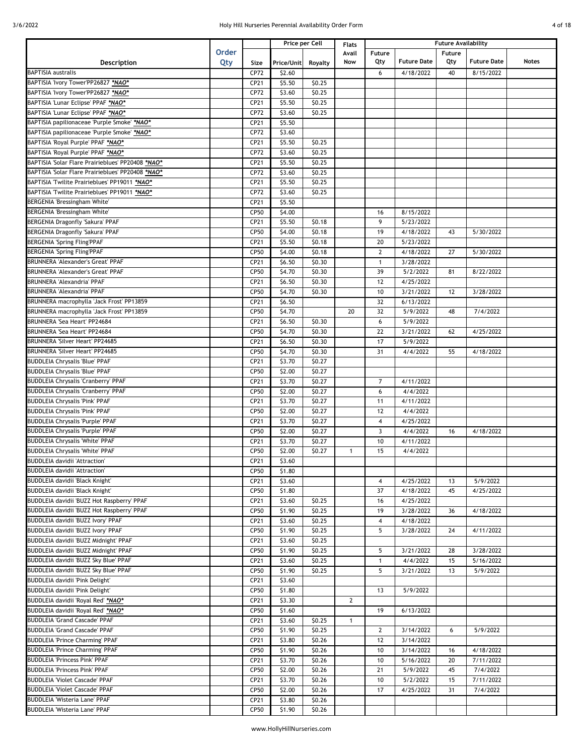| 4 of 18 |  |
|---------|--|
|         |  |

|                                                   |              |             |            | Price per Cell | <b>Flats</b>   |                | <b>Future Availability</b> |        |                    |       |  |
|---------------------------------------------------|--------------|-------------|------------|----------------|----------------|----------------|----------------------------|--------|--------------------|-------|--|
|                                                   | <b>Order</b> |             |            |                | Avail          | Future         |                            | Future |                    |       |  |
| <b>Description</b>                                | Qty          | Size        | Price/Unit | Royalty        | Now            | Qty            | <b>Future Date</b>         | Qty    | <b>Future Date</b> | Notes |  |
| <b>BAPTISIA australis</b>                         |              | CP72        | \$2.60     |                |                | 6              | 4/18/2022                  | 40     | 8/15/2022          |       |  |
| BAPTISIA 'Ivory Tower'PP26827 *NAO*               |              | CP21        | \$5.50     | \$0.25         |                |                |                            |        |                    |       |  |
| BAPTISIA 'Ivory Tower'PP26827 *NAO*               |              | CP72        | \$3.60     | \$0.25         |                |                |                            |        |                    |       |  |
| BAPTISIA 'Lunar Eclipse' PPAF *NAO*               |              | CP21        | \$5.50     | \$0.25         |                |                |                            |        |                    |       |  |
| BAPTISIA 'Lunar Eclipse' PPAF *NAO*               |              | CP72        | \$3.60     | \$0.25         |                |                |                            |        |                    |       |  |
| BAPTISIA papilionaceae 'Purple Smoke' *NAO*       |              | CP21        | \$5.50     |                |                |                |                            |        |                    |       |  |
| BAPTISIA papilionaceae 'Purple Smoke' *NAO*       |              | CP72        | \$3.60     |                |                |                |                            |        |                    |       |  |
|                                                   |              |             |            |                |                |                |                            |        |                    |       |  |
| BAPTISIA 'Royal Purple' PPAF *NAO*                |              | CP21        | \$5.50     | \$0.25         |                |                |                            |        |                    |       |  |
| BAPTISIA 'Royal Purple' PPAF *NAO*                |              | CP72        | \$3.60     | \$0.25         |                |                |                            |        |                    |       |  |
| BAPTISIA 'Solar Flare Prairieblues' PP20408 *NAO* |              | CP21        | \$5.50     | \$0.25         |                |                |                            |        |                    |       |  |
| BAPTISIA 'Solar Flare Prairieblues' PP20408 *NAO* |              | CP72        | \$3.60     | \$0.25         |                |                |                            |        |                    |       |  |
| BAPTISIA Twilite Prairieblues' PP19011 *NAO*      |              | CP21        | \$5.50     | \$0.25         |                |                |                            |        |                    |       |  |
| BAPTISIA Twilite Prairieblues' PP19011 *NAO*      |              | CP72        | \$3.60     | \$0.25         |                |                |                            |        |                    |       |  |
| BERGENIA 'Bressingham White'                      |              | CP21        | \$5.50     |                |                |                |                            |        |                    |       |  |
| BERGENIA 'Bressingham White'                      |              | CP50        | \$4.00     |                |                | 16             | 8/15/2022                  |        |                    |       |  |
| BERGENIA Dragonfly 'Sakura' PPAF                  |              | CP21        | \$5.50     | \$0.18         |                | 9              | 5/23/2022                  |        |                    |       |  |
| BERGENIA Dragonfly 'Sakura' PPAF                  |              | CP50        | \$4.00     | \$0.18         |                | 19             | 4/18/2022                  | 43     | 5/30/2022          |       |  |
| <b>BERGENIA 'Spring Fling'PPAF</b>                |              | CP21        | \$5.50     | \$0.18         |                | 20             | 5/23/2022                  |        |                    |       |  |
| <b>BERGENIA 'Spring Fling'PPAF</b>                |              | CP50        | \$4.00     | \$0.18         |                | $\overline{2}$ | 4/18/2022                  | 27     | 5/30/2022          |       |  |
| <b>BRUNNERA 'Alexander's Great' PPAF</b>          |              | CP21        | \$6.50     | \$0.30         |                | $\mathbf{1}$   | 3/28/2022                  |        |                    |       |  |
|                                                   |              |             |            |                |                |                |                            |        |                    |       |  |
| <b>BRUNNERA 'Alexander's Great' PPAF</b>          |              | CP50        | \$4.70     | \$0.30         |                | 39             | 5/2/2022                   | 81     | 8/22/2022          |       |  |
| <b>BRUNNERA 'Alexandria' PPAF</b>                 |              | CP21        | \$6.50     | \$0.30         |                | 12             | 4/25/2022                  |        |                    |       |  |
| <b>BRUNNERA 'Alexandria' PPAF</b>                 |              | CP50        | \$4.70     | \$0.30         |                | 10             | 3/21/2022                  | 12     | 3/28/2022          |       |  |
| BRUNNERA macrophylla 'Jack Frost' PP13859         |              | CP21        | \$6.50     |                |                | 32             | 6/13/2022                  |        |                    |       |  |
| BRUNNERA macrophylla 'Jack Frost' PP13859         |              | CP50        | \$4.70     |                | 20             | 32             | 5/9/2022                   | 48     | 7/4/2022           |       |  |
| BRUNNERA 'Sea Heart' PP24684                      |              | CP21        | \$6.50     | \$0.30         |                | 6              | 5/9/2022                   |        |                    |       |  |
| BRUNNERA 'Sea Heart' PP24684                      |              | CP50        | \$4.70     | \$0.30         |                | 22             | 3/21/2022                  | 62     | 4/25/2022          |       |  |
| <b>BRUNNERA 'Silver Heart' PP24685</b>            |              | CP21        | \$6.50     | \$0.30         |                | 17             | 5/9/2022                   |        |                    |       |  |
| <b>BRUNNERA 'Silver Heart' PP24685</b>            |              | CP50        | \$4.70     | \$0.30         |                | 31             | 4/4/2022                   | 55     | 4/18/2022          |       |  |
| <b>BUDDLEIA Chrysalis 'Blue' PPAF</b>             |              | CP21        | \$3.70     | \$0.27         |                |                |                            |        |                    |       |  |
| <b>BUDDLEIA Chrysalis 'Blue' PPAF</b>             |              | CP50        | \$2.00     | \$0.27         |                |                |                            |        |                    |       |  |
| <b>BUDDLEIA Chrysalis 'Cranberry' PPAF</b>        |              | CP21        | \$3.70     | \$0.27         |                | $\overline{7}$ | 4/11/2022                  |        |                    |       |  |
| <b>BUDDLEIA Chrysalis 'Cranberry' PPAF</b>        |              | CP50        | \$2.00     | \$0.27         |                | 6              | 4/4/2022                   |        |                    |       |  |
|                                                   |              |             |            |                |                |                |                            |        |                    |       |  |
| <b>BUDDLEIA Chrysalis 'Pink' PPAF</b>             |              | CP21        | \$3.70     | \$0.27         |                | 11             | 4/11/2022                  |        |                    |       |  |
| <b>BUDDLEIA Chrysalis 'Pink' PPAF</b>             |              | CP50        | \$2.00     | \$0.27         |                | 12             | 4/4/2022                   |        |                    |       |  |
| <b>BUDDLEIA Chrysalis 'Purple' PPAF</b>           |              | CP21        | \$3.70     | \$0.27         |                | 4              | 4/25/2022                  |        |                    |       |  |
| <b>BUDDLEIA Chrysalis 'Purple' PPAF</b>           |              | CP50        | \$2.00     | \$0.27         |                | 3              | 4/4/2022                   | 16     | 4/18/2022          |       |  |
| <b>BUDDLEIA Chrysalis 'White' PPAF</b>            |              | CP21        | \$3.70     | \$0.27         |                | 10             | 4/11/2022                  |        |                    |       |  |
| <b>BUDDLEIA Chrysalis 'White' PPAF</b>            |              | CP50        | \$2.00     | \$0.27         | $\mathbf{1}$   | 15             | 4/4/2022                   |        |                    |       |  |
| <b>BUDDLEIA davidii 'Attraction'</b>              |              | CP21        | \$3.60     |                |                |                |                            |        |                    |       |  |
| <b>BUDDLEIA davidii 'Attraction'</b>              |              | <b>CP50</b> | \$1.80     |                |                |                |                            |        |                    |       |  |
| BUDDLEIA davidii 'Black Knight'                   |              | CP21        | \$3.60     |                |                | 4              | 4/25/2022                  | 13     | 5/9/2022           |       |  |
| BUDDLEIA davidii 'Black Knight'                   |              | CP50        | \$1.80     |                |                | 37             | 4/18/2022                  | 45     | 4/25/2022          |       |  |
| BUDDLEIA davidii 'BUZZ Hot Raspberry' PPAF        |              | CP21        | \$3.60     | \$0.25         |                | 16             | 4/25/2022                  |        |                    |       |  |
| BUDDLEIA davidii 'BUZZ Hot Raspberry' PPAF        |              | CP50        | \$1.90     | \$0.25         |                | 19             | 3/28/2022                  | 36     | 4/18/2022          |       |  |
| BUDDLEIA davidii 'BUZZ Ivory' PPAF                |              | CP21        | \$3.60     | \$0.25         |                | 4              | 4/18/2022                  |        |                    |       |  |
| BUDDLEIA davidii 'BUZZ Ivory' PPAF                |              | CP50        |            |                |                | 5              | 3/28/2022                  |        | 4/11/2022          |       |  |
|                                                   |              |             | \$1.90     | \$0.25         |                |                |                            | 24     |                    |       |  |
| BUDDLEIA davidii 'BUZZ Midnight' PPAF             |              | CP21        | \$3.60     | \$0.25         |                |                |                            |        |                    |       |  |
| BUDDLEIA davidii 'BUZZ Midnight' PPAF             |              | CP50        | \$1.90     | \$0.25         |                | 5              | 3/21/2022                  | 28     | 3/28/2022          |       |  |
| BUDDLEIA davidii 'BUZZ Sky Blue' PPAF             |              | CP21        | \$3.60     | \$0.25         |                | $\mathbf{1}$   | 4/4/2022                   | 15     | 5/16/2022          |       |  |
| BUDDLEIA davidii 'BUZZ Sky Blue' PPAF             |              | CP50        | \$1.90     | \$0.25         |                | 5              | 3/21/2022                  | 13     | 5/9/2022           |       |  |
| BUDDLEIA davidii 'Pink Delight'                   |              | CP21        | \$3.60     |                |                |                |                            |        |                    |       |  |
| BUDDLEIA davidii 'Pink Delight'                   |              | CP50        | \$1.80     |                |                | 13             | 5/9/2022                   |        |                    |       |  |
| BUDDLEIA davidii 'Royal Red' *NAO*                |              | CP21        | \$3.30     |                | $\overline{2}$ |                |                            |        |                    |       |  |
| BUDDLEIA davidii 'Royal Red' *NAO*                |              | CP50        | \$1.60     |                |                | 19             | 6/13/2022                  |        |                    |       |  |
| <b>BUDDLEIA 'Grand Cascade' PPAF</b>              |              | CP21        | \$3.60     | \$0.25         | $\mathbf{1}$   |                |                            |        |                    |       |  |
| <b>BUDDLEIA 'Grand Cascade' PPAF</b>              |              | CP50        | \$1.90     | \$0.25         |                | $\overline{2}$ | 3/14/2022                  | 6      | 5/9/2022           |       |  |
| <b>BUDDLEIA 'Prince Charming' PPAF</b>            |              | CP21        | \$3.80     | \$0.26         |                | 12             | 3/14/2022                  |        |                    |       |  |
| <b>BUDDLEIA 'Prince Charming' PPAF</b>            |              | CP50        | \$1.90     | \$0.26         |                | 10             | 3/14/2022                  | 16     | 4/18/2022          |       |  |
| <b>BUDDLEIA 'Princess Pink' PPAF</b>              |              | CP21        | \$3.70     | \$0.26         |                | 10             | 5/16/2022                  | 20     | 7/11/2022          |       |  |
|                                                   |              |             |            |                |                |                |                            |        |                    |       |  |
| <b>BUDDLEIA 'Princess Pink' PPAF</b>              |              | CP50        | \$2.00     | \$0.26         |                | 21             | 5/9/2022                   | 45     | 7/4/2022           |       |  |
| <b>BUDDLEIA 'Violet Cascade' PPAF</b>             |              | CP21        | \$3.70     | \$0.26         |                | 10             | 5/2/2022                   | 15     | 7/11/2022          |       |  |
| <b>BUDDLEIA 'Violet Cascade' PPAF</b>             |              | CP50        | \$2.00     | \$0.26         |                | 17             | 4/25/2022                  | 31     | 7/4/2022           |       |  |
| <b>BUDDLEIA 'Wisteria Lane' PPAF</b>              |              | CP21        | \$3.80     | \$0.26         |                |                |                            |        |                    |       |  |
| BUDDLEIA 'Wisteria Lane' PPAF                     |              | CP50        | \$1.90     | \$0.26         |                |                |                            |        |                    |       |  |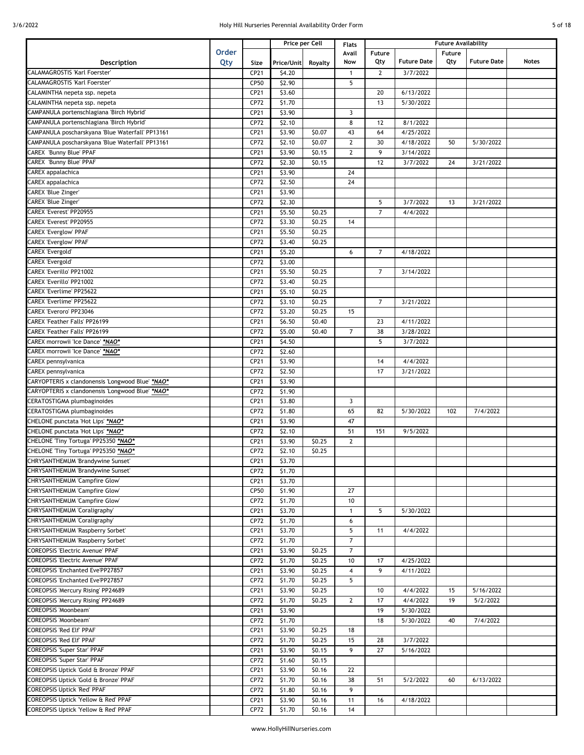| ΩТ | 18 |
|----|----|

|                                                  |              |      |                  | Price per Cell |                | <b>Future Availability</b><br><b>Flats</b> |                    |        |                    |       |
|--------------------------------------------------|--------------|------|------------------|----------------|----------------|--------------------------------------------|--------------------|--------|--------------------|-------|
|                                                  | <b>Order</b> |      |                  |                | Avail          | Future                                     |                    | Future |                    |       |
| Description                                      | Qty          | Size | Price/Unit       | Royalty        | Now            | Qty                                        | <b>Future Date</b> | Qty    | <b>Future Date</b> | Notes |
| <b>CALAMAGROSTIS 'Karl Foerster'</b>             |              | CP21 | \$4.20           |                | 1              | $\overline{2}$                             | 3/7/2022           |        |                    |       |
| CALAMAGROSTIS 'Karl Foerster'                    |              | CP50 | \$2.90           |                | 5              |                                            |                    |        |                    |       |
| CALAMINTHA nepeta ssp. nepeta                    |              | CP21 | \$3.60           |                |                | 20                                         | 6/13/2022          |        |                    |       |
| CALAMINTHA nepeta ssp. nepeta                    |              | CP72 | \$1.70           |                |                | 13                                         | 5/30/2022          |        |                    |       |
| CAMPANULA portenschlagiana 'Birch Hybrid'        |              |      |                  |                | $\overline{3}$ |                                            |                    |        |                    |       |
|                                                  |              | CP21 | \$3.90           |                |                |                                            |                    |        |                    |       |
| CAMPANULA portenschlagiana 'Birch Hybrid'        |              | CP72 | \$2.10           |                | 8              | 12                                         | 8/1/2022           |        |                    |       |
| CAMPANULA poscharskyana 'Blue Waterfall' PP13161 |              | CP21 | \$3.90           | \$0.07         | 43             | 64                                         | 4/25/2022          |        |                    |       |
| CAMPANULA poscharskyana 'Blue Waterfall' PP13161 |              | CP72 | \$2.10           | \$0.07         | $\mathbf{2}$   | 30                                         | 4/18/2022          | 50     | 5/30/2022          |       |
| <b>CAREX 'Bunny Blue' PPAF</b>                   |              | CP21 | \$3.90           | \$0.15         | $\overline{2}$ | 9                                          | 3/14/2022          |        |                    |       |
| <b>CAREX 'Bunny Blue' PPAF</b>                   |              | CP72 | \$2.30           | \$0.15         |                | 12                                         | 3/7/2022           | 24     | 3/21/2022          |       |
| CAREX appalachica                                |              | CP21 | \$3.90           |                | 24             |                                            |                    |        |                    |       |
| <b>CAREX</b> appalachica                         |              | CP72 | \$2.50           |                | 24             |                                            |                    |        |                    |       |
| <b>CAREX 'Blue Zinger'</b>                       |              | CP21 | 53.90            |                |                |                                            |                    |        |                    |       |
| <b>CAREX 'Blue Zinger'</b>                       |              | CP72 | \$2.30           |                |                | 5                                          | 3/7/2022           | 13     | 3/21/2022          |       |
| CAREX 'Everest' PP20955                          |              | CP21 | \$5.50           | \$0.25         |                | $\overline{7}$                             | 4/4/2022           |        |                    |       |
| <b>CAREX 'Everest' PP20955</b>                   |              | CP72 | \$3.30           | \$0.25         | 14             |                                            |                    |        |                    |       |
| <b>CAREX 'Everglow' PPAF</b>                     |              | CP21 | \$5.50           | \$0.25         |                |                                            |                    |        |                    |       |
| CAREX 'Everglow' PPAF                            |              |      |                  |                |                |                                            |                    |        |                    |       |
|                                                  |              | CP72 | \$3.40<br>\$5.20 | \$0.25         | 6              |                                            |                    |        |                    |       |
| CAREX 'Evergold'                                 |              | CP21 |                  |                |                | 7                                          | 4/18/2022          |        |                    |       |
| CAREX 'Evergold'                                 |              | CP72 | \$3.00           |                |                |                                            |                    |        |                    |       |
| CAREX 'Everillo' PP21002                         |              | CP21 | \$5.50           | \$0.25         |                | 7                                          | 3/14/2022          |        |                    |       |
| CAREX 'Everillo' PP21002                         |              | CP72 | \$3.40           | \$0.25         |                |                                            |                    |        |                    |       |
| <b>CAREX 'Everlime' PP25622</b>                  |              | CP21 | \$5.10           | \$0.25         |                |                                            |                    |        |                    |       |
| <b>CAREX 'Everlime' PP25622</b>                  |              | CP72 | \$3.10           | \$0.25         |                | 7                                          | 3/21/2022          |        |                    |       |
| <b>CAREX 'Everoro' PP23046</b>                   |              | CP72 | \$3.20           | \$0.25         | 15             |                                            |                    |        |                    |       |
| CAREX 'Feather Falls' PP26199                    |              | CP21 | \$6.50           | \$0.40         |                | 23                                         | 4/11/2022          |        |                    |       |
| <b>CAREX 'Feather Falls' PP26199</b>             |              | CP72 | \$5.00           | \$0.40         | $\overline{7}$ | 38                                         | 3/28/2022          |        |                    |       |
| "AREX morrowii 'Ice Dance' *NAO                  |              | CP21 | \$4.50           |                |                | 5                                          | 3/7/2022           |        |                    |       |
| "CAREX morrowii 'Ice Dance' *NAO                 |              | CP72 | \$2.60           |                |                |                                            |                    |        |                    |       |
| CAREX pennsylvanica                              |              | CP21 | \$3.90           |                |                | 14                                         | 4/4/2022           |        |                    |       |
| <b>CAREX pennsylvanica</b>                       |              | CP72 | \$2.50           |                |                | 17                                         | 3/21/2022          |        |                    |       |
| CARYOPTERIS x clandonensis 'Longwood Blue' *NAO* |              | CP21 | \$3.90           |                |                |                                            |                    |        |                    |       |
|                                                  |              |      |                  |                |                |                                            |                    |        |                    |       |
| CARYOPTERIS x clandonensis 'Longwood Blue' *NAO* |              | CP72 | \$1.90           |                |                |                                            |                    |        |                    |       |
| CERATOSTIGMA plumbaginoides                      |              | CP21 | \$3.80           |                | $\overline{3}$ |                                            |                    |        |                    |       |
| <b>ERATOSTIGMA</b> plumbaginoides                |              | CP72 | \$1.80           |                | 65             | 82                                         | 5/30/2022          | 102    | 7/4/2022           |       |
| "CHELONE punctata 'Hot Lips' *NAO                |              | CP21 | \$3.90           |                | 47             |                                            |                    |        |                    |       |
| CHELONE punctata 'Hot Lips' *NAO*                |              | CP72 | \$2.10           |                | 51             | 151                                        | 9/5/2022           |        |                    |       |
| CHELONE Tiny Tortuga' PP25350 *NAO*              |              | CP21 | \$3.90           | \$0.25         | $\mathbf{2}$   |                                            |                    |        |                    |       |
| HELONE Tiny Tortuga' PP25350 *NAO*               |              | CP72 | \$2.10           | \$0.25         |                |                                            |                    |        |                    |       |
| CHRYSANTHEMUM 'Brandywine Sunset'                |              | CP21 | \$3.70           |                |                |                                            |                    |        |                    |       |
| CHRYSANTHEMUM 'Brandywine Sunset'                |              | CP72 | \$1.70           |                |                |                                            |                    |        |                    |       |
| <b>CHRYSANTHEMUM 'Campfire Glow'</b>             |              | CP21 | \$3.70           |                |                |                                            |                    |        |                    |       |
| CHRYSANTHEMUM 'Campfire Glow'                    |              | CP50 | \$1.90           |                | 27             |                                            |                    |        |                    |       |
| <b>CHRYSANTHEMUM 'Campfire Glow'</b>             |              | CP72 | \$1.70           |                | 10             |                                            |                    |        |                    |       |
| CHRYSANTHEMUM 'Coraligraphy'                     |              | CP21 | \$3.70           |                | $\mathbf{1}$   | 5                                          | 5/30/2022          |        |                    |       |
|                                                  |              |      |                  |                |                |                                            |                    |        |                    |       |
| CHRYSANTHEMUM 'Coraligraphy'                     |              | CP72 | \$1.70           |                | 6              |                                            |                    |        |                    |       |
| CHRYSANTHEMUM 'Raspberry Sorbet'                 |              | CP21 | \$3.70           |                | 5              | 11                                         | 4/4/2022           |        |                    |       |
| CHRYSANTHEMUM 'Raspberry Sorbet'                 |              | CP72 | \$1.70           |                | $\overline{7}$ |                                            |                    |        |                    |       |
| <b>COREOPSIS 'Electric Avenue' PPAF</b>          |              | CP21 | \$3.90           | \$0.25         | $\overline{7}$ |                                            |                    |        |                    |       |
| <b>COREOPSIS 'Electric Avenue' PPAF</b>          |              | CP72 | \$1.70           | \$0.25         | 10             | 17                                         | 4/25/2022          |        |                    |       |
| <b>COREOPSIS 'Enchanted Eve'PP27857</b>          |              | CP21 | \$3.90           | \$0.25         | 4              | 9                                          | 4/11/2022          |        |                    |       |
| <b>COREOPSIS 'Enchanted Eve'PP27857</b>          |              | CP72 | \$1.70           | \$0.25         | 5              |                                            |                    |        |                    |       |
| <b>COREOPSIS 'Mercury Rising' PP24689</b>        |              | CP21 | \$3.90           | \$0.25         |                | 10                                         | 4/4/2022           | 15     | 5/16/2022          |       |
| <b>COREOPSIS 'Mercury Rising' PP24689</b>        |              | CP72 | \$1.70           | \$0.25         | $\mathbf{2}$   | 17                                         | 4/4/2022           | 19     | 5/2/2022           |       |
| <b>COREOPSIS 'Moonbeam'</b>                      |              | CP21 | \$3.90           |                |                | 19                                         | 5/30/2022          |        |                    |       |
| <b>COREOPSIS 'Moonbeam'</b>                      |              | CP72 | \$1.70           |                |                | 18                                         | 5/30/2022          | 40     | 7/4/2022           |       |
| COREOPSIS 'Red Elf' PPAF                         |              | CP21 | \$3.90           | \$0.25         | 18             |                                            |                    |        |                    |       |
| COREOPSIS 'Red Elf' PPAF                         |              | CP72 | \$1.70           | \$0.25         | 15             | 28                                         | 3/7/2022           |        |                    |       |
|                                                  |              |      |                  |                | 9              | 27                                         |                    |        |                    |       |
| <b>COREOPSIS 'Super Star' PPAF</b>               |              | CP21 | \$3.90           | \$0.15         |                |                                            | 5/16/2022          |        |                    |       |
| <b>COREOPSIS 'Super Star' PPAF</b>               |              | CP72 | \$1.60           | \$0.15         |                |                                            |                    |        |                    |       |
| COREOPSIS Uptick 'Gold & Bronze' PPAF            |              | CP21 | \$3.90           | \$0.16         | 22             |                                            |                    |        |                    |       |
| COREOPSIS Uptick 'Gold & Bronze' PPAF            |              | CP72 | \$1.70           | \$0.16         | 38             | 51                                         | 5/2/2022           | 60     | 6/13/2022          |       |
| <b>COREOPSIS Uptick 'Red' PPAF</b>               |              | CP72 | \$1.80           | \$0.16         | 9              |                                            |                    |        |                    |       |
| COREOPSIS Uptick 'Yellow & Red' PPAF             |              | CP21 | \$3.90           | \$0.16         | 11             | 16                                         | 4/18/2022          |        |                    |       |
| COREOPSIS Uptick 'Yellow & Red' PPAF             |              | CP72 | \$1.70           | \$0.16         | 14             |                                            |                    |        |                    |       |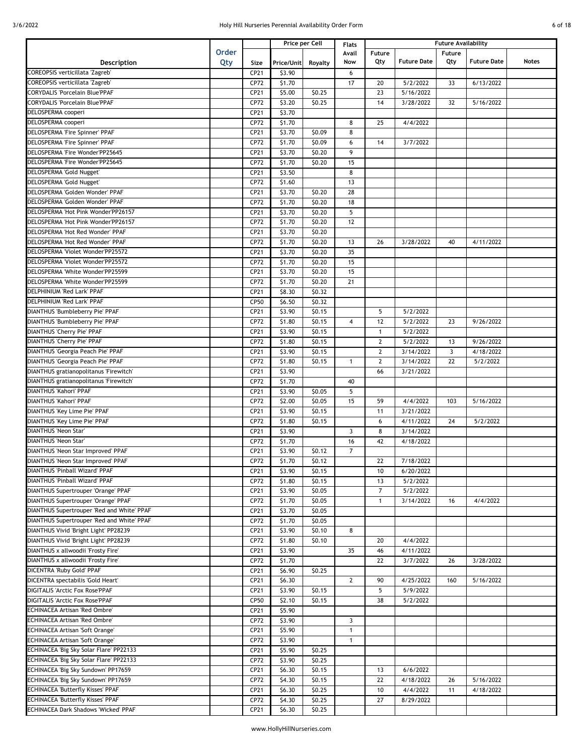| 6 of 18 |  |
|---------|--|
|         |  |

|                                                                    |       | Price per Cell |                  |                  | <b>Flats</b>   | <b>Future Availability</b> |                      |              |                    |       |
|--------------------------------------------------------------------|-------|----------------|------------------|------------------|----------------|----------------------------|----------------------|--------------|--------------------|-------|
|                                                                    | Order |                |                  |                  | Avail          | Future                     |                      | Future       |                    |       |
| Description                                                        | Qty   | Size           | Price/Unit       | Royalty          | Now            | Qty                        | <b>Future Date</b>   | Qty          | <b>Future Date</b> | Notes |
| COREOPSIS verticillata 'Zagreb'                                    |       | CP21           | \$3.90           |                  | 6              |                            |                      |              |                    |       |
| COREOPSIS verticillata 'Zagreb'                                    |       | CP72           | \$1.70           |                  | 17             | 20                         | 5/2/2022             | 33           | 6/13/2022          |       |
| <b>CORYDALIS 'Porcelain Blue'PPAF</b>                              |       | CP21           | \$5.00           | \$0.25           |                | 23                         | 5/16/2022            |              |                    |       |
| <b>CORYDALIS 'Porcelain Blue'PPAF</b>                              |       | CP72           | \$3.20           | \$0.25           |                | 14                         | 3/28/2022            | 32           | 5/16/2022          |       |
| DELOSPERMA cooperi                                                 |       | CP21           | \$3.70           |                  |                |                            |                      |              |                    |       |
| DELOSPERMA cooperi                                                 |       | CP72           | \$1.70           |                  | 8              | 25                         | 4/4/2022             |              |                    |       |
| DELOSPERMA 'Fire Spinner' PPAF                                     |       | CP21           | \$3.70           | \$0.09           | 8              |                            |                      |              |                    |       |
| DELOSPERMA 'Fire Spinner' PPAF                                     |       | CP72           | \$1.70           | \$0.09           | 6              | 14                         | 3/7/2022             |              |                    |       |
| DELOSPERMA 'Fire Wonder'PP25645                                    |       | CP21           | \$3.70           | \$0.20           | 9              |                            |                      |              |                    |       |
| DELOSPERMA 'Fire Wonder'PP25645                                    |       | CP72           | \$1.70           | \$0.20           | 15             |                            |                      |              |                    |       |
| <b>DELOSPERMA 'Gold Nugget'</b>                                    |       | CP21           | \$3.50           |                  | 8              |                            |                      |              |                    |       |
| DELOSPERMA 'Gold Nugget'                                           |       | CP72           | \$1.60           |                  | 13             |                            |                      |              |                    |       |
| DELOSPERMA 'Golden Wonder' PPAF                                    |       | CP21           | \$3.70           | \$0.20           | 28             |                            |                      |              |                    |       |
| DELOSPERMA 'Golden Wonder' PPAF                                    |       | CP72           | \$1.70           | \$0.20           | 18             |                            |                      |              |                    |       |
| DELOSPERMA 'Hot Pink Wonder'PP26157                                |       | CP21           | \$3.70           | \$0.20           | 5              |                            |                      |              |                    |       |
| DELOSPERMA 'Hot Pink Wonder'PP26157                                |       | CP72           | \$1.70           | \$0.20           | 12             |                            |                      |              |                    |       |
| DELOSPERMA 'Hot Red Wonder' PPAF                                   |       | CP21           | \$3.70           | \$0.20           |                |                            |                      |              |                    |       |
| DELOSPERMA 'Hot Red Wonder' PPAF                                   |       | CP72           | \$1.70           | \$0.20           | 13             | 26                         | 3/28/2022            | 40           | 4/11/2022          |       |
| DELOSPERMA 'Violet Wonder'PP25572                                  |       | CP21           | \$3.70           | \$0.20           | 35             |                            |                      |              |                    |       |
| DELOSPERMA 'Violet Wonder'PP25572                                  |       | CP72           | \$1.70           | \$0.20           | 15             |                            |                      |              |                    |       |
| DELOSPERMA 'White Wonder'PP25599                                   |       | CP21           | \$3.70           | \$0.20           | 15             |                            |                      |              |                    |       |
| DELOSPERMA 'White Wonder'PP25599                                   |       | CP72           | \$1.70           | \$0.20           | 21             |                            |                      |              |                    |       |
| DELPHINIUM 'Red Lark' PPAF                                         |       | CP21           | \$8.30           | \$0.32           |                |                            |                      |              |                    |       |
| DELPHINIUM 'Red Lark' PPAF                                         |       | CP50           | \$6.50           | \$0.32           |                |                            |                      |              |                    |       |
| DIANTHUS 'Bumbleberry Pie' PPAF                                    |       | CP21           | \$3.90           | \$0.15           |                | 5                          | 5/2/2022             |              |                    |       |
| DIANTHUS 'Bumbleberry Pie' PPAF                                    |       | CP72           | \$1.80           | \$0.15           | 4              | 12                         | 5/2/2022             | 23           | 9/26/2022          |       |
| <b>DIANTHUS 'Cherry Pie' PPAF</b>                                  |       | CP21           | 53.90            | \$0.15           |                | $\mathbf{1}$               | 5/2/2022             |              |                    |       |
| DIANTHUS 'Cherry Pie' PPAF                                         |       | CP72           | \$1.80           | \$0.15           |                | $\overline{2}$             | 5/2/2022             | 13           | 9/26/2022          |       |
| DIANTHUS 'Georgia Peach Pie' PPAF                                  |       | CP21           | \$3.90           | \$0.15           |                | $\overline{2}$             | 3/14/2022            | $\mathbf{3}$ | 4/18/2022          |       |
| DIANTHUS 'Georgia Peach Pie' PPAF                                  |       | CP72           | \$1.80           | \$0.15           | 1              | $\overline{2}$             | 3/14/2022            | 22           | 5/2/2022           |       |
| DIANTHUS gratianopolitanus 'Firewitch'                             |       | CP21           | \$3.90           |                  |                | 66                         | 3/21/2022            |              |                    |       |
| DIANTHUS gratianopolitanus 'Firewitch'                             |       | CP72           | \$1.70           |                  | 40             |                            |                      |              |                    |       |
| <b>DIANTHUS 'Kahori' PPAF</b>                                      |       | CP21           | 53.90            | \$0.05           | 5              |                            |                      |              |                    |       |
| DIANTHUS 'Kahori' PPAF                                             |       | CP72           | \$2.00           | \$0.05           | 15             | 59                         | 4/4/2022             | 103          | 5/16/2022          |       |
| DIANTHUS 'Key Lime Pie' PPAF                                       |       | CP21           | \$3.90           | \$0.15           |                | 11                         | 3/21/2022            |              |                    |       |
| DIANTHUS 'Key Lime Pie' PPAF                                       |       | CP72           | \$1.80           | \$0.15           |                | 6                          | 4/11/2022            | 24           | 5/2/2022           |       |
| <b>DIANTHUS 'Neon Star'</b>                                        |       | CP21           | \$3.90           |                  | 3              | 8                          | 3/14/2022            |              |                    |       |
| <b>DIANTHUS 'Neon Star'</b>                                        |       | CP72           | \$1.70           |                  | 16             | 42                         | 4/18/2022            |              |                    |       |
| DIANTHUS 'Neon Star Improved' PPAF                                 |       | CP21           | \$3.90           | \$0.12           | $\overline{7}$ |                            |                      |              |                    |       |
| DIANTHUS 'Neon Star Improved' PPAF                                 |       | CP72           | \$1.70           | \$0.12           |                | 22                         | 7/18/2022            |              |                    |       |
| DIANTHUS 'Pinball Wizard' PPAF                                     |       | CP21           | \$3.90           | \$0.15           |                | 10                         | 6/20/2022            |              |                    |       |
| DIANTHUS 'Pinball Wizard' PPAF                                     |       | CP72           | \$1.80           | \$0.15           |                | 13                         | 5/2/2022             |              |                    |       |
| DIANTHUS Supertrouper 'Orange' PPAF                                |       | CP21           | \$3.90           | \$0.05           |                | $\overline{7}$             | 5/2/2022             |              |                    |       |
| DIANTHUS Supertrouper 'Orange' PPAF                                |       | CP72           | \$1.70           | \$0.05           |                | $\mathbf{1}$               | 3/14/2022            | 16           | 4/4/2022           |       |
| DIANTHUS Supertrouper 'Red and White' PPAF                         |       | CP21           | \$3.70           | \$0.05           |                |                            |                      |              |                    |       |
| DIANTHUS Supertrouper 'Red and White' PPAF                         |       | CP72           | \$1.70           | \$0.05           |                |                            |                      |              |                    |       |
| DIANTHUS Vivid 'Bright Light' PP28239                              |       | CP21           | \$3.90           | \$0.10           | 8              |                            |                      |              |                    |       |
| DIANTHUS Vivid 'Bright Light' PP28239                              |       | CP72           | \$1.80           | \$0.10           |                | 20                         | 4/4/2022             |              |                    |       |
| DIANTHUS x allwoodii 'Frosty Fire'                                 |       | CP21           | \$3.90           |                  | 35             | 46                         | 4/11/2022            |              |                    |       |
| DIANTHUS x allwoodii 'Frosty Fire'                                 |       | CP72           | \$1.70           |                  |                | 22                         | 3/7/2022             | 26           | 3/28/2022          |       |
| DICENTRA 'Ruby Gold' PPAF                                          |       | CP21           | \$6.90           | \$0.25           |                |                            |                      |              |                    |       |
| DICENTRA spectabilis 'Gold Heart'                                  |       | CP21           | \$6.30           |                  | $\mathbf{2}$   | 90                         | 4/25/2022            | 160          | 5/16/2022          |       |
| DIGITALIS 'Arctic Fox Rose'PPAF<br>DIGITALIS 'Arctic Fox Rose'PPAF |       | CP21<br>CP50   | \$3.90<br>\$2.10 | \$0.15<br>\$0.15 |                | 5<br>38                    | 5/9/2022<br>5/2/2022 |              |                    |       |
| <b>ECHINACEA Artisan 'Red Ombre'</b>                               |       | CP21           | \$5.90           |                  |                |                            |                      |              |                    |       |
| <b>ECHINACEA Artisan 'Red Ombre'</b>                               |       | CP72           | \$3.90           |                  | 3              |                            |                      |              |                    |       |
| ECHINACEA Artisan 'Soft Orange'                                    |       | CP21           | \$5.90           |                  | 1              |                            |                      |              |                    |       |
| <b>ECHINACEA Artisan 'Soft Orange'</b>                             |       | CP72           | \$3.90           |                  | $\mathbf{1}$   |                            |                      |              |                    |       |
| ECHINACEA 'Big Sky Solar Flare' PP22133                            |       | CP21           | \$5.90           | \$0.25           |                |                            |                      |              |                    |       |
| ECHINACEA 'Big Sky Solar Flare' PP22133                            |       | CP72           | \$3.90           | \$0.25           |                |                            |                      |              |                    |       |
| ECHINACEA 'Big Sky Sundown' PP17659                                |       | CP21           | \$6.30           | \$0.15           |                | 13                         | 6/6/2022             |              |                    |       |
| ECHINACEA 'Big Sky Sundown' PP17659                                |       | CP72           | \$4.30           | \$0.15           |                | 22                         | 4/18/2022            | 26           | 5/16/2022          |       |
| <b>ECHINACEA 'Butterfly Kisses' PPAF</b>                           |       | CP21           | \$6.30           | \$0.25           |                | 10                         | 4/4/2022             | 11           | 4/18/2022          |       |
| <b>ECHINACEA 'Butterfly Kisses' PPAF</b>                           |       | CP72           | \$4.30           | \$0.25           |                | 27                         | 8/29/2022            |              |                    |       |
| ECHINACEA Dark Shadows 'Wicked' PPAF                               |       | CP21           | \$6.30           | \$0.25           |                |                            |                      |              |                    |       |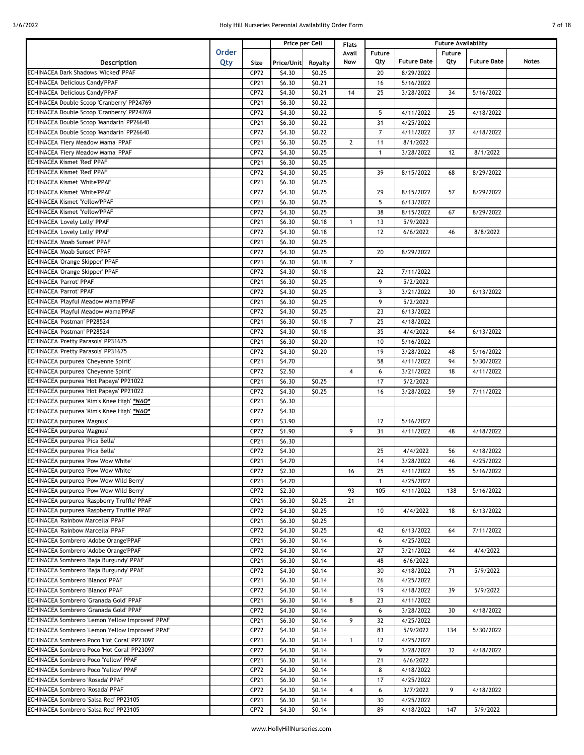## 3/6/2022 **19. In the U.S. Automation Control of 18 and 1999** Holy Hill Nurseries Perennial Availability Order Form

|  | ΩТ | 18 |  |
|--|----|----|--|
|  |    |    |  |

|                                                                   |              |      |            | Price per Cell | Flats          |                |                    | <b>Future Availability</b> |                    |              |
|-------------------------------------------------------------------|--------------|------|------------|----------------|----------------|----------------|--------------------|----------------------------|--------------------|--------------|
|                                                                   | <b>Order</b> |      |            |                | Avail          | Future         |                    | Future                     |                    |              |
| Description                                                       | Qty          | Size | Price/Unit | Royalty        | Now            | Qty            | <b>Future Date</b> | Qty                        | <b>Future Date</b> | <b>Notes</b> |
| ECHINACEA Dark Shadows 'Wicked' PPAF                              |              | CP72 | \$4.30     | \$0.25         |                | 20             | 8/29/2022          |                            |                    |              |
| <b>ECHINACEA 'Delicious Candy'PPAF</b>                            |              | CP21 | \$6.30     | \$0.21         |                | 16             | 5/16/2022          |                            |                    |              |
| <b>ECHINACEA 'Delicious Candy'PPAF</b>                            |              | CP72 | \$4.30     | \$0.21         | 14             | 25             | 3/28/2022          | 34                         | 5/16/2022          |              |
| ECHINACEA Double Scoop 'Cranberry' PP24769                        |              | CP21 | \$6.30     | \$0.22         |                |                |                    |                            |                    |              |
| ECHINACEA Double Scoop 'Cranberry' PP24769                        |              | CP72 | \$4.30     | \$0.22         |                | 5              | 4/11/2022          | 25                         | 4/18/2022          |              |
| ECHINACEA Double Scoop 'Mandarin' PP26640                         |              | CP21 | \$6.30     | \$0.22         |                | 31             | 4/25/2022          |                            |                    |              |
| ECHINACEA Double Scoop 'Mandarin' PP26640                         |              | CP72 | \$4.30     | \$0.22         |                | $\overline{7}$ | 4/11/2022          | 37                         | 4/18/2022          |              |
|                                                                   |              |      |            |                |                |                |                    |                            |                    |              |
| ECHINACEA 'Fiery Meadow Mama' PPAF                                |              | CP21 | \$6.30     | \$0.25         | $\mathbf{2}$   | 11             | 8/1/2022           |                            |                    |              |
| ECHINACEA 'Fiery Meadow Mama' PPAF                                |              | CP72 | \$4.30     | \$0.25         |                | $\mathbf{1}$   | 3/28/2022          | 12                         | 8/1/2022           |              |
| ECHINACEA Kismet 'Red' PPAF                                       |              | CP21 | \$6.30     | \$0.25         |                |                |                    |                            |                    |              |
| <b>ECHINACEA Kismet 'Red' PPAF</b>                                |              | CP72 | \$4.30     | \$0.25         |                | 39             | 8/15/2022          | 68                         | 8/29/2022          |              |
| ECHINACEA Kismet 'White'PPAF                                      |              | CP21 | \$6.30     | \$0.25         |                |                |                    |                            |                    |              |
| <b>ECHINACEA Kismet 'White'PPAF</b>                               |              | CP72 | \$4.30     | \$0.25         |                | 29             | 8/15/2022          | 57                         | 8/29/2022          |              |
| <b>ECHINACEA Kismet 'Yellow'PPAF</b>                              |              | CP21 | \$6.30     | \$0.25         |                | 5              | 6/13/2022          |                            |                    |              |
| ECHINACEA Kismet 'Yellow'PPAF                                     |              | CP72 | \$4.30     | \$0.25         |                | 38             | 8/15/2022          | 67                         | 8/29/2022          |              |
| ECHINACEA 'Lovely Lolly' PPAF                                     |              | CP21 | \$6.30     | \$0.18         | $\mathbf{1}$   | 13             | 5/9/2022           |                            |                    |              |
| ECHINACEA 'Lovely Lolly' PPAF                                     |              | CP72 | \$4.30     | \$0.18         |                | 12             | 6/6/2022           | 46                         | 8/8/2022           |              |
| ECHINACEA 'Moab Sunset' PPAF                                      |              | CP21 | \$6.30     | \$0.25         |                |                |                    |                            |                    |              |
| ECHINACEA 'Moab Sunset' PPAF                                      |              | CP72 | \$4.30     | \$0.25         |                | 20             | 8/29/2022          |                            |                    |              |
| ECHINACEA 'Orange Skipper' PPAF                                   |              | CP21 | \$6.30     | \$0.18         | $\overline{7}$ |                |                    |                            |                    |              |
|                                                                   |              |      | \$4.30     | \$0.18         |                |                | 7/11/2022          |                            |                    |              |
| ECHINACEA 'Orange Skipper' PPAF<br><b>ECHINACEA 'Parrot' PPAF</b> |              | CP72 |            |                |                | 22             |                    |                            |                    |              |
|                                                                   |              | CP21 | \$6.30     | \$0.25         |                | 9              | 5/2/2022           |                            |                    |              |
| <b>ECHINACEA 'Parrot' PPAF</b>                                    |              | CP72 | \$4.30     | \$0.25         |                | $\mathbf{3}$   | 3/21/2022          | 30                         | 6/13/2022          |              |
| ECHINACEA 'Playful Meadow Mama'PPAF                               |              | CP21 | \$6.30     | \$0.25         |                | 9              | 5/2/2022           |                            |                    |              |
| ECHINACEA 'Playful Meadow Mama'PPAF                               |              | CP72 | \$4.30     | \$0.25         |                | 23             | 6/13/2022          |                            |                    |              |
| ECHINACEA 'Postman' PP28524                                       |              | CP21 | \$6.30     | \$0.18         | $\overline{7}$ | 25             | 4/18/2022          |                            |                    |              |
| ECHINACEA 'Postman' PP28524                                       |              | CP72 | \$4.30     | \$0.18         |                | 35             | 4/4/2022           | 64                         | 6/13/2022          |              |
| ECHINACEA 'Pretty Parasols' PP31675                               |              | CP21 | \$6.30     | \$0.20         |                | 10             | 5/16/2022          |                            |                    |              |
| ECHINACEA 'Pretty Parasols' PP31675                               |              | CP72 | \$4.30     | \$0.20         |                | 19             | 3/28/2022          | 48                         | 5/16/2022          |              |
| ECHINACEA purpurea 'Cheyenne Spirit'                              |              | CP21 | \$4.70     |                |                | 58             | 4/11/2022          | 94                         | 5/30/2022          |              |
| ECHINACEA purpurea 'Cheyenne Spirit'                              |              | CP72 | \$2.50     |                | $\overline{4}$ | 6              | 3/21/2022          | 18                         | 4/11/2022          |              |
| ECHINACEA purpurea 'Hot Papaya' PP21022                           |              | CP21 | \$6.30     | \$0.25         |                | 17             | 5/2/2022           |                            |                    |              |
| ECHINACEA purpurea 'Hot Papaya' PP21022                           |              | CP72 | \$4.30     | \$0.25         |                | 16             | 3/28/2022          | 59                         | 7/11/2022          |              |
| ECHINACEA purpurea 'Kim's Knee High' *NAO*                        |              | CP21 | \$6.30     |                |                |                |                    |                            |                    |              |
|                                                                   |              |      |            |                |                |                |                    |                            |                    |              |
| ECHINACEA purpurea 'Kim's Knee High' *NAO*                        |              | CP72 | \$4.30     |                |                |                |                    |                            |                    |              |
| ECHINACEA purpurea 'Magnus'                                       |              | CP21 | \$3.90     |                |                | 12             | 5/16/2022          |                            |                    |              |
| ECHINACEA purpurea 'Magnus'                                       |              | CP72 | \$1.90     |                | 9              | 31             | 4/11/2022          | 48                         | 4/18/2022          |              |
| ECHINACEA purpurea 'Pica Bella'                                   |              | CP21 | \$6.30     |                |                |                |                    |                            |                    |              |
| ECHINACEA purpurea 'Pica Bella'                                   |              | CP72 | \$4.30     |                |                | 25             | 4/4/2022           | 56                         | 4/18/2022          |              |
| ECHINACEA purpurea 'Pow Wow White'                                |              | CP21 | \$4.70     |                |                | 14             | 3/28/2022          | 46                         | 4/25/2022          |              |
| <b>ECHINACEA purpurea 'Pow Wow White'</b>                         |              | CP72 | \$2.30     |                | 16             | 25             | 4/11/2022          | 55                         | 5/16/2022          |              |
| ECHINACEA purpurea 'Pow Wow Wild Berry'                           |              | CP21 | \$4.70     |                |                | $\mathbf{1}$   | 4/25/2022          |                            |                    |              |
| ECHINACEA purpurea 'Pow Wow Wild Berry'                           |              | CP72 | \$2.30     |                | 93             | 105            | 4/11/2022          | 138                        | 5/16/2022          |              |
| ECHINACEA purpurea 'Raspberry Truffle' PPAF                       |              | CP21 | \$6.30     | \$0.25         | 21             |                |                    |                            |                    |              |
| ECHINACEA purpurea 'Raspberry Truffle' PPAF                       |              | CP72 | \$4.30     | \$0.25         |                | 10             | 4/4/2022           | 18                         | 6/13/2022          |              |
| <b>ECHINACEA 'Rainbow Marcella' PPAF</b>                          |              | CP21 | \$6.30     | \$0.25         |                |                |                    |                            |                    |              |
| ECHINACEA 'Rainbow Marcella' PPAF                                 |              | CP72 | \$4.30     | \$0.25         |                | 42             | 6/13/2022          | 64                         | 7/11/2022          |              |
| ECHINACEA Sombrero 'Adobe Orange'PPAF                             |              |      |            |                |                |                |                    |                            |                    |              |
|                                                                   |              | CP21 | \$6.30     | \$0.14         |                | 6              | 4/25/2022          |                            |                    |              |
| <b>ECHINACEA Sombrero 'Adobe Orange'PPAF</b>                      |              | CP72 | \$4.30     | \$0.14         |                | 27             | 3/21/2022          | 44                         | 4/4/2022           |              |
| ECHINACEA Sombrero 'Baja Burgundy' PPAF                           |              | CP21 | \$6.30     | \$0.14         |                | 48             | 6/6/2022           |                            |                    |              |
| ECHINACEA Sombrero 'Baja Burgundy' PPAF                           |              | CP72 | \$4.30     | \$0.14         |                | 30             | 4/18/2022          | 71                         | 5/9/2022           |              |
| ECHINACEA Sombrero 'Blanco' PPAF                                  |              | CP21 | \$6.30     | \$0.14         |                | 26             | 4/25/2022          |                            |                    |              |
| ECHINACEA Sombrero 'Blanco' PPAF                                  |              | CP72 | \$4.30     | \$0.14         |                | 19             | 4/18/2022          | 39                         | 5/9/2022           |              |
| ECHINACEA Sombrero 'Granada Gold' PPAF                            |              | CP21 | \$6.30     | \$0.14         | 8              | 23             | 4/11/2022          |                            |                    |              |
| ECHINACEA Sombrero 'Granada Gold' PPAF                            |              | CP72 | \$4.30     | \$0.14         |                | 6              | 3/28/2022          | 30                         | 4/18/2022          |              |
| ECHINACEA Sombrero 'Lemon Yellow Improved' PPAF                   |              | CP21 | \$6.30     | \$0.14         | 9              | 32             | 4/25/2022          |                            |                    |              |
| ECHINACEA Sombrero 'Lemon Yellow Improved' PPAF                   |              | CP72 | \$4.30     | \$0.14         |                | 83             | 5/9/2022           | 134                        | 5/30/2022          |              |
| ECHINACEA Sombrero Poco 'Hot Coral' PP23097                       |              | CP21 | \$6.30     | \$0.14         | 1              | 12             | 4/25/2022          |                            |                    |              |
| ECHINACEA Sombrero Poco 'Hot Coral' PP23097                       |              | CP72 | \$4.30     | \$0.14         |                | 9              | 3/28/2022          | 32                         | 4/18/2022          |              |
| ECHINACEA Sombrero Poco 'Yellow' PPAF                             |              | CP21 | \$6.30     | \$0.14         |                | 21             | 6/6/2022           |                            |                    |              |
| ECHINACEA Sombrero Poco 'Yellow' PPAF                             |              |      |            |                |                |                |                    |                            |                    |              |
|                                                                   |              | CP72 | \$4.30     | \$0.14         |                | 8              | 4/18/2022          |                            |                    |              |
| ECHINACEA Sombrero 'Rosada' PPAF                                  |              | CP21 | \$6.30     | \$0.14         |                | 17             | 4/25/2022          |                            |                    |              |
| ECHINACEA Sombrero 'Rosada' PPAF                                  |              | CP72 | \$4.30     | \$0.14         | 4              | 6              | 3/7/2022           | 9                          | 4/18/2022          |              |
| ECHINACEA Sombrero 'Salsa Red' PP23105                            |              | CP21 | \$6.30     | \$0.14         |                | 30             | 4/25/2022          |                            |                    |              |
| ECHINACEA Sombrero 'Salsa Red' PP23105                            |              | CP72 | \$4.30     | \$0.14         |                | 89             | 4/18/2022          | 147                        | 5/9/2022           |              |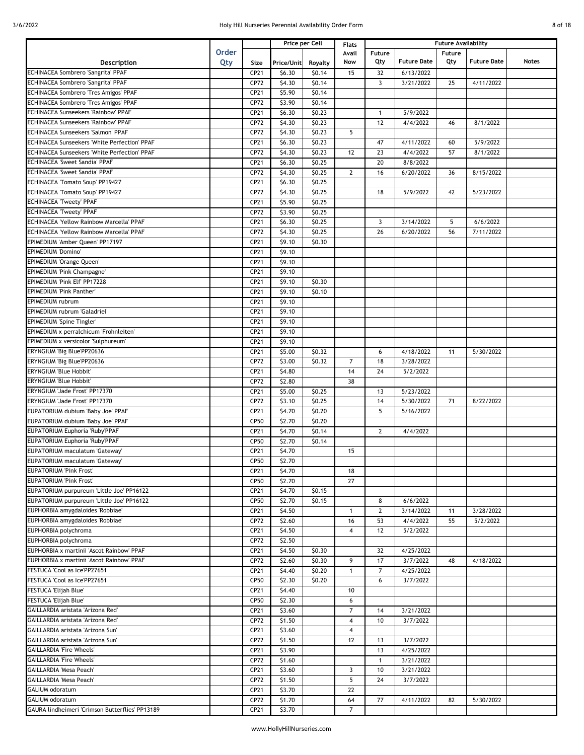| 8 of 18 |  |
|---------|--|
|         |  |

|                                                 |              |      |            | Price per Cell | <b>Flats</b>   | <b>Future Availability</b> |                    |               |                    |       |
|-------------------------------------------------|--------------|------|------------|----------------|----------------|----------------------------|--------------------|---------------|--------------------|-------|
|                                                 | <b>Order</b> |      |            |                | Avail          | Future                     |                    | <b>Future</b> |                    |       |
| Description                                     | Qty          | Size | Price/Unit | Royalty        | Now            | Qty                        | <b>Future Date</b> | Qty           | <b>Future Date</b> | Notes |
| ECHINACEA Sombrero 'Sangrita' PPAF              |              | CP21 | \$6.30     | \$0.14         | 15             | 32                         | 6/13/2022          |               |                    |       |
| ECHINACEA Sombrero 'Sangrita' PPAF              |              | CP72 | \$4.30     | \$0.14         |                | 3                          | 3/21/2022          | 25            | 4/11/2022          |       |
| ECHINACEA Sombrero 'Tres Amigos' PPAF           |              | CP21 | \$5.90     | \$0.14         |                |                            |                    |               |                    |       |
| ECHINACEA Sombrero 'Tres Amigos' PPAF           |              | CP72 | \$3.90     | \$0.14         |                |                            |                    |               |                    |       |
|                                                 |              |      |            |                |                |                            |                    |               |                    |       |
| <b>ECHINACEA Sunseekers 'Rainbow' PPAF</b>      |              | CP21 | \$6.30     | \$0.23         |                | $\mathbf{1}$               | 5/9/2022           |               |                    |       |
| <b>ECHINACEA Sunseekers 'Rainbow' PPAF</b>      |              | CP72 | \$4.30     | \$0.23         |                | 12                         | 4/4/2022           | 46            | 8/1/2022           |       |
| ECHINACEA Sunseekers 'Salmon' PPAF              |              | CP72 | \$4.30     | \$0.23         | 5              |                            |                    |               |                    |       |
| ECHINACEA Sunseekers 'White Perfection' PPAF    |              | CP21 | \$6.30     | \$0.23         |                | 47                         | 4/11/2022          | 60            | 5/9/2022           |       |
| ECHINACEA Sunseekers 'White Perfection' PPAF    |              | CP72 | \$4.30     | \$0.23         | 12             | 23                         | 4/4/2022           | 57            | 8/1/2022           |       |
| ECHINACEA 'Sweet Sandia' PPAF                   |              | CP21 | \$6.30     | \$0.25         |                | 20                         | 8/8/2022           |               |                    |       |
| ECHINACEA 'Sweet Sandia' PPAF                   |              | CP72 | \$4.30     | \$0.25         | $\mathbf{2}$   | 16                         | 6/20/2022          | 36            | 8/15/2022          |       |
| ECHINACEA 'Tomato Soup' PP19427                 |              | CP21 | \$6.30     | \$0.25         |                |                            |                    |               |                    |       |
| ECHINACEA 'Tomato Soup' PP19427                 |              | CP72 | \$4.30     | \$0.25         |                | 18                         | 5/9/2022           | 42            | 5/23/2022          |       |
| <b>ECHINACEA 'Tweety' PPAF</b>                  |              | CP21 | \$5.90     | \$0.25         |                |                            |                    |               |                    |       |
| <b>ECHINACEA 'Tweety' PPAF</b>                  |              | CP72 | \$3.90     | \$0.25         |                |                            |                    |               |                    |       |
| ECHINACEA 'Yellow Rainbow Marcella' PPAF        |              | CP21 | \$6.30     | \$0.25         |                | 3                          | 3/14/2022          | 5             | 6/6/2022           |       |
| ECHINACEA 'Yellow Rainbow Marcella' PPAF        |              | CP72 | \$4.30     | \$0.25         |                | 26                         | 6/20/2022          | 56            | 7/11/2022          |       |
|                                                 |              |      |            |                |                |                            |                    |               |                    |       |
| EPIMEDIUM 'Amber Queen' PP17197                 |              | CP21 | \$9.10     | \$0.30         |                |                            |                    |               |                    |       |
| EPIMEDIUM 'Domino'                              |              | CP21 | \$9.10     |                |                |                            |                    |               |                    |       |
| EPIMEDIUM 'Orange Queen'                        |              | CP21 | \$9.10     |                |                |                            |                    |               |                    |       |
| EPIMEDIUM 'Pink Champagne'                      |              | CP21 | \$9.10     |                |                |                            |                    |               |                    |       |
| EPIMEDIUM 'Pink Elf' PP17228                    |              | CP21 | \$9.10     | \$0.30         |                |                            |                    |               |                    |       |
| <b>EPIMEDIUM 'Pink Panther'</b>                 |              | CP21 | \$9.10     | \$0.10         |                |                            |                    |               |                    |       |
| EPIMEDIUM rubrum                                |              | CP21 | \$9.10     |                |                |                            |                    |               |                    |       |
| EPIMEDIUM rubrum 'Galadriel'                    |              | CP21 | \$9.10     |                |                |                            |                    |               |                    |       |
| EPIMEDIUM 'Spine Tingler'                       |              | CP21 | \$9.10     |                |                |                            |                    |               |                    |       |
| EPIMEDIUM x perralchicum 'Frohnleiten'          |              | CP21 | \$9.10     |                |                |                            |                    |               |                    |       |
| EPIMEDIUM x versicolor 'Sulphureum'             |              | CP21 | \$9.10     |                |                |                            |                    |               |                    |       |
| ERYNGIUM 'Big Blue'PP20636                      |              | CP21 | \$5.00     | \$0.32         |                | 6                          | 4/18/2022          | 11            | 5/30/2022          |       |
| ERYNGIUM 'Big Blue'PP20636                      |              | CP72 | \$3.00     | \$0.32         | $\overline{7}$ | 18                         | 3/28/2022          |               |                    |       |
| ERYNGIUM 'Blue Hobbit'                          |              | CP21 | \$4.80     |                | 14             | 24                         | 5/2/2022           |               |                    |       |
|                                                 |              |      |            |                | 38             |                            |                    |               |                    |       |
| ERYNGIUM 'Blue Hobbit'                          |              | CP72 | \$2.80     |                |                |                            |                    |               |                    |       |
| ERYNGIUM 'Jade Frost' PP17370                   |              | CP21 | \$5.00     | \$0.25         |                | 13                         | 5/23/2022          |               |                    |       |
| ERYNGIUM 'Jade Frost' PP17370                   |              | CP72 | \$3.10     | \$0.25         |                | 14                         | 5/30/2022          | 71            | 8/22/2022          |       |
| EUPATORIUM dubium 'Baby Joe' PPAF               |              | CP21 | \$4.70     | \$0.20         |                | 5                          | 5/16/2022          |               |                    |       |
| EUPATORIUM dubium 'Baby Joe' PPAF               |              | CP50 | \$2.70     | \$0.20         |                |                            |                    |               |                    |       |
| EUPATORIUM Euphoria 'Ruby'PPAF                  |              | CP21 | \$4.70     | \$0.14         |                | $\overline{2}$             | 4/4/2022           |               |                    |       |
| EUPATORIUM Euphoria 'Ruby'PPAF                  |              | CP50 | \$2.70     | \$0.14         |                |                            |                    |               |                    |       |
| EUPATORIUM maculatum 'Gateway'                  |              | CP21 | \$4.70     |                | 15             |                            |                    |               |                    |       |
| EUPATORIUM maculatum 'Gateway'                  |              | CP50 | \$2.70     |                |                |                            |                    |               |                    |       |
| EUPATORIUM 'Pink Frost'                         |              | CP21 | \$4.70     |                | 18             |                            |                    |               |                    |       |
| EUPATORIUM 'Pink Frost'                         |              | CP50 | \$2.70     |                | 27             |                            |                    |               |                    |       |
| EUPATORIUM purpureum 'Little Joe' PP16122       |              | CP21 | \$4.70     | \$0.15         |                |                            |                    |               |                    |       |
| EUPATORIUM purpureum 'Little Joe' PP16122       |              | CP50 | \$2.70     | \$0.15         |                | 8                          | 6/6/2022           |               |                    |       |
| EUPHORBIA amygdaloides 'Robbiae'                |              | CP21 | \$4.50     |                | $\mathbf{1}$   | $\mathbf{2}$               | 3/14/2022          | 11            | 3/28/2022          |       |
|                                                 |              |      |            |                |                |                            |                    |               |                    |       |
| EUPHORBIA amygdaloides 'Robbiae'                |              | CP72 | \$2.60     |                | 16             | 53                         | 4/4/2022           | 55            | 5/2/2022           |       |
| EUPHORBIA polychroma                            |              | CP21 | \$4.50     |                | 4              | 12                         | 5/2/2022           |               |                    |       |
| EUPHORBIA polychroma                            |              | CP72 | \$2.50     |                |                |                            |                    |               |                    |       |
| EUPHORBIA x martinii 'Ascot Rainbow' PPAF       |              | CP21 | \$4.50     | \$0.30         |                | 32                         | 4/25/2022          |               |                    |       |
| EUPHORBIA x martinii 'Ascot Rainbow' PPAF       |              | CP72 | \$2.60     | \$0.30         | 9              | 17                         | 3/7/2022           | 48            | 4/18/2022          |       |
| FESTUCA 'Cool as Ice'PP27651                    |              | CP21 | \$4.40     | \$0.20         | $\mathbf{1}$   | $\overline{7}$             | 4/25/2022          |               |                    |       |
| FESTUCA 'Cool as Ice'PP27651                    |              | CP50 | \$2.30     | \$0.20         |                | 6                          | 3/7/2022           |               |                    |       |
| FESTUCA 'Elijah Blue'                           |              | CP21 | \$4.40     |                | 10             |                            |                    |               |                    |       |
| FESTUCA 'Elijah Blue'                           |              | CP50 | \$2.30     |                | 6              |                            |                    |               |                    |       |
| GAILLARDIA aristata 'Arizona Red'               |              | CP21 | \$3.60     |                | $\overline{7}$ | 14                         | 3/21/2022          |               |                    |       |
| GAILLARDIA aristata 'Arizona Red'               |              | CP72 | \$1.50     |                | 4              | 10                         | 3/7/2022           |               |                    |       |
| GAILLARDIA aristata 'Arizona Sun'               |              | CP21 | \$3.60     |                | 4              |                            |                    |               |                    |       |
| GAILLARDIA aristata 'Arizona Sun'               |              | CP72 | \$1.50     |                | 12             | 13                         | 3/7/2022           |               |                    |       |
| <b>GAILLARDIA 'Fire Wheels'</b>                 |              |      | \$3.90     |                |                | 13                         | 4/25/2022          |               |                    |       |
|                                                 |              | CP21 |            |                |                |                            |                    |               |                    |       |
| <b>GAILLARDIA 'Fire Wheels'</b>                 |              | CP72 | \$1.60     |                |                | 1                          | 3/21/2022          |               |                    |       |
| GAILLARDIA 'Mesa Peach'                         |              | CP21 | \$3.60     |                | $\mathbf{3}$   | 10                         | 3/21/2022          |               |                    |       |
| GAILLARDIA 'Mesa Peach'                         |              | CP72 | \$1.50     |                | 5              | 24                         | 3/7/2022           |               |                    |       |
| GALIUM odoratum                                 |              | CP21 | \$3.70     |                | 22             |                            |                    |               |                    |       |
| GALIUM odoratum                                 |              | CP72 | \$1.70     |                | 64             | 77                         | 4/11/2022          | 82            | 5/30/2022          |       |
| GAURA lindheimeri 'Crimson Butterflies' PP13189 |              | CP21 | \$3.70     |                | $\overline{7}$ |                            |                    |               |                    |       |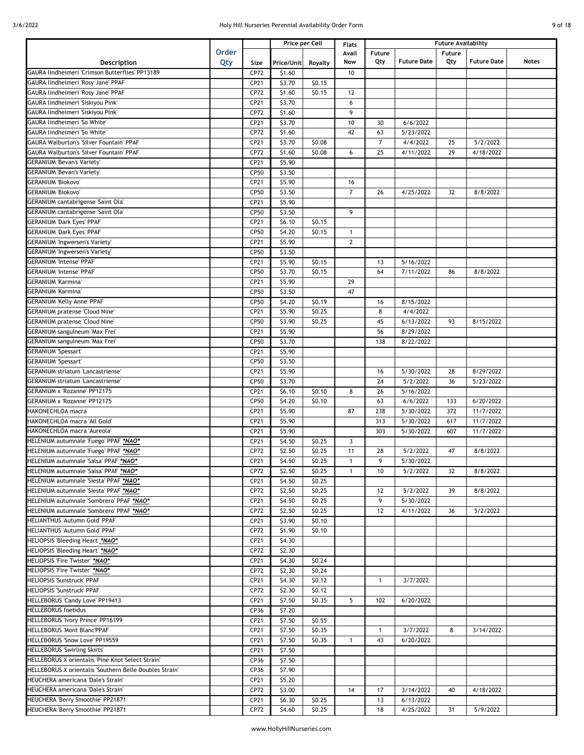| 9 of 18 |  |
|---------|--|
|         |  |

|                                                         |              |      | Price per Cell      |         | <b>Flats</b>   |                |                    | <b>Future Availability</b> |                    |              |
|---------------------------------------------------------|--------------|------|---------------------|---------|----------------|----------------|--------------------|----------------------------|--------------------|--------------|
|                                                         | <b>Order</b> |      |                     |         | Avail          | Future         |                    | Future                     |                    |              |
| Description                                             | Qty          | Size | Price/Unit          | Royalty | Now            | Qty            | <b>Future Date</b> | Qty                        | <b>Future Date</b> | <b>Notes</b> |
| GAURA lindheimeri 'Crimson Butterflies' PP13189         |              | CP72 | \$1.60              |         | 10             |                |                    |                            |                    |              |
| GAURA lindheimeri 'Rosy Jane' PPAF                      |              | CP21 | \$3.70              | \$0.15  |                |                |                    |                            |                    |              |
| GAURA lindheimeri 'Rosy Jane' PPAF                      |              | CP72 | \$1.60              | \$0.15  | 12             |                |                    |                            |                    |              |
| GAURA lindheimeri 'Siskiyou Pink'                       |              | CP21 | \$3.70              |         | 6              |                |                    |                            |                    |              |
| GAURA lindheimeri 'Siskiyou Pink'                       |              | CP72 | \$1.60              |         | 9              |                |                    |                            |                    |              |
| GAURA lindheimeri 'So White'                            |              | CP21 | \$3.70              |         | 10             | 30             | 6/6/2022           |                            |                    |              |
| GAURA lindheimeri 'So White'                            |              | CP72 | \$1.60              |         | 42             | 63             | 5/23/2022          |                            |                    |              |
| <b>GAURA Walburton's 'Silver Fountain' PPAF</b>         |              | CP21 | \$3.70              | \$0.08  |                | $\overline{7}$ | 4/4/2022           | 25                         | 5/2/2022           |              |
| <b>GAURA Walburton's 'Silver Fountain' PPAF</b>         |              | CP72 | $\overline{51.60}$  | \$0.08  | 6              | 25             | 4/11/2022          | 29                         | 4/18/2022          |              |
| <b>GERANIUM 'Bevan's Variety'</b>                       |              | CP21 | \$5.90              |         |                |                |                    |                            |                    |              |
| <b>GERANIUM 'Bevan's Variety'</b>                       |              | CP50 | \$3.50              |         |                |                |                    |                            |                    |              |
| <b>GERANIUM 'Biokovo'</b>                               |              | CP21 | \$5.90              |         | 16             |                |                    |                            |                    |              |
| <b>GERANIUM 'Biokovo'</b>                               |              | CP50 | \$3.50              |         | $\overline{7}$ | 26             | 4/25/2022          | 32                         | 8/8/2022           |              |
| GERANIUM cantabrigense 'Saint Ola'                      |              | CP21 | \$5.90              |         |                |                |                    |                            |                    |              |
| GERANIUM cantabrigense 'Saint Ola'                      |              | CP50 | \$3.50              |         | 9              |                |                    |                            |                    |              |
| <b>GERANIUM 'Dark Eyes' PPAF</b>                        |              | CP21 | \$6.10              | \$0.15  |                |                |                    |                            |                    |              |
| <b>GERANIUM 'Dark Eyes' PPAF</b>                        |              | CP50 | \$4.20              | \$0.15  | $\mathbf{1}$   |                |                    |                            |                    |              |
| GERANIUM 'Ingwersen's Variety'                          |              | CP21 | \$5.90              |         | $\overline{2}$ |                |                    |                            |                    |              |
| <b>GERANIUM 'Ingwersen's Variety'</b>                   |              | CP50 | \$3.50              |         |                |                |                    |                            |                    |              |
| <b>GERANIUM 'Intense' PPAF</b>                          |              | CP21 | \$5.90              | \$0.15  |                | 13             | 5/16/2022          |                            |                    |              |
| <b>GERANIUM 'Intense' PPAF</b>                          |              | CP50 | \$3.70              | \$0.15  |                | 64             | 7/11/2022          | 86                         | 8/8/2022           |              |
| <b>GERANIUM 'Karmina'</b>                               |              | CP21 | \$5.90              |         | 29             |                |                    |                            |                    |              |
| <b>GERANIUM 'Karmina'</b>                               |              | CP50 | \$3.50              |         | 47             |                |                    |                            |                    |              |
| GERANIUM 'Kelly Anne' PPAF                              |              | CP50 | \$4.20              | \$0.19  |                | 16             | 8/15/2022          |                            |                    |              |
| <b>GERANIUM pratense 'Cloud Nine'</b>                   |              | CP21 | \$5.90              | \$0.25  |                | 8              | 4/4/2022           |                            |                    |              |
| <b>GERANIUM pratense 'Cloud Nine'</b>                   |              | CP50 | \$3.90              | \$0.25  |                | 45             | 6/13/2022          | 93                         | 8/15/2022          |              |
| GERANIUM sanguineum 'Max Frei'                          |              | CP21 | \$5.90              |         |                | 56             | 8/29/2022          |                            |                    |              |
| GERANIUM sanguineum 'Max Frei'                          |              | CP50 | \$3.70              |         |                | 138            | 8/22/2022          |                            |                    |              |
| <b>GERANIUM 'Spessart'</b>                              |              | CP21 | \$5.90              |         |                |                |                    |                            |                    |              |
| <b>GERANIUM 'Spessart'</b>                              |              | CP50 | \$3.50              |         |                |                |                    |                            |                    |              |
| <b>GERANIUM striatum 'Lancastriense'</b>                |              | CP21 | \$5.90              |         |                | 16             | 5/30/2022          | 28                         | 8/29/2022          |              |
| <b>GERANIUM striatum 'Lancastriense'</b>                |              | CP50 | \$3.70              |         |                | 24             | 5/2/2022           | 36                         | 5/23/2022          |              |
| GERANIUM x 'Rozanne' PP12175                            |              | CP21 | \$6.10              | \$0.10  | 8              | 26             | 5/16/2022          |                            |                    |              |
| GERANIUM x 'Rozanne' PP12175                            |              | CP50 | \$4.20              | \$0.10  |                | 63             | 6/6/2022           | 133                        | 6/20/2022          |              |
| HAKONECHLOA macra                                       |              | CP21 | \$5.90              |         | 87             | 238            | 5/30/2022          | 372                        | 11/7/2022          |              |
| HAKONECHLOA macra 'All Gold'                            |              | CP21 | $\overline{\$5.90}$ |         |                | 313            | 5/30/2022          | 617                        | 11/7/2022          |              |
| HAKONECHLOA macra 'Aureola'                             |              | CP21 | \$5.90              |         |                | 303            | 5/30/2022          | 607                        | 11/7/2022          |              |
| HELENIUM autumnale 'Fuego' PPAF *NAO*                   |              | CP21 | \$4.50              | \$0.25  | $\overline{3}$ |                |                    |                            |                    |              |
| HELENIUM autumnale 'Fuego' PPAF *NAO*                   |              | CP72 | \$2.50              | \$0.25  | 11             | 28             | 5/2/2022           | 47                         | 8/8/2022           |              |
| HELENIUM autumnale 'Salsa' PPAF *NAO*                   |              | CP21 | \$4.50              | \$0.25  | $\mathbf{1}$   | 9              | 5/30/2022          |                            |                    |              |
| HELENIUM autumnale 'Salsa' PPAF *NAO*                   |              | CP72 | \$2.50              | \$0.25  | $\mathbf{1}$   | 10             | 5/2/2022           | 32                         | 8/8/2022           |              |
| HELENIUM autumnale 'Siesta' PPAF *NAO*                  |              | CP21 | \$4.50              | \$0.25  |                |                |                    |                            |                    |              |
| HELENIUM autumnale 'Siesta' PPAF *NAO*                  |              | CP72 | \$2.50              | \$0.25  |                | 12             | 5/2/2022           | 39                         | 8/8/2022           |              |
| HELENIUM autumnale 'Sombrero' PPAF *NAO*                |              | CP21 | \$4.50              | \$0.25  |                | 9              | 5/30/2022          |                            |                    |              |
| HELENIUM autumnale 'Sombrero' PPAF *NAO*                |              | CP72 | \$2.50              | \$0.25  |                | 12             | 4/11/2022          | 36                         | 5/2/2022           |              |
| HELIANTHUS 'Autumn Gold' PPAF                           |              | CP21 | \$3.90              | \$0.10  |                |                |                    |                            |                    |              |
| HELIANTHUS 'Autumn Gold' PPAF                           |              | CP72 | \$1.90              | \$0.10  |                |                |                    |                            |                    |              |
| HELIOPSIS 'Bleeding Heart' *NAO*                        |              | CP21 | \$4.30              |         |                |                |                    |                            |                    |              |
| HELIOPSIS 'Bleeding Heart' *NAO*                        |              | CP72 | \$2.30              |         |                |                |                    |                            |                    |              |
| HELIOPSIS 'Fire Twister' *NAO*                          |              | CP21 | \$4.30              | \$0.24  |                |                |                    |                            |                    |              |
| HELIOPSIS 'Fire Twister' *NAO*                          |              | CP72 | \$2.30              | \$0.24  |                |                |                    |                            |                    |              |
| HELIOPSIS 'Sunstruck' PPAF                              |              | CP21 | \$4.30              | \$0.12  |                | $\mathbf{1}$   | 3/7/2022           |                            |                    |              |
| HELIOPSIS 'Sunstruck' PPAF                              |              | CP72 | \$2.30              | \$0.12  |                |                |                    |                            |                    |              |
| HELLEBORUS 'Candy Love' PP19413                         |              | CP21 | \$7.50              | \$0.35  | 5              | 102            | 6/20/2022          |                            |                    |              |
| <b>HELLEBORUS foetidus</b>                              |              | CP36 | \$7.20              |         |                |                |                    |                            |                    |              |
| HELLEBORUS 'Ivory Prince' PP16199                       |              | CP21 | \$7.50              | \$0.55  |                |                |                    |                            |                    |              |
| HELLEBORUS 'Mont Blanc'PPAF                             |              | CP21 | \$7.50              | \$0.35  |                | $\mathbf{1}$   | 3/7/2022           | 8                          | 3/14/2022          |              |
| HELLEBORUS 'Snow Love' PP19559                          |              | CP21 | \$7.50              | \$0.35  | $\mathbf{1}$   | 43             | 6/20/2022          |                            |                    |              |
| HELLEBORUS 'Swirling Skirts'                            |              | CP21 | \$7.50              |         |                |                |                    |                            |                    |              |
| HELLEBORUS X orientalis 'Pine Knot Select Strain'       |              | CP36 | \$7.50              |         |                |                |                    |                            |                    |              |
| HELLEBORUS X orientalis 'Southern Belle Doubles Strain' |              | CP36 | \$7.90              |         |                |                |                    |                            |                    |              |
| HEUCHERA americana 'Dale's Strain'                      |              | CP21 | \$5.20              |         |                |                |                    |                            |                    |              |
| HEUCHERA americana 'Dale's Strain'                      |              | CP72 | \$3.00              |         | 14             | 17             | 3/14/2022          | 40                         | 4/18/2022          |              |
| HEUCHERA 'Berry Smoothie' PP21871                       |              | CP21 | \$6.30              | \$0.25  |                | 13             | 6/13/2022          |                            |                    |              |
| HEUCHERA 'Berry Smoothie' PP21871                       |              | CP72 | \$4.60              | \$0.25  |                | 18             | 4/25/2022          | 31                         | 5/9/2022           |              |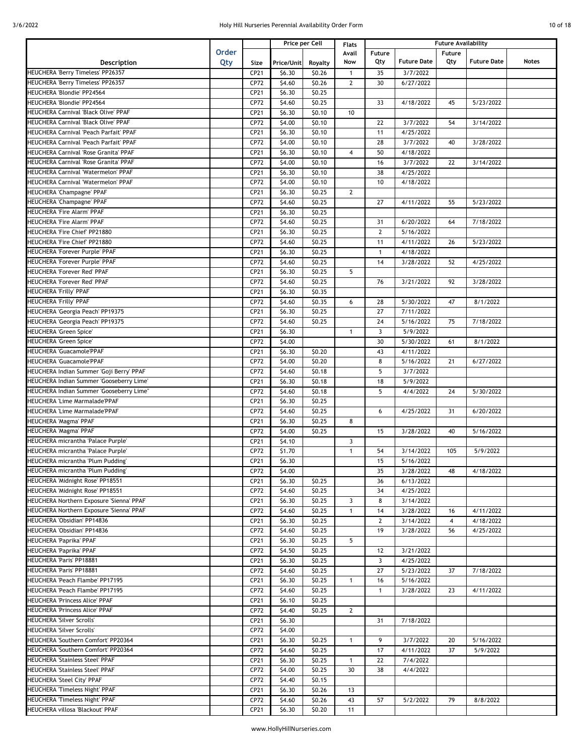|  | 10 of 18 |  |
|--|----------|--|
|  |          |  |

|                                          |              |      |                    | Price per Cell | <b>Flats</b>   | <b>Future Availability</b> |                    |                |                    |       |
|------------------------------------------|--------------|------|--------------------|----------------|----------------|----------------------------|--------------------|----------------|--------------------|-------|
|                                          | <b>Order</b> |      |                    |                | Avail          | Future                     |                    | Future         |                    |       |
| Description                              | Qty          | Size | Price/Unit         | Royalty        | Now            | Qty                        | <b>Future Date</b> | Qty            | <b>Future Date</b> | Notes |
| HEUCHERA 'Berry Timeless' PP26357        |              | CP21 | \$6.30             | \$0.26         | $\mathbf{1}$   | 35                         | 3/7/2022           |                |                    |       |
| HEUCHERA 'Berry Timeless' PP26357        |              | CP72 | \$4.60             | \$0.26         | $\overline{2}$ | 30                         | 6/27/2022          |                |                    |       |
| HEUCHERA 'Blondie' PP24564               |              | CP21 | \$6.30             | \$0.25         |                |                            |                    |                |                    |       |
| HEUCHERA 'Blondie' PP24564               |              |      |                    |                |                |                            |                    |                |                    |       |
|                                          |              | CP72 | \$4.60             | \$0.25         |                | 33                         | 4/18/2022          | 45             | 5/23/2022          |       |
| HEUCHERA Carnival 'Black Olive' PPAF     |              | CP21 | \$6.30             | \$0.10         | 10             |                            |                    |                |                    |       |
| HEUCHERA Carnival 'Black Olive' PPAF     |              | CP72 | \$4.00             | \$0.10         |                | 22                         | 3/7/2022           | 54             | 3/14/2022          |       |
| HEUCHERA Carnival 'Peach Parfait' PPAF   |              | CP21 | \$6.30             | \$0.10         |                | 11                         | 4/25/2022          |                |                    |       |
| HEUCHERA Carnival 'Peach Parfait' PPAF   |              | CP72 | \$4.00             | \$0.10         |                | 28                         | 3/7/2022           | 40             | 3/28/2022          |       |
| HEUCHERA Carnival 'Rose Granita' PPAF    |              | CP21 | \$6.30             | \$0.10         | 4              | 50                         | 4/18/2022          |                |                    |       |
| HEUCHERA Carnival 'Rose Granita' PPAF    |              | CP72 | \$4.00             | \$0.10         |                | 16                         | 3/7/2022           | 22             | 3/14/2022          |       |
| HEUCHERA Carnival 'Watermelon' PPAF      |              | CP21 | \$6.30             | \$0.10         |                | 38                         | 4/25/2022          |                |                    |       |
| HEUCHERA Carnival 'Watermelon' PPAF      |              | CP72 | \$4.00             | \$0.10         |                | 10                         | 4/18/2022          |                |                    |       |
| HEUCHERA 'Champagne' PPAF                |              | CP21 | \$6.30             | \$0.25         | $\overline{2}$ |                            |                    |                |                    |       |
| HEUCHERA 'Champagne' PPAF                |              | CP72 | \$4.60             | \$0.25         |                | 27                         | 4/11/2022          | 55             | 5/23/2022          |       |
| HEUCHERA 'Fire Alarm' PPAF               |              | CP21 | \$6.30             | \$0.25         |                |                            |                    |                |                    |       |
| HEUCHERA 'Fire Alarm' PPAF               |              | CP72 | \$4.60             | \$0.25         |                | 31                         | 6/20/2022          | 64             | 7/18/2022          |       |
| HEUCHERA 'Fire Chief' PP21880            |              | CP21 | \$6.30             | \$0.25         |                | $\mathbf{2}$               | 5/16/2022          |                |                    |       |
| HEUCHERA 'Fire Chief' PP21880            |              | CP72 | $\overline{54.60}$ | \$0.25         |                | 11                         | 4/11/2022          | 26             | 5/23/2022          |       |
| HEUCHERA 'Forever Purple' PPAF           |              | CP21 | \$6.30             | \$0.25         |                | $\mathbf{1}$               | 4/18/2022          |                |                    |       |
| HEUCHERA 'Forever Purple' PPAF           |              | CP72 | \$4.60             | \$0.25         |                | 14                         | 3/28/2022          | 52             | 4/25/2022          |       |
| <b>HEUCHERA 'Forever Red' PPAF</b>       |              | CP21 | \$6.30             | \$0.25         | 5              |                            |                    |                |                    |       |
| HEUCHERA 'Forever Red' PPAF              |              | CP72 | \$4.60             | \$0.25         |                | 76                         | 3/21/2022          | 92             | 3/28/2022          |       |
| HEUCHERA 'Frilly' PPAF                   |              | CP21 | \$6.30             | \$0.35         |                |                            |                    |                |                    |       |
| HEUCHERA 'Frilly' PPAF                   |              | CP72 | \$4.60             | \$0.35         | 6              | 28                         | 5/30/2022          | 47             | 8/1/2022           |       |
| HEUCHERA 'Georgia Peach' PP19375         |              | CP21 | \$6.30             | \$0.25         |                | 27                         | 7/11/2022          |                |                    |       |
| HEUCHERA 'Georgia Peach' PP19375         |              | CP72 | \$4.60             | \$0.25         |                | 24                         | 5/16/2022          | 75             | 7/18/2022          |       |
| HEUCHERA 'Green Spice'                   |              | CP21 | \$6.30             |                | $\mathbf{1}$   | 3                          | 5/9/2022           |                |                    |       |
| <b>HEUCHERA 'Green Spice'</b>            |              | CP72 | \$4.00             |                |                | 30                         | 5/30/2022          | 61             | 8/1/2022           |       |
| HEUCHERA 'Guacamole'PPAF                 |              |      |                    | \$0.20         |                | 43                         |                    |                |                    |       |
|                                          |              | CP21 | \$6.30             |                |                |                            | 4/11/2022          |                |                    |       |
| HEUCHERA 'Guacamole'PPAF                 |              | CP72 | \$4.00             | \$0.20         |                | 8                          | 5/16/2022          | 21             | 6/27/2022          |       |
| HEUCHERA Indian Summer 'Goji Berry' PPAF |              | CP72 | \$4.60             | \$0.18         |                | 5                          | 3/7/2022           |                |                    |       |
| HEUCHERA Indian Summer 'Gooseberry Lime' |              | CP21 | \$6.30             | \$0.18         |                | 18                         | 5/9/2022           |                |                    |       |
| HEUCHERA Indian Summer 'Gooseberry Lime" |              | CP72 | \$4.60             | \$0.18         |                | 5                          | 4/4/2022           | 24             | 5/30/2022          |       |
| HEUCHERA 'Lime Marmalade'PPAF            |              | CP21 | \$6.30             | \$0.25         |                |                            |                    |                |                    |       |
| HEUCHERA 'Lime Marmalade'PPAF            |              | CP72 | \$4.60             | \$0.25         |                | 6                          | 4/25/2022          | 31             | 6/20/2022          |       |
| HEUCHERA 'Magma' PPAF                    |              | CP21 | \$6.30             | \$0.25         | 8              |                            |                    |                |                    |       |
| HEUCHERA 'Magma' PPAF                    |              | CP72 | \$4.00             | \$0.25         |                | 15                         | 3/28/2022          | 40             | 5/16/2022          |       |
| HEUCHERA micrantha 'Palace Purple'       |              | CP21 | \$4.10             |                | 3              |                            |                    |                |                    |       |
| HEUCHERA micrantha 'Palace Purple'       |              | CP72 | \$1.70             |                | $\mathbf{1}$   | 54                         | 3/14/2022          | 105            | 5/9/2022           |       |
| HEUCHERA micrantha 'Plum Pudding'        |              | CP21 | \$6.30             |                |                | 15                         | 5/16/2022          |                |                    |       |
| HEUCHERA micrantha 'Plum Pudding'        |              | CP72 | \$4.00             |                |                | 35                         | 3/28/2022          | 48             | 4/18/2022          |       |
| HEUCHERA 'Midnight Rose' PP18551         |              | CP21 | \$6.30             | \$0.25         |                | 36                         | 6/13/2022          |                |                    |       |
| HEUCHERA 'Midnight Rose' PP18551         |              | CP72 | \$4.60             | \$0.25         |                | 34                         | 4/25/2022          |                |                    |       |
| HEUCHERA Northern Exposure 'Sienna' PPAF |              | CP21 | \$6.30             | \$0.25         | 3              | 8                          | 3/14/2022          |                |                    |       |
| HEUCHERA Northern Exposure 'Sienna' PPAF |              | CP72 | \$4.60             | \$0.25         | $\mathbf{1}$   | 14                         | 3/28/2022          | 16             | 4/11/2022          |       |
| HEUCHERA 'Obsidian' PP14836              |              | CP21 | \$6.30             | \$0.25         |                | $\mathbf{2}$               | 3/14/2022          | $\overline{4}$ | 4/18/2022          |       |
| HEUCHERA 'Obsidian' PP14836              |              | CP72 | \$4.60             | \$0.25         |                | 19                         | 3/28/2022          | 56             | 4/25/2022          |       |
| HEUCHERA 'Paprika' PPAF                  |              | CP21 | \$6.30             | \$0.25         | 5              |                            |                    |                |                    |       |
| HEUCHERA 'Paprika' PPAF                  |              | CP72 | \$4.50             | \$0.25         |                | 12                         | 3/21/2022          |                |                    |       |
| HEUCHERA 'Paris' PP18881                 |              | CP21 | \$6.30             | \$0.25         |                | 3                          | 4/25/2022          |                |                    |       |
| HEUCHERA 'Paris' PP18881                 |              | CP72 | \$4.60             | \$0.25         |                | 27                         | 5/23/2022          | 37             | 7/18/2022          |       |
| HEUCHERA 'Peach Flambe' PP17195          |              | CP21 | \$6.30             | \$0.25         | 1              | 16                         | 5/16/2022          |                |                    |       |
| HEUCHERA 'Peach Flambe' PP17195          |              | CP72 | \$4.60             | \$0.25         |                | $\mathbf{1}$               | 3/28/2022          | 23             | 4/11/2022          |       |
| HEUCHERA 'Princess Alice' PPAF           |              | CP21 | \$6.10             | \$0.25         |                |                            |                    |                |                    |       |
| HEUCHERA 'Princess Alice' PPAF           |              | CP72 | \$4.40             | \$0.25         | $\overline{2}$ |                            |                    |                |                    |       |
| HEUCHERA 'Silver Scrolls'                |              |      |                    |                |                | 31                         | 7/18/2022          |                |                    |       |
| HEUCHERA 'Silver Scrolls'                |              | CP21 | \$6.30             |                |                |                            |                    |                |                    |       |
|                                          |              | CP72 | \$4.00             |                |                |                            |                    |                |                    |       |
| HEUCHERA 'Southern Comfort' PP20364      |              | CP21 | \$6.30             | \$0.25         | $\mathbf{1}$   | 9                          | 3/7/2022           | 20             | 5/16/2022          |       |
| HEUCHERA 'Southern Comfort' PP20364      |              | CP72 | \$4.60             | \$0.25         |                | 17                         | 4/11/2022          | 37             | 5/9/2022           |       |
| HEUCHERA 'Stainless Steel' PPAF          |              | CP21 | \$6.30             | \$0.25         | $\mathbf{1}$   | 22                         | 7/4/2022           |                |                    |       |
| HEUCHERA 'Stainless Steel' PPAF          |              | CP72 | \$4.00             | \$0.25         | 30             | 38                         | 4/4/2022           |                |                    |       |
| HEUCHERA 'Steel City' PPAF               |              | CP72 | \$4.40             | \$0.15         |                |                            |                    |                |                    |       |
| HEUCHERA 'Timeless Night' PPAF           |              | CP21 | \$6.30             | \$0.26         | 13             |                            |                    |                |                    |       |
| HEUCHERA 'Timeless Night' PPAF           |              | CP72 | \$4.60             | \$0.26         | 43             | 57                         | 5/2/2022           | 79             | 8/8/2022           |       |
| HEUCHERA villosa 'Blackout' PPAF         |              | CP21 | \$6.30             | \$0.20         | 11             |                            |                    |                |                    |       |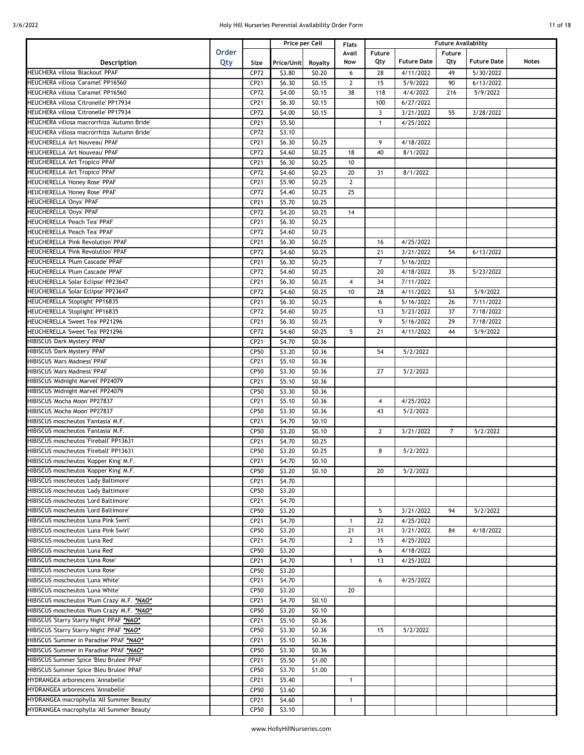|  | 11 of 18 |  |
|--|----------|--|
|  |          |  |

|                                              |              |             |            | Price per Cell | <b>Flats</b>   |                |                    | <b>Future Availability</b> |                    |              |
|----------------------------------------------|--------------|-------------|------------|----------------|----------------|----------------|--------------------|----------------------------|--------------------|--------------|
|                                              | <b>Order</b> |             |            |                | Avail          | Future         |                    | Future                     |                    |              |
| Description                                  | Qty          | Size        | Price/Unit | Royalty        | Now            | Qty            | <b>Future Date</b> | Qty                        | <b>Future Date</b> | <b>Notes</b> |
| HEUCHERA villosa 'Blackout' PPAF             |              | CP72        | \$3.80     | \$0.20         | 6              | 28             | 4/11/2022          | 49                         | 5/30/2022          |              |
| HEUCHERA villosa 'Caramel' PP16560           |              | CP21        | \$6.30     | \$0.15         | $\mathbf{2}$   | 15             | 5/9/2022           | 90                         | 6/13/2022          |              |
| HEUCHERA villosa 'Caramel' PP16560           |              | CP72        | \$4.00     | \$0.15         | 38             | 118            | 4/4/2022           | 216                        | 5/9/2022           |              |
| HEUCHERA villosa 'Citronelle' PP17934        |              | CP21        | \$6.30     | \$0.15         |                | 100            | 6/27/2022          |                            |                    |              |
| HEUCHERA villosa 'Citronelle' PP17934        |              | CP72        | \$4.00     | \$0.15         |                | $\overline{3}$ | 3/21/2022          | 55                         | 3/28/2022          |              |
| HEUCHERA villosa macrorrhiza 'Autumn Bride'  |              | CP21        | \$5.50     |                |                | $\mathbf{1}$   | 4/25/2022          |                            |                    |              |
|                                              |              |             |            |                |                |                |                    |                            |                    |              |
| HEUCHERA villosa macrorrhiza 'Autumn Bride'  |              | CP72        | \$3.10     |                |                |                |                    |                            |                    |              |
| HEUCHERELLA 'Art Nouveau' PPAF               |              | CP21        | \$6.30     | \$0.25         |                | 9              | 4/18/2022          |                            |                    |              |
| HEUCHERELLA 'Art Nouveau' PPAF               |              | CP72        | \$4.60     | \$0.25         | 18             | 40             | 8/1/2022           |                            |                    |              |
| HEUCHERELLA 'Art Tropico' PPAF               |              | CP21        | \$6.30     | \$0.25         | 10             |                |                    |                            |                    |              |
| HEUCHERELLA 'Art Tropico' PPAF               |              | CP72        | \$4.60     | \$0.25         | 20             | 31             | 8/1/2022           |                            |                    |              |
| HEUCHERELLA 'Honey Rose' PPAF                |              | CP21        | \$5.90     | \$0.25         | $\mathbf{2}$   |                |                    |                            |                    |              |
| HEUCHERELLA 'Honey Rose' PPAF                |              | CP72        | \$4.40     | \$0.25         | 25             |                |                    |                            |                    |              |
| HEUCHERELLA 'Onyx' PPAF                      |              | CP21        | \$5.70     | \$0.25         |                |                |                    |                            |                    |              |
| HEUCHERELLA 'Onyx' PPAF                      |              | CP72        | \$4.20     | \$0.25         | 14             |                |                    |                            |                    |              |
| HEUCHERELLA 'Peach Tea' PPAF                 |              | CP21        | \$6.30     | \$0.25         |                |                |                    |                            |                    |              |
| HEUCHERELLA 'Peach Tea' PPAF                 |              | CP72        | 54.60      | \$0.25         |                |                |                    |                            |                    |              |
| HEUCHERELLA 'Pink Revolution' PPAF           |              | CP21        | \$6.30     | \$0.25         |                | 16             | 4/25/2022          |                            |                    |              |
| HEUCHERELLA 'Pink Revolution' PPAF           |              | CP72        | \$4.60     | \$0.25         |                | 21             | 3/21/2022          | 54                         | 6/13/2022          |              |
| HEUCHERELLA 'Plum Cascade' PPAF              |              | CP21        | \$6.30     | \$0.25         |                | $\overline{7}$ | 5/16/2022          |                            |                    |              |
| HEUCHERELLA 'Plum Cascade' PPAF              |              | CP72        | \$4.60     | \$0.25         |                | 20             | 4/18/2022          | 35                         | 5/23/2022          |              |
| HEUCHERELLA 'Solar Eclipse' PP23647          |              | CP21        | \$6.30     | \$0.25         | $\overline{4}$ | 34             | 7/11/2022          |                            |                    |              |
| HEUCHERELLA 'Solar Eclipse' PP23647          |              | CP72        | \$4.60     | \$0.25         | 10             | 28             | 4/11/2022          | 53                         | 5/9/2022           |              |
| HEUCHERELLA 'Stoplight' PP16835              |              | CP21        | \$6.30     | \$0.25         |                | 6              | 5/16/2022          | 26                         | 7/11/2022          |              |
| HEUCHERELLA 'Stoplight' PP16835              |              | CP72        |            |                |                | 13             |                    | 37                         |                    |              |
|                                              |              |             | \$4.60     | \$0.25         |                |                | 5/23/2022          |                            | 7/18/2022          |              |
| HEUCHERELLA 'Sweet Tea' PP21296              |              | CP21        | \$6.30     | \$0.25         |                | 9              | 5/16/2022          | 29                         | 7/18/2022          |              |
| HEUCHERELLA 'Sweet Tea' PP21296              |              | CP72        | \$4.60     | \$0.25         | 5              | 21             | 4/11/2022          | 44                         | 5/9/2022           |              |
| HIBISCUS 'Dark Mystery' PPAF                 |              | CP21        | \$4.70     | \$0.36         |                |                |                    |                            |                    |              |
| HIBISCUS 'Dark Mystery' PPAF                 |              | CP50        | \$3.20     | \$0.36         |                | 54             | 5/2/2022           |                            |                    |              |
| <b>HIBISCUS 'Mars Madness' PPAF</b>          |              | CP21        | \$5.10     | \$0.36         |                |                |                    |                            |                    |              |
| <b>HIBISCUS 'Mars Madness' PPAF</b>          |              | CP50        | \$3.30     | \$0.36         |                | 27             | 5/2/2022           |                            |                    |              |
| HIBISCUS 'Midnight Marvel' PP24079           |              | CP21        | \$5.10     | \$0.36         |                |                |                    |                            |                    |              |
| <b>HIBISCUS 'Midnight Marvel' PP24079</b>    |              | CP50        | \$3.30     | \$0.36         |                |                |                    |                            |                    |              |
| HIBISCUS 'Mocha Moon' PP27837                |              | CP21        | \$5.10     | \$0.36         |                | $\overline{4}$ | 4/25/2022          |                            |                    |              |
| HIBISCUS 'Mocha Moon' PP27837                |              | CP50        | \$3.30     | \$0.36         |                | 43             | 5/2/2022           |                            |                    |              |
| HIBISCUS moscheutos 'Fantasia' M.F.          |              | CP21        | \$4.70     | \$0.10         |                |                |                    |                            |                    |              |
| HIBISCUS moscheutos 'Fantasia' M.F.          |              | CP50        | \$3.20     | \$0.10         |                | $\overline{2}$ | 3/21/2022          | $\overline{7}$             | 5/2/2022           |              |
| HIBISCUS moscheutos 'Fireball' PP13631       |              | CP21        | \$4.70     | \$0.25         |                |                |                    |                            |                    |              |
| HIBISCUS moscheutos 'Fireball' PP13631       |              | CP50        | \$3.20     | \$0.25         |                | 8              | 5/2/2022           |                            |                    |              |
| HIBISCUS moscheutos 'Kopper King' M.F.       |              | CP21        | \$4.70     | \$0.10         |                |                |                    |                            |                    |              |
| HIBISCUS moscheutos 'Kopper King' M.F.       |              | <b>CP50</b> | \$3.20     | \$0.10         |                | 20             | 5/2/2022           |                            |                    |              |
| HIBISCUS moscheutos 'Lady Baltimore'         |              | CP21        | \$4.70     |                |                |                |                    |                            |                    |              |
| HIBISCUS moscheutos 'Lady Baltimore'         |              | CP50        | \$3.20     |                |                |                |                    |                            |                    |              |
| HIBISCUS moscheutos 'Lord Baltimore'         |              | CP21        | \$4.70     |                |                |                |                    |                            |                    |              |
| HIBISCUS moscheutos 'Lord Baltimore'         |              | CP50        | \$3.20     |                |                | 5              | 3/21/2022          | 94                         | 5/2/2022           |              |
| HIBISCUS moscheutos 'Luna Pink Swirl'        |              | CP21        | \$4.70     |                | $\mathbf{1}$   | 22             | 4/25/2022          |                            |                    |              |
| <b>HIBISCUS moscheutos 'Luna Pink Swirl'</b> |              |             |            |                |                |                |                    |                            |                    |              |
|                                              |              | CP50        | \$3.20     |                | 21             | 31             | 3/21/2022          | 84                         | 4/18/2022          |              |
| HIBISCUS moscheutos 'Luna Red'               |              | CP21        | \$4.70     |                | $\mathbf{2}$   | 15             | 4/25/2022          |                            |                    |              |
| <b>HIBISCUS moscheutos 'Luna Red'</b>        |              | CP50        | \$3.20     |                |                | 6              | 4/18/2022          |                            |                    |              |
| HIBISCUS moscheutos 'Luna Rose'              |              | CP21        | \$4.70     |                | $\mathbf{1}$   | 13             | 4/25/2022          |                            |                    |              |
| HIBISCUS moscheutos 'Luna Rose'              |              | CP50        | \$3.20     |                |                |                |                    |                            |                    |              |
| HIBISCUS moscheutos 'Luna White'             |              | CP21        | \$4.70     |                |                | 6              | 4/25/2022          |                            |                    |              |
| HIBISCUS moscheutos 'Luna White'             |              | CP50        | \$3.20     |                | 20             |                |                    |                            |                    |              |
| HIBISCUS moscheutos 'Plum Crazy' M.F. *NAO*  |              | CP21        | \$4.70     | \$0.10         |                |                |                    |                            |                    |              |
| HIBISCUS moscheutos 'Plum Crazy' M.F. *NAO*  |              | CP50        | \$3.20     | \$0.10         |                |                |                    |                            |                    |              |
| HIBISCUS 'Starry Starry Night' PPAF *NAO*    |              | CP21        | \$5.10     | \$0.36         |                |                |                    |                            |                    |              |
| HIBISCUS 'Starry Starry Night' PPAF *NAO*    |              | CP50        | \$3.30     | \$0.36         |                | 15             | 5/2/2022           |                            |                    |              |
| HIBISCUS 'Summer in Paradise' PPAF *NAO*     |              | CP21        | \$5.10     | \$0.36         |                |                |                    |                            |                    |              |
| HIBISCUS 'Summer in Paradise' PPAF *NAO*     |              | CP50        | \$3.30     | \$0.36         |                |                |                    |                            |                    |              |
| HIBISCUS Summer Spice 'Bleu Brulee' PPAF     |              | CP21        | \$5.50     | \$1.00         |                |                |                    |                            |                    |              |
| HIBISCUS Summer Spice 'Bleu Brulee' PPAF     |              | CP50        | \$3.70     | \$1.00         |                |                |                    |                            |                    |              |
| HYDRANGEA arborescens 'Annabelle'            |              | CP21        | \$5.40     |                | $\mathbf{1}$   |                |                    |                            |                    |              |
| HYDRANGEA arborescens 'Annabelle'            |              | CP50        | \$3.60     |                |                |                |                    |                            |                    |              |
| HYDRANGEA macrophylla 'All Summer Beauty'    |              | CP21        | \$4.60     |                | $\mathbf{1}$   |                |                    |                            |                    |              |
| HYDRANGEA macrophylla 'All Summer Beauty'    |              | CP50        | \$3.10     |                |                |                |                    |                            |                    |              |
|                                              |              |             |            |                |                |                |                    |                            |                    |              |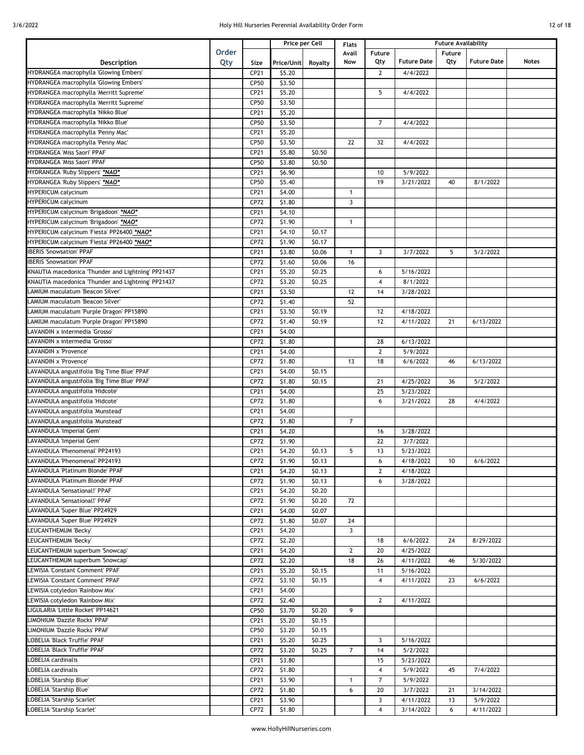| 12 of 18 |  |
|----------|--|
|          |  |

|                                                    |              |      |            | Price per Cell | <b>Flats</b>   |                         |                    | <b>Future Availability</b> |                    |       |
|----------------------------------------------------|--------------|------|------------|----------------|----------------|-------------------------|--------------------|----------------------------|--------------------|-------|
|                                                    | <b>Order</b> |      |            |                | Avail          | Future                  |                    | <b>Future</b>              |                    |       |
| <b>Description</b>                                 | Qty          | Size | Price/Unit | Royalty        | Now            | Qty                     | <b>Future Date</b> | Qty                        | <b>Future Date</b> | Notes |
| HYDRANGEA macrophylla 'Glowing Embers'             |              | CP21 | \$5.20     |                |                | $\overline{2}$          | 4/4/2022           |                            |                    |       |
| HYDRANGEA macrophylla 'Glowing Embers'             |              | CP50 | \$3.50     |                |                |                         |                    |                            |                    |       |
| HYDRANGEA macrophylla 'Merritt Supreme'            |              | CP21 | \$5.20     |                |                | 5                       | 4/4/2022           |                            |                    |       |
| HYDRANGEA macrophylla 'Merritt Supreme'            |              | CP50 | \$3.50     |                |                |                         |                    |                            |                    |       |
| HYDRANGEA macrophylla 'Nikko Blue'                 |              | CP21 | \$5.20     |                |                |                         |                    |                            |                    |       |
| HYDRANGEA macrophylla 'Nikko Blue'                 |              | CP50 | \$3.50     |                |                | $\overline{7}$          | 4/4/2022           |                            |                    |       |
| HYDRANGEA macrophylla 'Penny Mac'                  |              | CP21 | \$5.20     |                |                |                         |                    |                            |                    |       |
| HYDRANGEA macrophylla 'Penny Mac'                  |              | CP50 | \$3.50     |                | 22             | 32                      | 4/4/2022           |                            |                    |       |
| HYDRANGEA 'Miss Saori' PPAF                        |              | CP21 | \$5.80     | \$0.50         |                |                         |                    |                            |                    |       |
| HYDRANGEA 'Miss Saori' PPAF                        |              | CP50 | \$3.80     | \$0.50         |                |                         |                    |                            |                    |       |
| HYDRANGEA 'Ruby Slippers' *NAO*                    |              |      |            |                |                |                         |                    |                            |                    |       |
|                                                    |              | CP21 | \$6.90     |                |                | 10                      | 5/9/2022           |                            |                    |       |
| HYDRANGEA 'Ruby Slippers' *NAO*                    |              | CP50 | \$5.40     |                |                | 19                      | 3/21/2022          | 40                         | 8/1/2022           |       |
| HYPERICUM calycinum                                |              | CP21 | \$4.00     |                | $\mathbf{1}$   |                         |                    |                            |                    |       |
| <b>HYPERICUM calycinum</b>                         |              | CP72 | \$1.80     |                | $\overline{3}$ |                         |                    |                            |                    |       |
| HYPERICUM calycinum 'Brigadoon' *NAO*              |              | CP21 | \$4.10     |                |                |                         |                    |                            |                    |       |
| HYPERICUM calycinum 'Brigadoon' *NAO*              |              | CP72 | \$1.90     |                | $\mathbf{1}$   |                         |                    |                            |                    |       |
| HYPERICUM calycinum 'Fiesta' PP26400 *NAO*         |              | CP21 | \$4.10     | \$0.17         |                |                         |                    |                            |                    |       |
| HYPERICUM calycinum 'Fiesta' PP26400 *NAO*         |              | CP72 | \$1.90     | \$0.17         |                |                         |                    |                            |                    |       |
| <b>BERIS 'Snowsation' PPAF</b>                     |              | CP21 | \$3.80     | \$0.06         | $\mathbf{1}$   | 3                       | 3/7/2022           | 5                          | 5/2/2022           |       |
| <b>BERIS 'Snowsation' PPAF</b>                     |              | CP72 | \$1.60     | \$0.06         | 16             |                         |                    |                            |                    |       |
| KNAUTIA macedonica 'Thunder and Lightning' PP21437 |              | CP21 | \$5.20     | \$0.25         |                | 6                       | 5/16/2022          |                            |                    |       |
| KNAUTIA macedonica 'Thunder and Lightning' PP21437 |              | CP72 | \$3.20     | \$0.25         |                | $\overline{4}$          | 8/1/2022           |                            |                    |       |
| AMIUM maculatum 'Beacon Silver'                    |              | CP21 | \$3.50     |                | 12             | 14                      | 3/28/2022          |                            |                    |       |
| LAMIUM maculatum 'Beacon Silver'                   |              | CP72 | \$1.40     |                | 52             |                         |                    |                            |                    |       |
| LAMIUM maculatum 'Purple Dragon' PP15890           |              | CP21 | \$3.50     | \$0.19         |                | 12                      | 4/18/2022          |                            |                    |       |
| LAMIUM maculatum 'Purple Dragon' PP15890           |              | CP72 | \$1.40     | \$0.19         |                | 12                      | 4/11/2022          | 21                         | 6/13/2022          |       |
| AVANDIN x intermedia 'Grosso'                      |              | CP21 | \$4.00     |                |                |                         |                    |                            |                    |       |
| AVANDIN x intermedia 'Grosso'                      |              | CP72 | \$1.80     |                |                | 28                      | 6/13/2022          |                            |                    |       |
| LAVANDIN x 'Provence'                              |              | CP21 | \$4.00     |                |                | $\overline{2}$          | 5/9/2022           |                            |                    |       |
| LAVANDIN x 'Provence'                              |              |      | \$1.80     |                | 13             | 18                      | 6/6/2022           | 46                         | 6/13/2022          |       |
|                                                    |              | CP72 |            |                |                |                         |                    |                            |                    |       |
| LAVANDULA angustifolia 'Big Time Blue' PPAF        |              | CP21 | \$4.00     | \$0.15         |                |                         |                    |                            |                    |       |
| LAVANDULA angustifolia 'Big Time Blue' PPAF        |              | CP72 | \$1.80     | \$0.15         |                | 21                      | 4/25/2022          | 36                         | 5/2/2022           |       |
| LAVANDULA angustifolia 'Hidcote'                   |              | CP21 | \$4.00     |                |                | 25                      | 5/23/2022          |                            |                    |       |
| LAVANDULA angustifolia 'Hidcote'                   |              | CP72 | \$1.80     |                |                | 6                       | 3/21/2022          | 28                         | 4/4/2022           |       |
| LAVANDULA angustifolia 'Munstead'                  |              | CP21 | \$4.00     |                |                |                         |                    |                            |                    |       |
| LAVANDULA angustifolia 'Munstead'                  |              | CP72 | \$1.80     |                | $\overline{7}$ |                         |                    |                            |                    |       |
| LAVANDULA 'Imperial Gem'                           |              | CP21 | \$4.20     |                |                | 16                      | 3/28/2022          |                            |                    |       |
| LAVANDULA 'Imperial Gem'                           |              | CP72 | \$1.90     |                |                | 22                      | 3/7/2022           |                            |                    |       |
| AVANDULA 'Phenomenal' PP24193                      |              | CP21 | \$4.20     | \$0.13         | 5              | 13                      | 5/23/2022          |                            |                    |       |
| LAVANDULA 'Phenomenal' PP24193                     |              | CP72 | \$1.90     | \$0.13         |                | 6                       | 4/18/2022          | 10                         | 6/6/2022           |       |
| LAVANDULA 'Platinum Blonde' PPAF                   |              | CP21 | \$4.20     | \$0.13         |                | $\mathbf{2}$            | 4/18/2022          |                            |                    |       |
| LAVANDULA 'Platinum Blonde' PPAF                   |              | CP72 | \$1.90     | \$0.13         |                | 6                       | 3/28/2022          |                            |                    |       |
| LAVANDULA 'Sensational!' PPAF                      |              | CP21 | \$4.20     | \$0.20         |                |                         |                    |                            |                    |       |
| LAVANDULA 'Sensational!' PPAF                      |              | CP72 | \$1.90     | \$0.20         | 72             |                         |                    |                            |                    |       |
| LAVANDULA 'Super Blue' PP24929                     |              | CP21 | \$4.00     | \$0.07         |                |                         |                    |                            |                    |       |
| LAVANDULA 'Super Blue' PP24929                     |              | CP72 | \$1.80     | \$0.07         | 24             |                         |                    |                            |                    |       |
| LEUCANTHEMUM 'Becky'                               |              | CP21 | \$4.20     |                | 3              |                         |                    |                            |                    |       |
| LEUCANTHEMUM 'Becky'                               |              | CP72 | \$2.20     |                |                | 18                      | 6/6/2022           | 24                         | 8/29/2022          |       |
| LEUCANTHEMUM superbum 'Snowcap'                    |              | CP21 | \$4.20     |                | $\mathbf{2}$   | 20                      | 4/25/2022          |                            |                    |       |
| LEUCANTHEMUM superbum 'Snowcap'                    |              | CP72 | \$2.20     |                | 18             | 26                      | 4/11/2022          | 46                         | 5/30/2022          |       |
| LEWISIA 'Constant Comment' PPAF                    |              | CP21 | \$5.20     | \$0.15         |                | 11                      | 5/16/2022          |                            |                    |       |
| LEWISIA 'Constant Comment' PPAF                    |              | CP72 | \$3.10     | \$0.15         |                | $\overline{4}$          | 4/11/2022          | 23                         | 6/6/2022           |       |
| LEWISIA cotyledon 'Rainbow Mix'                    |              | CP21 | \$4.00     |                |                |                         |                    |                            |                    |       |
| EWISIA cotyledon 'Rainbow Mix'                     |              | CP72 | \$2.40     |                |                | $\overline{2}$          | 4/11/2022          |                            |                    |       |
| LIGULARIA 'Little Rocket' PP14621                  |              | CP50 | \$3.70     | \$0.20         | 9              |                         |                    |                            |                    |       |
| LIMONIUM 'Dazzle Rocks' PPAF                       |              |      |            |                |                |                         |                    |                            |                    |       |
|                                                    |              | CP21 | \$5.20     | \$0.15         |                |                         |                    |                            |                    |       |
| LIMONIUM 'Dazzle Rocks' PPAF                       |              | CP50 | \$3.20     | \$0.15         |                |                         |                    |                            |                    |       |
| OBELIA 'Black Truffle' PPAF                        |              | CP21 | \$5.20     | \$0.25         |                | 3                       | 5/16/2022          |                            |                    |       |
| OBELIA 'Black Truffle' PPAF                        |              | CP72 | \$3.20     | \$0.25         | $\overline{7}$ | 14                      | 5/2/2022           |                            |                    |       |
| OBELIA cardinalis                                  |              | CP21 | \$3.80     |                |                | 15                      | 5/23/2022          |                            |                    |       |
| OBELIA cardinalis                                  |              | CP72 | \$1.80     |                |                | 4                       | 5/9/2022           | 45                         | 7/4/2022           |       |
| <b>OBELIA 'Starship Blue'</b>                      |              | CP21 | \$3.90     |                | $\mathbf{1}$   | $\overline{7}$          | 5/9/2022           |                            |                    |       |
| LOBELIA 'Starship Blue'                            |              | CP72 | \$1.80     |                | 6              | 20                      | 3/7/2022           | 21                         | 3/14/2022          |       |
| LOBELIA 'Starship Scarlet'                         |              | CP21 | \$3.90     |                |                | 3                       | 4/11/2022          | 13                         | 5/9/2022           |       |
| LOBELIA 'Starship Scarlet'                         |              | CP72 | \$1.80     |                |                | $\overline{\mathbf{4}}$ | 3/14/2022          | 6                          | 4/11/2022          |       |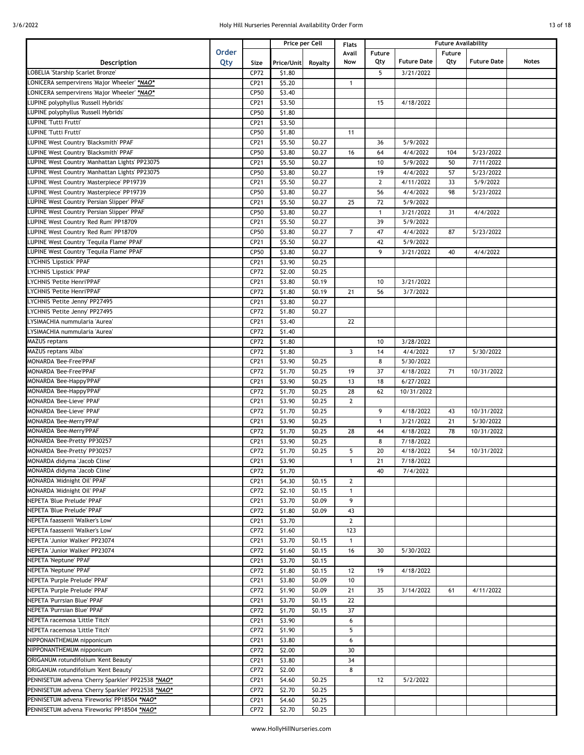|  | 13 of 18 |  |
|--|----------|--|
|  |          |  |

|                                                       |       |      | Price per Cell |         | <b>Flats</b>   | <b>Future Availability</b> |                       |        |                    |       |
|-------------------------------------------------------|-------|------|----------------|---------|----------------|----------------------------|-----------------------|--------|--------------------|-------|
|                                                       | Order |      |                |         | Avail          | Future                     |                       | Future |                    |       |
| Description                                           | Qty   | Size | Price/Unit     | Royalty | Now            | Qty                        | <b>Future Date</b>    | Qty    | <b>Future Date</b> | Notes |
| OBELIA 'Starship Scarlet Bronze'                      |       | CP72 | \$1.80         |         |                | 5                          | 3/21/2022             |        |                    |       |
| ONICERA sempervirens 'Major Wheeler' *NAO*            |       | CP21 | \$5.20         |         | $\mathbf{1}$   |                            |                       |        |                    |       |
| ONICERA sempervirens 'Major Wheeler' *NAO*            |       | CP50 | \$3.40         |         |                |                            |                       |        |                    |       |
| UPINE polyphyllus 'Russell Hybrids'                   |       | CP21 | \$3.50         |         |                | 15                         | 4/18/2022             |        |                    |       |
| UPINE polyphyllus 'Russell Hybrids'                   |       |      |                |         |                |                            |                       |        |                    |       |
| UPINE 'Tutti Frutti'                                  |       | CP50 | \$1.80         |         |                |                            |                       |        |                    |       |
|                                                       |       | CP21 | \$3.50         |         |                |                            |                       |        |                    |       |
| UPINE 'Tutti Frutti'                                  |       | CP50 | \$1.80         |         | 11             |                            |                       |        |                    |       |
| <b>UPINE West Country 'Blacksmith' PPAF</b>           |       | CP21 | \$5.50         | \$0.27  |                | 36                         | 5/9/2022              |        |                    |       |
| <b>LUPINE West Country 'Blacksmith' PPAF</b>          |       | CP50 | \$3.80         | \$0.27  | 16             | 64                         | 4/4/2022              | 104    | 5/23/2022          |       |
| <b>LUPINE West Country 'Manhattan Lights' PP23075</b> |       | CP21 | \$5.50         | \$0.27  |                | 10                         | 5/9/2022              | 50     | 7/11/2022          |       |
| <b>LUPINE West Country 'Manhattan Lights' PP23075</b> |       | CP50 | \$3.80         | \$0.27  |                | 19                         | 4/4/2022              | 57     | 5/23/2022          |       |
| <b>LUPINE West Country 'Masterpiece' PP19739</b>      |       | CP21 | \$5.50         | \$0.27  |                | $\mathbf{2}$               | 4/11/2022             | 33     | 5/9/2022           |       |
| <b>LUPINE West Country 'Masterpiece' PP19739</b>      |       | CP50 | \$3.80         | \$0.27  |                | 56                         | $\frac{1}{4}$ /4/2022 | 98     | 5/23/2022          |       |
| <b>UPINE West Country 'Persian Slipper' PPAF</b>      |       | CP21 | \$5.50         | \$0.27  | 25             | 72                         | 5/9/2022              |        |                    |       |
| <b>UPINE West Country 'Persian Slipper' PPAF</b>      |       | CP50 | \$3.80         | \$0.27  |                | $\mathbf{1}$               | 3/21/2022             | 31     | 4/4/2022           |       |
| UPINE West Country 'Red Rum' PP18709                  |       | CP21 | \$5.50         | \$0.27  |                | 39                         | 5/9/2022              |        |                    |       |
| <b>UPINE West Country 'Red Rum' PP18709</b>           |       | CP50 | \$3.80         | \$0.27  | $\overline{7}$ | 47                         | 4/4/2022              | 87     | 5/23/2022          |       |
| <b>UPINE West Country Tequila Flame' PPAF</b>         |       | CP21 | \$5.50         | \$0.27  |                | 42                         | 5/9/2022              |        |                    |       |
| <b>UPINE West Country 'Tequila Flame' PPAF</b>        |       | CP50 | \$3.80         | \$0.27  |                | 9                          | 3/21/2022             | 40     | 4/4/2022           |       |
| YCHNIS 'Lipstick' PPAF                                |       | CP21 | \$3.90         | \$0.25  |                |                            |                       |        |                    |       |
|                                                       |       |      |                | \$0.25  |                |                            |                       |        |                    |       |
| YCHNIS 'Lipstick' PPAF<br>YCHNIS 'Petite Henri'PPAF   |       | CP72 | \$2.00         |         |                |                            |                       |        |                    |       |
|                                                       |       | CP21 | \$3.80         | \$0.19  |                | 10                         | 3/21/2022             |        |                    |       |
| YCHNIS 'Petite Henri'PPAF                             |       | CP72 | \$1.80         | \$0.19  | 21             | 56                         | 3/7/2022              |        |                    |       |
| YCHNIS 'Petite Jenny' PP27495                         |       | CP21 | \$3.80         | \$0.27  |                |                            |                       |        |                    |       |
| YCHNIS 'Petite Jenny' PP27495                         |       | CP72 | \$1.80         | \$0.27  |                |                            |                       |        |                    |       |
| YSIMACHIA nummularia 'Aurea'                          |       | CP21 | \$3.40         |         | 22             |                            |                       |        |                    |       |
| YSIMACHIA nummularia 'Aurea'                          |       | CP72 | \$1.40         |         |                |                            |                       |        |                    |       |
| <b>MAZUS reptans</b>                                  |       | CP72 | \$1.80         |         |                | 10                         | 3/28/2022             |        |                    |       |
| MAZUS reptans 'Alba'                                  |       | CP72 | \$1.80         |         | $\overline{3}$ | 14                         | 4/4/2022              | 17     | 5/30/2022          |       |
| <b>MONARDA 'Bee-Free'PPAF</b>                         |       | CP21 | \$3.90         | \$0.25  |                | 8                          | 5/30/2022             |        |                    |       |
| <b>MONARDA 'Bee-Free'PPAF</b>                         |       | CP72 | \$1.70         | \$0.25  | 19             | 37                         | 4/18/2022             | 71     | 10/31/2022         |       |
| MONARDA 'Bee-Happy'PPAF                               |       | CP21 | \$3.90         | \$0.25  | 13             | 18                         | 6/27/2022             |        |                    |       |
| MONARDA 'Bee-Happy'PPAF                               |       | CP72 | \$1.70         | \$0.25  | 28             | 62                         | 10/31/2022            |        |                    |       |
| <b>MONARDA 'Bee-Lieve' PPAF</b>                       |       | CP21 | \$3.90         | \$0.25  | $\overline{2}$ |                            |                       |        |                    |       |
| <b>MONARDA 'Bee-Lieve' PPAF</b>                       |       | CP72 | \$1.70         | \$0.25  |                | 9                          | 4/18/2022             | 43     | 10/31/2022         |       |
| MONARDA 'Bee-Merry'PPAF                               |       |      |                |         |                |                            |                       |        |                    |       |
|                                                       |       | CP21 | \$3.90         | \$0.25  |                | $\mathbf{1}$               | 3/21/2022             | 21     | 5/30/2022          |       |
| MONARDA 'Bee-Merry'PPAF                               |       | CP72 | \$1.70         | \$0.25  | 28             | 44                         | 4/18/2022             | 78     | 10/31/2022         |       |
| MONARDA 'Bee-Pretty' PP30257                          |       | CP21 | \$3.90         | \$0.25  |                | 8                          | 7/18/2022             |        |                    |       |
| MONARDA 'Bee-Pretty' PP30257                          |       | CP72 | \$1.70         | \$0.25  | 5              | 20                         | 4/18/2022             | 54     | 10/31/2022         |       |
| MONARDA didyma 'Jacob Cline'                          |       | CP21 | \$3.90         |         | $\mathbf{1}$   | 21                         | 7/18/2022             |        |                    |       |
| MONARDA didyma 'Jacob Cline'                          |       | CP72 | \$1.70         |         |                | 40                         | 7/4/2022              |        |                    |       |
| MONARDA 'Midnight Oil' PPAF                           |       | CP21 | \$4.30         | \$0.15  | $\mathbf{2}$   |                            |                       |        |                    |       |
| MONARDA 'Midnight Oil' PPAF                           |       | CP72 | \$2.10         | \$0.15  | $\mathbf{1}$   |                            |                       |        |                    |       |
| NEPETA 'Blue Prelude' PPAF                            |       | CP21 | \$3.70         | \$0.09  | 9              |                            |                       |        |                    |       |
| NEPETA 'Blue Prelude' PPAF                            |       | CP72 | \$1.80         | \$0.09  | 43             |                            |                       |        |                    |       |
| NEPETA faassenii 'Walker's Low'                       |       | CP21 | \$3.70         |         | $\overline{2}$ |                            |                       |        |                    |       |
| NEPETA faassenii 'Walker's Low'                       |       | CP72 | \$1.60         |         | 123            |                            |                       |        |                    |       |
| NEPETA 'Junior Walker' PP23074                        |       | CP21 | \$3.70         | \$0.15  | $\mathbf{1}$   |                            |                       |        |                    |       |
| NEPETA 'Junior Walker' PP23074                        |       | CP72 | \$1.60         | \$0.15  | 16             | 30                         | 5/30/2022             |        |                    |       |
| NEPETA 'Neptune' PPAF                                 |       |      |                | \$0.15  |                |                            |                       |        |                    |       |
|                                                       |       | CP21 | \$3.70         |         |                |                            |                       |        |                    |       |
| NEPETA 'Neptune' PPAF                                 |       | CP72 | \$1.80         | \$0.15  | 12             | 19                         | 4/18/2022             |        |                    |       |
| NEPETA 'Purple Prelude' PPAF                          |       | CP21 | \$3.80         | \$0.09  | 10             |                            |                       |        |                    |       |
| NEPETA 'Purple Prelude' PPAF                          |       | CP72 | \$1.90         | \$0.09  | 21             | 35                         | 3/14/2022             | 61     | 4/11/2022          |       |
| NEPETA 'Purrsian Blue' PPAF                           |       | CP21 | \$3.70         | \$0.15  | 22             |                            |                       |        |                    |       |
| NEPETA 'Purrsian Blue' PPAF                           |       | CP72 | \$1.70         | \$0.15  | 37             |                            |                       |        |                    |       |
| NEPETA racemosa 'Little Titch'                        |       | CP21 | \$3.90         |         | 6              |                            |                       |        |                    |       |
| NEPETA racemosa 'Little Titch'                        |       | CP72 | \$1.90         |         | 5              |                            |                       |        |                    |       |
| NIPPONANTHEMUM nipponicum                             |       | CP21 | \$3.80         |         | 6              |                            |                       |        |                    |       |
| NIPPONANTHEMUM nipponicum                             |       | CP72 | \$2.00         |         | 30             |                            |                       |        |                    |       |
| ORIGANUM rotundifolium 'Kent Beauty'                  |       | CP21 | \$3.80         |         | 34             |                            |                       |        |                    |       |
| ORIGANUM rotundifolium 'Kent Beauty'                  |       | CP72 | \$2.00         |         | 8              |                            |                       |        |                    |       |
| PENNISETUM advena 'Cherry Sparkler' PP22538 *NAO*     |       | CP21 | \$4.60         | \$0.25  |                | 12                         | 5/2/2022              |        |                    |       |
| PENNISETUM advena 'Cherry Sparkler' PP22538 *NAO*     |       | CP72 | \$2.70         | \$0.25  |                |                            |                       |        |                    |       |
|                                                       |       |      |                |         |                |                            |                       |        |                    |       |
| PENNISETUM advena 'Fireworks' PP18504 *NAO*           |       | CP21 | \$4.60         | \$0.25  |                |                            |                       |        |                    |       |
| PENNISETUM advena 'Fireworks' PP18504 *NAO*           |       | CP72 | \$2.70         | \$0.25  |                |                            |                       |        |                    |       |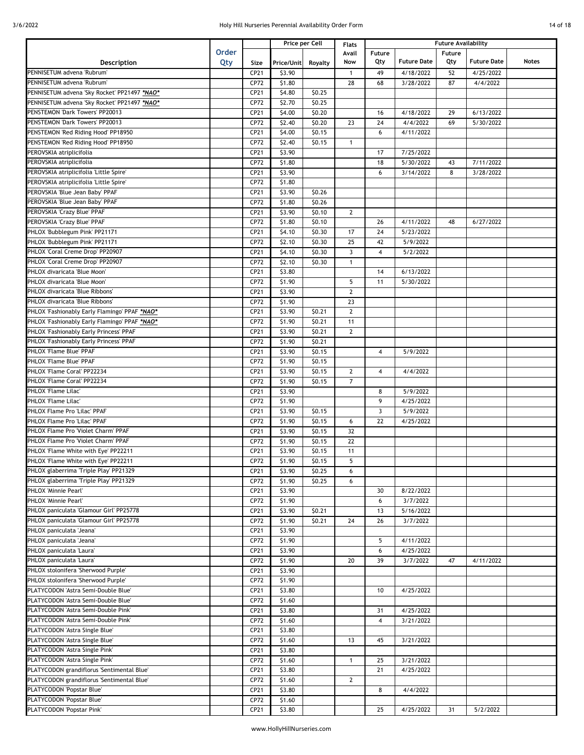|  | 14 of 18 |  |
|--|----------|--|
|  |          |  |

|                                               |       |      |            | Price per Cell | <b>Flats</b>   | <b>Future Availability</b> |                      |               |                    |       |
|-----------------------------------------------|-------|------|------------|----------------|----------------|----------------------------|----------------------|---------------|--------------------|-------|
|                                               | Order |      |            |                | Avail          | Future                     |                      | <b>Future</b> |                    |       |
| Description                                   | Qty   | Size | Price/Unit | Royalty        | Now            | Qty                        | <b>Future Date</b>   | Qty           | <b>Future Date</b> | Notes |
| PENNISETUM advena 'Rubrum'                    |       | CP21 | \$3.90     |                | $\mathbf{1}$   | 49                         | 4/18/2022            | 52            | 4/25/2022          |       |
| PENNISETUM advena 'Rubrum'                    |       | CP72 | \$1.80     |                | 28             | 68                         | 3/28/2022            | 87            | 4/4/2022           |       |
| PENNISETUM advena 'Sky Rocket' PP21497 *NAO*  |       | CP21 | \$4.80     | \$0.25         |                |                            |                      |               |                    |       |
| PENNISETUM advena 'Sky Rocket' PP21497 *NAO*  |       |      |            | \$0.25         |                |                            |                      |               |                    |       |
|                                               |       | CP72 | \$2.70     |                |                |                            |                      |               |                    |       |
| PENSTEMON 'Dark Towers' PP20013               |       | CP21 | \$4.00     | \$0.20         |                | 16                         | 4/18/2022            | 29            | 6/13/2022          |       |
| PENSTEMON 'Dark Towers' PP20013               |       | CP72 | \$2.40     | \$0.20         | 23             | 24                         | $\frac{1}{4}/4/2022$ | 69            | 5/30/2022          |       |
| PENSTEMON 'Red Riding Hood' PP18950           |       | CP21 | \$4.00     | \$0.15         |                | 6                          | 4/11/2022            |               |                    |       |
| PENSTEMON 'Red Riding Hood' PP18950           |       | CP72 | \$2.40     | \$0.15         | $\mathbf{1}$   |                            |                      |               |                    |       |
| PEROVSKIA atriplicifolia                      |       | CP21 | \$3.90     |                |                | 17                         | 7/25/2022            |               |                    |       |
| PEROVSKIA atriplicifolia                      |       | CP72 | \$1.80     |                |                | 18                         | 5/30/2022            | 43            | 7/11/2022          |       |
| PEROVSKIA atriplicifolia 'Little Spire'       |       | CP21 | \$3.90     |                |                | 6                          | 3/14/2022            | 8             | 3/28/2022          |       |
| PEROVSKIA atriplicifolia 'Little Spire'       |       | CP72 | \$1.80     |                |                |                            |                      |               |                    |       |
| PEROVSKIA 'Blue Jean Baby' PPAF               |       | CP21 | \$3.90     | \$0.26         |                |                            |                      |               |                    |       |
| PEROVSKIA 'Blue Jean Baby' PPAF               |       | CP72 | \$1.80     | \$0.26         |                |                            |                      |               |                    |       |
| PEROVSKIA 'Crazy Blue' PPAF                   |       | CP21 | \$3.90     | \$0.10         | $\overline{2}$ |                            |                      |               |                    |       |
| PEROVSKIA 'Crazy Blue' PPAF                   |       | CP72 | \$1.80     | \$0.10         |                | 26                         | 4/11/2022            | 48            | 6/27/2022          |       |
| PHLOX 'Bubblegum Pink' PP21171                |       |      |            |                |                |                            |                      |               |                    |       |
|                                               |       | CP21 | \$4.10     | \$0.30         | 17             | 24                         | 5/23/2022            |               |                    |       |
| PHLOX 'Bubblegum Pink' PP21171                |       | CP72 | \$2.10     | \$0.30         | 25             | 42                         | 5/9/2022             |               |                    |       |
| PHLOX 'Coral Creme Drop' PP20907              |       | CP21 | \$4.10     | \$0.30         | $\overline{3}$ | $\overline{4}$             | 5/2/2022             |               |                    |       |
| PHLOX 'Coral Creme Drop' PP20907              |       | CP72 | \$2.10     | \$0.30         | $\mathbf{1}$   |                            |                      |               |                    |       |
| PHLOX divaricata 'Blue Moon'                  |       | CP21 | \$3.80     |                |                | 14                         | 6/13/2022            |               |                    |       |
| PHLOX divaricata 'Blue Moon'                  |       | CP72 | \$1.90     |                | 5              | 11                         | 5/30/2022            |               |                    |       |
| PHLOX divaricata 'Blue Ribbons'               |       | CP21 | \$3.90     |                | $\mathbf{2}$   |                            |                      |               |                    |       |
| <b>PHLOX divaricata 'Blue Ribbons'</b>        |       | CP72 | \$1.90     |                | 23             |                            |                      |               |                    |       |
| PHLOX 'Fashionably Early Flamingo' PPAF *NAO* |       | CP21 | \$3.90     | \$0.21         | $\overline{2}$ |                            |                      |               |                    |       |
| PHLOX 'Fashionably Early Flamingo' PPAF *NAO* |       | CP72 | \$1.90     | \$0.21         | 11             |                            |                      |               |                    |       |
| PHLOX 'Fashionably Early Princess' PPAF       |       | CP21 | \$3.90     | \$0.21         | $\mathbf{2}$   |                            |                      |               |                    |       |
| PHLOX 'Fashionably Early Princess' PPAF       |       | CP72 | \$1.90     | \$0.21         |                |                            |                      |               |                    |       |
| PHLOX 'Flame Blue' PPAF                       |       | CP21 | \$3.90     | \$0.15         |                | $\overline{4}$             | 5/9/2022             |               |                    |       |
| PHLOX 'Flame Blue' PPAF                       |       | CP72 | \$1.90     | \$0.15         |                |                            |                      |               |                    |       |
|                                               |       |      |            |                |                |                            |                      |               |                    |       |
| PHLOX 'Flame Coral' PP22234                   |       | CP21 | \$3.90     | \$0.15         | $\overline{2}$ | $\overline{4}$             | 4/4/2022             |               |                    |       |
| PHLOX 'Flame Coral' PP22234                   |       | CP72 | \$1.90     | \$0.15         | $\overline{7}$ |                            |                      |               |                    |       |
| PHLOX 'Flame Lilac'                           |       | CP21 | \$3.90     |                |                | 8                          | 5/9/2022             |               |                    |       |
| PHLOX 'Flame Lilac'                           |       | CP72 | \$1.90     |                |                | 9                          | 4/25/2022            |               |                    |       |
| PHLOX Flame Pro 'Lilac' PPAF                  |       | CP21 | \$3.90     | \$0.15         |                | 3                          | 5/9/2022             |               |                    |       |
| PHLOX Flame Pro 'Lilac' PPAF                  |       | CP72 | \$1.90     | \$0.15         | 6              | 22                         | 4/25/2022            |               |                    |       |
| PHLOX Flame Pro 'Violet Charm' PPAF           |       | CP21 | \$3.90     | \$0.15         | 32             |                            |                      |               |                    |       |
| PHLOX Flame Pro 'Violet Charm' PPAF           |       | CP72 | \$1.90     | \$0.15         | 22             |                            |                      |               |                    |       |
| PHLOX 'Flame White with Eye' PP22211          |       | CP21 | \$3.90     | \$0.15         | 11             |                            |                      |               |                    |       |
| PHLOX 'Flame White with Eye' PP22211          |       | CP72 | \$1.90     | \$0.15         | 5              |                            |                      |               |                    |       |
| PHLOX glaberrima 'Triple Play' PP21329        |       | CP21 | \$3.90     | \$0.25         | 6              |                            |                      |               |                    |       |
| PHLOX glaberrima 'Triple Play' PP21329        |       | CP72 | \$1.90     | \$0.25         | 6              |                            |                      |               |                    |       |
| PHLOX 'Minnie Pearl'                          |       |      |            |                |                | 30                         | 8/22/2022            |               |                    |       |
|                                               |       | CP21 | \$3.90     |                |                |                            |                      |               |                    |       |
| PHLOX 'Minnie Pearl'                          |       | CP72 | \$1.90     |                |                | 6                          | 3/7/2022             |               |                    |       |
| PHLOX paniculata 'Glamour Girl' PP25778       |       | CP21 | \$3.90     | \$0.21         |                | 13                         | 5/16/2022            |               |                    |       |
| PHLOX paniculata 'Glamour Girl' PP25778       |       | CP72 | \$1.90     | \$0.21         | 24             | 26                         | 3/7/2022             |               |                    |       |
| PHLOX paniculata 'Jeana'                      |       | CP21 | \$3.90     |                |                |                            |                      |               |                    |       |
| PHLOX paniculata 'Jeana'                      |       | CP72 | \$1.90     |                |                | 5                          | 4/11/2022            |               |                    |       |
| PHLOX paniculata 'Laura'                      |       | CP21 | \$3.90     |                |                | 6                          | 4/25/2022            |               |                    |       |
| PHLOX paniculata 'Laura'                      |       | CP72 | \$1.90     |                | 20             | 39                         | 3/7/2022             | 47            | 4/11/2022          |       |
| PHLOX stolonifera 'Sherwood Purple'           |       | CP21 | \$3.90     |                |                |                            |                      |               |                    |       |
| PHLOX stolonifera 'Sherwood Purple'           |       | CP72 | \$1.90     |                |                |                            |                      |               |                    |       |
| PLATYCODON 'Astra Semi-Double Blue'           |       | CP21 | \$3.80     |                |                | 10                         | 4/25/2022            |               |                    |       |
| PLATYCODON 'Astra Semi-Double Blue'           |       | CP72 | \$1.60     |                |                |                            |                      |               |                    |       |
| PLATYCODON 'Astra Semi-Double Pink'           |       | CP21 | \$3.80     |                |                | 31                         | 4/25/2022            |               |                    |       |
| PLATYCODON 'Astra Semi-Double Pink'           |       | CP72 | \$1.60     |                |                | 4                          |                      |               |                    |       |
|                                               |       |      |            |                |                |                            | 3/21/2022            |               |                    |       |
| PLATYCODON 'Astra Single Blue'                |       | CP21 | \$3.80     |                |                |                            |                      |               |                    |       |
| PLATYCODON 'Astra Single Blue'                |       | CP72 | \$1.60     |                | 13             | 45                         | 3/21/2022            |               |                    |       |
| PLATYCODON 'Astra Single Pink'                |       | CP21 | \$3.80     |                |                |                            |                      |               |                    |       |
| PLATYCODON 'Astra Single Pink'                |       | CP72 | \$1.60     |                | $\mathbf{1}$   | 25                         | 3/21/2022            |               |                    |       |
| PLATYCODON grandiflorus 'Sentimental Blue'    |       | CP21 | \$3.80     |                |                | 21                         | 4/25/2022            |               |                    |       |
| PLATYCODON grandiflorus 'Sentimental Blue'    |       | CP72 | \$1.60     |                | $\mathbf{2}$   |                            |                      |               |                    |       |
| PLATYCODON 'Popstar Blue'                     |       | CP21 | \$3.80     |                |                | 8                          | 4/4/2022             |               |                    |       |
| PLATYCODON 'Popstar Blue'                     |       | CP72 | \$1.60     |                |                |                            |                      |               |                    |       |
| PLATYCODON 'Popstar Pink'                     |       | CP21 | \$3.80     |                |                | 25                         | 4/25/2022            | 31            | 5/2/2022           |       |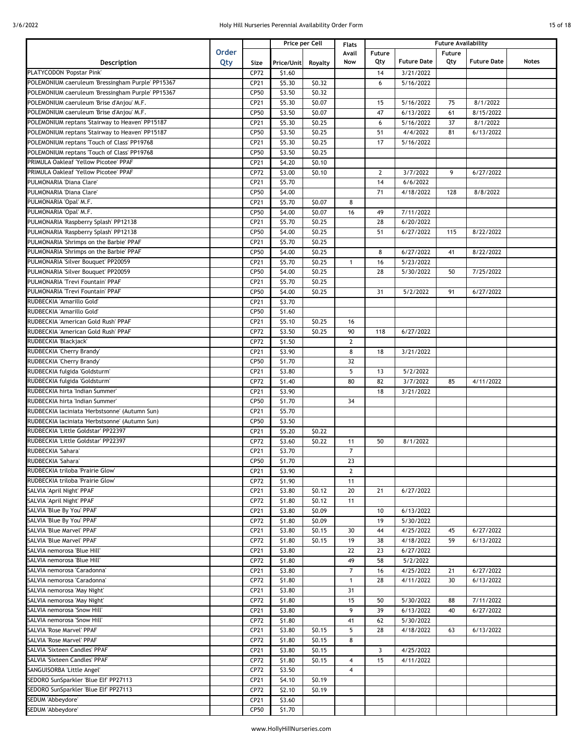|  | 15 of 18 |  |
|--|----------|--|
|  |          |  |

|                                                            |       |              |                  | Price per Cell | <b>Flats</b>                   |                |                        | <b>Future Availability</b> |                        |              |
|------------------------------------------------------------|-------|--------------|------------------|----------------|--------------------------------|----------------|------------------------|----------------------------|------------------------|--------------|
|                                                            | Order |              |                  |                | Avail                          | Future         |                        | <b>Future</b>              |                        |              |
| Description                                                | Qty   | Size         | Price/Unit       | Royalty        | Now                            | Qty            | <b>Future Date</b>     | Qty                        | <b>Future Date</b>     | <b>Notes</b> |
| PLATYCODON 'Popstar Pink'                                  |       | CP72         | \$1.60           |                |                                | 14             | 3/21/2022              |                            |                        |              |
| POLEMONIUM caeruleum 'Bressingham Purple' PP15367          |       | CP21         | \$5.30           | \$0.32         |                                | 6              | 5/16/2022              |                            |                        |              |
| POLEMONIUM caeruleum 'Bressingham Purple' PP15367          |       | CP50         | \$3.50           | \$0.32         |                                |                |                        |                            |                        |              |
| POLEMONIUM caeruleum 'Brise d'Anjou' M.F.                  |       | CP21         | \$5.30           | \$0.07         |                                | 15             | 5/16/2022              | 75                         | 8/1/2022               |              |
| POLEMONIUM caeruleum 'Brise d'Anjou' M.F.                  |       | <b>CP50</b>  | \$3.50           | \$0.07         |                                | 47             | 6/13/2022              | 61                         | 8/15/2022              |              |
| POLEMONIUM reptans 'Stairway to Heaven' PP15187            |       | CP21         | \$5.30           | \$0.25         |                                | 6              | $\frac{1}{5}$ /16/2022 | 37                         | 8/1/2022               |              |
| POLEMONIUM reptans 'Stairway to Heaven' PP15187            |       | CP50         | \$3.50           | \$0.25         |                                | 51             | 4/4/2022               | 81                         | 6/13/2022              |              |
| POLEMONIUM reptans 'Touch of Class' PP19768                |       | CP21         | \$5.30           | \$0.25         |                                | 17             | 5/16/2022              |                            |                        |              |
| POLEMONIUM reptans 'Touch of Class' PP19768                |       | CP50         | \$3.50           | \$0.25         |                                |                |                        |                            |                        |              |
| PRIMULA Oakleaf 'Yellow Picotee' PPAF                      |       | CP21         | \$4.20           | \$0.10         |                                |                |                        |                            |                        |              |
| PRIMULA Oakleaf 'Yellow Picotee' PPAF                      |       | CP72         | \$3.00           | \$0.10         |                                | $\overline{2}$ | 3/7/2022               | 9                          | 6/27/2022              |              |
| PULMONARIA 'Diana Clare'                                   |       |              |                  |                |                                |                |                        |                            |                        |              |
| PULMONARIA 'Diana Clare'                                   |       | CP21<br>CP50 | \$5.70           |                |                                | 14<br>71       | 6/6/2022               | 128                        |                        |              |
|                                                            |       |              | \$4.00           |                |                                |                | 4/18/2022              |                            | 8/8/2022               |              |
| PULMONARIA 'Opal' M.F.                                     |       | CP21         | \$5.70           | \$0.07         | 8                              |                |                        |                            |                        |              |
| PULMONARIA 'Opal' M.F.                                     |       | CP50         | \$4.00           | \$0.07         | 16                             | 49             | 7/11/2022              |                            |                        |              |
| PULMONARIA 'Raspberry Splash' PP12138                      |       | CP21         | \$5.70           | \$0.25         |                                | 28             | 6/20/2022              |                            |                        |              |
| PULMONARIA 'Raspberry Splash' PP12138                      |       | CP50         | \$4.00           | \$0.25         |                                | 51             | 6/27/2022              | 115                        | 8/22/2022              |              |
| PULMONARIA 'Shrimps on the Barbie' PPAF                    |       | CP21         | \$5.70           | \$0.25         |                                |                |                        |                            |                        |              |
| PULMONARIA 'Shrimps on the Barbie' PPAF                    |       | CP50         | \$4.00           | \$0.25         |                                | 8              | 6/27/2022              | 41                         | 8/22/2022              |              |
| PULMONARIA 'Silver Bouquet' PP20059                        |       | CP21         | \$5.70           | \$0.25         | 1                              | 16             | 5/23/2022              |                            |                        |              |
| PULMONARIA 'Silver Bouquet' PP20059                        |       | CP50         | \$4.00           | \$0.25         |                                | 28             | 5/30/2022              | 50                         | 7/25/2022              |              |
| PULMONARIA 'Trevi Fountain' PPAF                           |       | CP21         | \$5.70           | \$0.25         |                                |                |                        |                            |                        |              |
| PULMONARIA 'Trevi Fountain' PPAF                           |       | CP50         | \$4.00           | \$0.25         |                                | 31             | 5/2/2022               | 91                         | 6/27/2022              |              |
| RUDBECKIA 'Amarillo Gold'                                  |       | CP21         | \$3.70           |                |                                |                |                        |                            |                        |              |
| RUDBECKIA 'Amarillo Gold'                                  |       | CP50         | \$1.60           |                |                                |                |                        |                            |                        |              |
| RUDBECKIA 'American Gold Rush' PPAF                        |       | CP21         | \$5.10           | \$0.25         | 16                             |                |                        |                            |                        |              |
| RUDBECKIA 'American Gold Rush' PPAF                        |       | CP72         | \$3.50           | \$0.25         | 90                             | 118            | 6/27/2022              |                            |                        |              |
| RUDBECKIA 'Blackjack'                                      |       | CP72         | \$1.50           |                | $\overline{2}$                 |                |                        |                            |                        |              |
| RUDBECKIA 'Cherry Brandy'                                  |       | CP21         | \$3.90           |                | 8                              | 18             | 3/21/2022              |                            |                        |              |
| RUDBECKIA 'Cherry Brandy'                                  |       | CP50         | \$1.70           |                | 32                             |                |                        |                            |                        |              |
| RUDBECKIA fulgida 'Goldsturm'                              |       | CP21         | \$3.80           |                | 5                              | 13             | 5/2/2022               |                            |                        |              |
| RUDBECKIA fulgida 'Goldsturm'                              |       | CP72         | \$1.40           |                | 80                             | 82             | 3/7/2022               | 85                         | 4/11/2022              |              |
| RUDBECKIA hirta 'Indian Summer'                            |       | CP21         | \$3.90           |                |                                | 18             | 3/21/2022              |                            |                        |              |
| RUDBECKIA hirta 'Indian Summer'                            |       | CP50         | \$1.70           |                | 34                             |                |                        |                            |                        |              |
| RUDBECKIA laciniata 'Herbstsonne' (Autumn Sun)             |       | CP21         | \$5.70           |                |                                |                |                        |                            |                        |              |
| RUDBECKIA laciniata 'Herbstsonne' (Autumn Sun)             |       | CP50         | \$3.50           |                |                                |                |                        |                            |                        |              |
| RUDBECKIA 'Little Goldstar' PP22397                        |       | CP21         | \$5.20           | \$0.22         |                                |                |                        |                            |                        |              |
| RUDBECKIA 'Little Goldstar' PP22397                        |       | CP72         | \$3.60           | \$0.22         | 11                             | 50             | 8/1/2022               |                            |                        |              |
| RUDBECKIA 'Sahara'                                         |       | CP21         | \$3.70           |                | $\overline{7}$                 |                |                        |                            |                        |              |
| RUDBECKIA 'Sahara'                                         |       | CP50         | \$1.70           |                | 23                             |                |                        |                            |                        |              |
| RUDBECKIA triloba 'Prairie Glow'                           |       | CP21         | \$3.90           |                | $\mathbf{2}$                   |                |                        |                            |                        |              |
| RUDBECKIA triloba 'Prairie Glow'                           |       | CP72         | \$1.90           |                | 11                             |                |                        |                            |                        |              |
| SALVIA 'April Night' PPAF                                  |       | CP21         | \$3.80           | \$0.12         | 20                             | 21             | 6/27/2022              |                            |                        |              |
| SALVIA 'April Night' PPAF                                  |       | CP72         | \$1.80           | \$0.12         | 11                             |                |                        |                            |                        |              |
| SALVIA 'Blue By You' PPAF                                  |       | CP21         | \$3.80           | \$0.09         |                                | 10             | 6/13/2022              |                            |                        |              |
| SALVIA 'Blue By You' PPAF                                  |       | CP72         | \$1.80           | \$0.09         |                                | 19             | 5/30/2022              |                            |                        |              |
| SALVIA 'Blue Marvel' PPAF                                  |       | CP21         | \$3.80           | \$0.15         | 30                             | 44             | 4/25/2022              | 45                         | 6/27/2022              |              |
| SALVIA 'Blue Marvel' PPAF                                  |       | CP72         | \$1.80           | \$0.15         | 19                             | 38             | 4/18/2022              | 59                         | 6/13/2022              |              |
| SALVIA nemorosa 'Blue Hill'                                |       | CP21         | \$3.80           |                | 22                             | 23             | 6/27/2022              |                            |                        |              |
| SALVIA nemorosa 'Blue Hill'                                |       | CP72         |                  |                | 49                             | 58             | 5/2/2022               |                            |                        |              |
|                                                            |       |              | \$1.80           |                |                                |                |                        |                            |                        |              |
| SALVIA nemorosa 'Caradonna'<br>SALVIA nemorosa 'Caradonna' |       | CP21<br>CP72 | \$3.80<br>\$1.80 |                | $\overline{7}$<br>$\mathbf{1}$ | 16<br>28       | 4/25/2022<br>4/11/2022 | 21<br>30                   | 6/27/2022<br>6/13/2022 |              |
|                                                            |       |              |                  |                |                                |                |                        |                            |                        |              |
| SALVIA nemorosa 'May Night'                                |       | CP21         | \$3.80           |                | 31                             |                |                        |                            |                        |              |
| SALVIA nemorosa 'May Night'                                |       | CP72         | \$1.80           |                | 15                             | 50             | 5/30/2022              | 88                         | 7/11/2022              |              |
| SALVIA nemorosa 'Snow Hill'                                |       | CP21         | \$3.80           |                | 9                              | 39             | 6/13/2022              | 40                         | 6/27/2022              |              |
| SALVIA nemorosa 'Snow Hill'                                |       | CP72         | \$1.80           |                | 41                             | 62             | 5/30/2022              |                            |                        |              |
| SALVIA 'Rose Marvel' PPAF                                  |       | CP21         | \$3.80           | \$0.15         | 5                              | 28             | 4/18/2022              | 63                         | 6/13/2022              |              |
| <b>SALVIA 'Rose Marvel' PPAF</b>                           |       | CP72         | \$1.80           | \$0.15         | 8                              |                |                        |                            |                        |              |
| SALVIA 'Sixteen Candles' PPAF                              |       | CP21         | \$3.80           | \$0.15         |                                | 3              | 4/25/2022              |                            |                        |              |
| SALVIA 'Sixteen Candles' PPAF                              |       | CP72         | \$1.80           | \$0.15         | 4                              | 15             | 4/11/2022              |                            |                        |              |
| SANGUISORBA 'Little Angel'                                 |       | CP72         | \$3.50           |                | $\overline{4}$                 |                |                        |                            |                        |              |
| SEDORO SunSparkler 'Blue Elf' PP27113                      |       | CP21         | \$4.10           | \$0.19         |                                |                |                        |                            |                        |              |
| SEDORO SunSparkler 'Blue Elf' PP27113                      |       | CP72         | \$2.10           | \$0.19         |                                |                |                        |                            |                        |              |
| SEDUM 'Abbeydore'                                          |       | CP21         | \$3.60           |                |                                |                |                        |                            |                        |              |
| SEDUM 'Abbeydore'                                          |       | CP50         | \$1.70           |                |                                |                |                        |                            |                        |              |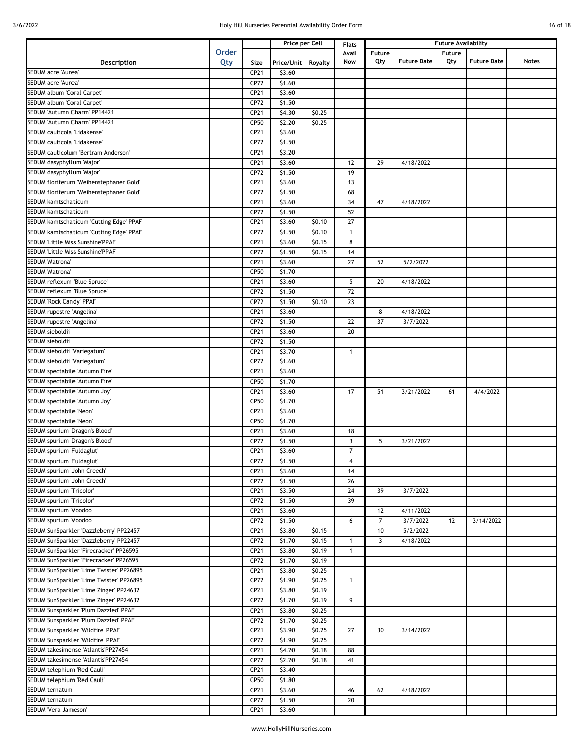|  | 16 of 18 |  |
|--|----------|--|
|  |          |  |

|                                          |              |      |            | Price per Cell | Flats          | <b>Future Availability</b> |                    |               |                    |              |
|------------------------------------------|--------------|------|------------|----------------|----------------|----------------------------|--------------------|---------------|--------------------|--------------|
|                                          | <b>Order</b> |      |            |                | Avail          | <b>Future</b>              |                    | <b>Future</b> |                    |              |
| Description                              | Qty          | Size | Price/Unit | Royalty        | Now            | Qty                        | <b>Future Date</b> | Qty           | <b>Future Date</b> | <b>Notes</b> |
| SEDUM acre 'Aurea'                       |              | CP21 | \$3.60     |                |                |                            |                    |               |                    |              |
| SEDUM acre 'Aurea'                       |              | CP72 | \$1.60     |                |                |                            |                    |               |                    |              |
| SEDUM album 'Coral Carpet'               |              | CP21 | \$3.60     |                |                |                            |                    |               |                    |              |
| SEDUM album 'Coral Carpet'               |              | CP72 | \$1.50     |                |                |                            |                    |               |                    |              |
| SEDUM 'Autumn Charm' PP14421             |              | CP21 | \$4.30     | \$0.25         |                |                            |                    |               |                    |              |
| SEDUM 'Autumn Charm' PP14421             |              | CP50 | \$2.20     | \$0.25         |                |                            |                    |               |                    |              |
| SEDUM cauticola 'Lidakense'              |              | CP21 | \$3.60     |                |                |                            |                    |               |                    |              |
| SEDUM cauticola 'Lidakense'              |              | CP72 | \$1.50     |                |                |                            |                    |               |                    |              |
| SEDUM cauticolum 'Bertram Anderson'      |              | CP21 | \$3.20     |                |                |                            |                    |               |                    |              |
| SEDUM dasyphyllum 'Major'                |              | CP21 | \$3.60     |                | 12             | 29                         | 4/18/2022          |               |                    |              |
| SEDUM dasyphyllum 'Major'                |              | CP72 | \$1.50     |                | 19             |                            |                    |               |                    |              |
|                                          |              |      |            |                |                |                            |                    |               |                    |              |
| SEDUM floriferum 'Weihenstephaner Gold'  |              | CP21 | \$3.60     |                | 13             |                            |                    |               |                    |              |
| SEDUM floriferum 'Weihenstephaner Gold'  |              | CP72 | \$1.50     |                | 68             |                            |                    |               |                    |              |
| SEDUM kamtschaticum                      |              | CP21 | \$3.60     |                | 34             | 47                         | 4/18/2022          |               |                    |              |
| SEDUM kamtschaticum                      |              | CP72 | \$1.50     |                | 52             |                            |                    |               |                    |              |
| SEDUM kamtschaticum 'Cutting Edge' PPAF  |              | CP21 | \$3.60     | \$0.10         | 27             |                            |                    |               |                    |              |
| SEDUM kamtschaticum 'Cutting Edge' PPAF  |              | CP72 | \$1.50     | \$0.10         | $\mathbf{1}$   |                            |                    |               |                    |              |
| SEDUM 'Little Miss Sunshine'PPAF         |              | CP21 | \$3.60     | \$0.15         | 8              |                            |                    |               |                    |              |
| SEDUM 'Little Miss Sunshine'PPAF         |              | CP72 | \$1.50     | \$0.15         | 14             |                            |                    |               |                    |              |
| SEDUM 'Matrona'                          |              | CP21 | \$3.60     |                | 27             | 52                         | 5/2/2022           |               |                    |              |
| SEDUM 'Matrona'                          |              | CP50 | \$1.70     |                |                |                            |                    |               |                    |              |
| SEDUM reflexum 'Blue Spruce'             |              | CP21 | \$3.60     |                | 5              | 20                         | 4/18/2022          |               |                    |              |
| SEDUM reflexum 'Blue Spruce'             |              | CP72 | \$1.50     |                | 72             |                            |                    |               |                    |              |
| SEDUM 'Rock Candy' PPAF                  |              | CP72 | \$1.50     | \$0.10         | 23             |                            |                    |               |                    |              |
| SEDUM rupestre 'Angelina'                |              | CP21 | \$3.60     |                |                | 8                          | 4/18/2022          |               |                    |              |
| SEDUM rupestre 'Angelina'                |              | CP72 | \$1.50     |                | 22             | 37                         | 3/7/2022           |               |                    |              |
| SEDUM sieboldii                          |              | CP21 | \$3.60     |                | 20             |                            |                    |               |                    |              |
| SEDUM sieboldii                          |              | CP72 | \$1.50     |                |                |                            |                    |               |                    |              |
| SEDUM sieboldii 'Variegatum'             |              | CP21 | \$3.70     |                | $\mathbf{1}$   |                            |                    |               |                    |              |
| SEDUM sieboldii 'Variegatum'             |              | CP72 | \$1.60     |                |                |                            |                    |               |                    |              |
| SEDUM spectabile 'Autumn Fire'           |              | CP21 | \$3.60     |                |                |                            |                    |               |                    |              |
|                                          |              | CP50 | \$1.70     |                |                |                            |                    |               |                    |              |
| SEDUM spectabile 'Autumn Fire'           |              |      |            |                |                |                            |                    |               |                    |              |
| SEDUM spectabile 'Autumn Joy'            |              | CP21 | \$3.60     |                | 17             | 51                         | 3/21/2022          | 61            | 4/4/2022           |              |
| SEDUM spectabile 'Autumn Joy'            |              | CP50 | \$1.70     |                |                |                            |                    |               |                    |              |
| SEDUM spectabile 'Neon'                  |              | CP21 | \$3.60     |                |                |                            |                    |               |                    |              |
| SEDUM spectabile 'Neon'                  |              | CP50 | \$1.70     |                |                |                            |                    |               |                    |              |
| SEDUM spurium 'Dragon's Blood'           |              | CP21 | \$3.60     |                | 18             |                            |                    |               |                    |              |
| SEDUM spurium 'Dragon's Blood'           |              | CP72 | \$1.50     |                | 3              | 5                          | 3/21/2022          |               |                    |              |
| SEDUM spurium 'Fuldaglut'                |              | CP21 | \$3.60     |                | $\overline{7}$ |                            |                    |               |                    |              |
| SEDUM spurium 'Fuldaglut'                |              | CP72 | \$1.50     |                | $\overline{4}$ |                            |                    |               |                    |              |
| SEDUM spurium 'John Creech'              |              | CP21 | \$3.60     |                | 14             |                            |                    |               |                    |              |
| SEDUM spurium 'John Creech'              |              | CP72 | \$1.50     |                | 26             |                            |                    |               |                    |              |
| SEDUM spurium 'Tricolor'                 |              | CP21 | \$3.50     |                | 24             | 39                         | 3/7/2022           |               |                    |              |
| SEDUM spurium 'Tricolor'                 |              | CP72 | \$1.50     |                | 39             |                            |                    |               |                    |              |
| SEDUM spurium 'Voodoo'                   |              | CP21 | \$3.60     |                |                | 12                         | 4/11/2022          |               |                    |              |
| SEDUM spurium 'Voodoo'                   |              | CP72 | \$1.50     |                | 6              | $\overline{7}$             | 3/7/2022           | 12            | 3/14/2022          |              |
| SEDUM SunSparkler 'Dazzleberry' PP22457  |              | CP21 | \$3.80     | \$0.15         |                | 10                         | 5/2/2022           |               |                    |              |
| SEDUM SunSparkler 'Dazzleberry' PP22457  |              | CP72 | \$1.70     | \$0.15         | $\mathbf{1}$   | $\mathbf{3}$               | 4/18/2022          |               |                    |              |
| SEDUM SunSparkler 'Firecracker' PP26595  |              | CP21 | \$3.80     | \$0.19         | $\mathbf{1}$   |                            |                    |               |                    |              |
| SEDUM SunSparkler 'Firecracker' PP26595  |              | CP72 | \$1.70     | \$0.19         |                |                            |                    |               |                    |              |
| SEDUM SunSparkler 'Lime Twister' PP26895 |              | CP21 | \$3.80     | \$0.25         |                |                            |                    |               |                    |              |
| SEDUM SunSparkler 'Lime Twister' PP26895 |              | CP72 | \$1.90     | \$0.25         | $\mathbf{1}$   |                            |                    |               |                    |              |
| SEDUM SunSparkler 'Lime Zinger' PP24632  |              | CP21 | \$3.80     | \$0.19         |                |                            |                    |               |                    |              |
| SEDUM SunSparkler 'Lime Zinger' PP24632  |              | CP72 | \$1.70     | \$0.19         | 9              |                            |                    |               |                    |              |
| SEDUM Sunsparkler 'Plum Dazzled' PPAF    |              | CP21 | \$3.80     | \$0.25         |                |                            |                    |               |                    |              |
| SEDUM Sunsparkler 'Plum Dazzled' PPAF    |              | CP72 | \$1.70     | \$0.25         |                |                            |                    |               |                    |              |
| SEDUM Sunsparkler 'Wildfire' PPAF        |              | CP21 |            | \$0.25         |                |                            |                    |               |                    |              |
|                                          |              |      | \$3.90     |                | 27             | 30                         | 3/14/2022          |               |                    |              |
| SEDUM Sunsparkler 'Wildfire' PPAF        |              | CP72 | \$1.90     | \$0.25         |                |                            |                    |               |                    |              |
| SEDUM takesimense 'Atlantis'PP27454      |              | CP21 | \$4.20     | \$0.18         | 88             |                            |                    |               |                    |              |
| SEDUM takesimense 'Atlantis'PP27454      |              | CP72 | \$2.20     | \$0.18         | 41             |                            |                    |               |                    |              |
| SEDUM telephium 'Red Cauli'              |              | CP21 | \$3.40     |                |                |                            |                    |               |                    |              |
| SEDUM telephium 'Red Cauli'              |              | CP50 | \$1.80     |                |                |                            |                    |               |                    |              |
| SEDUM ternatum                           |              | CP21 | \$3.60     |                | 46             | 62                         | 4/18/2022          |               |                    |              |
| SEDUM ternatum                           |              | CP72 | \$1.50     |                | 20             |                            |                    |               |                    |              |
| SEDUM 'Vera Jameson'                     |              | CP21 | \$3.60     |                |                |                            |                    |               |                    |              |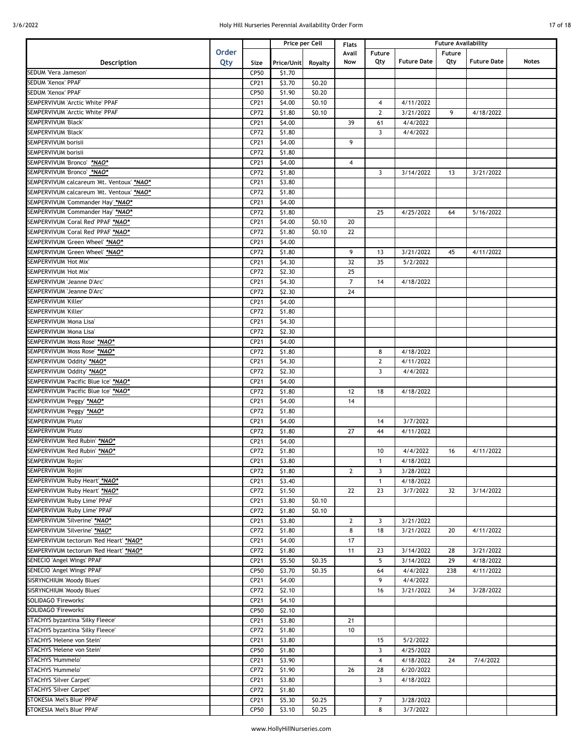|  | 7 of 18 |  |
|--|---------|--|
|  |         |  |

|                                           |              |      |            | Price per Cell | Flats          | <b>Future Availability</b> |                    |        |                    |       |
|-------------------------------------------|--------------|------|------------|----------------|----------------|----------------------------|--------------------|--------|--------------------|-------|
|                                           | <b>Order</b> |      |            |                | Avail          | Future                     |                    | Future |                    |       |
| Description                               | Qty          | Size | Price/Unit | Royalty        | Now            | Qty                        | <b>Future Date</b> | Qty    | <b>Future Date</b> | Notes |
| SEDUM 'Vera Jameson'                      |              | CP50 | \$1.70     |                |                |                            |                    |        |                    |       |
| SEDUM 'Xenox' PPAF                        |              | CP21 | \$3.70     | \$0.20         |                |                            |                    |        |                    |       |
| SEDUM 'Xenox' PPAF                        |              | CP50 | \$1.90     | \$0.20         |                |                            |                    |        |                    |       |
| SEMPERVIVUM 'Arctic White' PPAF           |              | CP21 | \$4.00     | \$0.10         |                | $\overline{4}$             | 4/11/2022          |        |                    |       |
| SEMPERVIVUM 'Arctic White' PPAF           |              | CP72 | \$1.80     | \$0.10         |                | $\overline{2}$             | 3/21/2022          | 9      | 4/18/2022          |       |
| SEMPERVIVUM 'Black'                       |              | CP21 | \$4.00     |                | 39             | 61                         | 4/4/2022           |        |                    |       |
| SEMPERVIVUM 'Black'                       |              | CP72 | \$1.80     |                |                | $\overline{3}$             | 4/4/2022           |        |                    |       |
| SEMPERVIVUM borisii                       |              | CP21 | \$4.00     |                | 9              |                            |                    |        |                    |       |
| SEMPERVIVUM borisii                       |              | CP72 | \$1.80     |                |                |                            |                    |        |                    |       |
| SEMPERVIVUM 'Bronco' *NAO*                |              | CP21 | \$4.00     |                | 4              |                            |                    |        |                    |       |
| SEMPERVIVUM 'Bronco' *NAO*                |              | CP72 | \$1.80     |                |                | 3                          | 3/14/2022          | 13     | 3/21/2022          |       |
| SEMPERVIVUM calcareum 'Mt. Ventoux' *NAO* |              | CP21 | \$3.80     |                |                |                            |                    |        |                    |       |
| SEMPERVIVUM calcareum 'Mt. Ventoux' *NAO* |              | CP72 | \$1.80     |                |                |                            |                    |        |                    |       |
| SEMPERVIVUM 'Commander Hay' *NAO*         |              | CP21 | \$4.00     |                |                |                            |                    |        |                    |       |
| SEMPERVIVUM 'Commander Hay' *NAO*         |              | CP72 | \$1.80     |                |                | 25                         | 4/25/2022          | 64     | 5/16/2022          |       |
| SEMPERVIVUM 'Coral Red' PPAF *NAO*        |              | CP21 | \$4.00     | \$0.10         | 20             |                            |                    |        |                    |       |
| SEMPERVIVUM 'Coral Red' PPAF *NAO*        |              | CP72 | \$1.80     | \$0.10         | 22             |                            |                    |        |                    |       |
| SEMPERVIVUM 'Green Wheel' *NAO*           |              | CP21 | \$4.00     |                |                |                            |                    |        |                    |       |
| SEMPERVIVUM 'Green Wheel' *NAO*           |              | CP72 | \$1.80     |                | 9              | 13                         | 3/21/2022          | 45     | 4/11/2022          |       |
| SEMPERVIVUM 'Hot Mix'                     |              | CP21 | \$4.30     |                | 32             | 35                         | 5/2/2022           |        |                    |       |
| SEMPERVIVUM 'Hot Mix'                     |              | CP72 | \$2.30     |                | 25             |                            |                    |        |                    |       |
| SEMPERVIVUM 'Jeanne D'Arc'                |              | CP21 | \$4.30     |                | $\overline{7}$ | 14                         | 4/18/2022          |        |                    |       |
| SEMPERVIVUM 'Jeanne D'Arc'                |              | CP72 | \$2.30     |                | 24             |                            |                    |        |                    |       |
| SEMPERVIVUM 'Killer'                      |              | CP21 | \$4.00     |                |                |                            |                    |        |                    |       |
| SEMPERVIVUM 'Killer'                      |              | CP72 | \$1.80     |                |                |                            |                    |        |                    |       |
| SEMPERVIVUM 'Mona Lisa'                   |              | CP21 | \$4.30     |                |                |                            |                    |        |                    |       |
| SEMPERVIVUM 'Mona Lisa'                   |              | CP72 | \$2.30     |                |                |                            |                    |        |                    |       |
| SEMPERVIVUM 'Moss Rose' *NAO*             |              | CP21 | \$4.00     |                |                |                            |                    |        |                    |       |
| SEMPERVIVUM 'Moss Rose' *NAO*             |              | CP72 | \$1.80     |                |                | 8                          | 4/18/2022          |        |                    |       |
| SEMPERVIVUM 'Oddity' *NAO*                |              | CP21 | \$4.30     |                |                | $\mathbf{2}$               | 4/11/2022          |        |                    |       |
| SEMPERVIVUM 'Oddity' *NAO*                |              | CP72 | \$2.30     |                |                | $\overline{3}$             | 4/4/2022           |        |                    |       |
| SEMPERVIVUM 'Pacific Blue Ice' *NAO*      |              | CP21 | \$4.00     |                |                |                            |                    |        |                    |       |
| SEMPERVIVUM 'Pacific Blue Ice' *NAO*      |              | CP72 | \$1.80     |                | 12             | 18                         | 4/18/2022          |        |                    |       |
| SEMPERVIVUM 'Peggy' *NAO*                 |              | CP21 | \$4.00     |                | 14             |                            |                    |        |                    |       |
| SEMPERVIVUM 'Peggy' *NAO*                 |              | CP72 | \$1.80     |                |                |                            |                    |        |                    |       |
| SEMPERVIVUM 'Pluto'                       |              | CP21 | \$4.00     |                |                | 14                         | 3/7/2022           |        |                    |       |
| SEMPERVIVUM 'Pluto'                       |              | CP72 | \$1.80     |                | 27             | 44                         | 4/11/2022          |        |                    |       |
| SEMPERVIVUM 'Red Rubin' *NAO*             |              | CP21 | \$4.00     |                |                |                            |                    |        |                    |       |
| SEMPERVIVUM 'Red Rubin' *NAO*             |              | CP72 | \$1.80     |                |                | 10                         | 4/4/2022           | 16     | 4/11/2022          |       |
| SEMPERVIVUM 'Rojin'                       |              | CP21 | \$3.80     |                |                | $\mathbf{1}$               | 4/18/2022          |        |                    |       |
| SEMPERVIVUM 'Rojin'                       |              | CP72 | \$1.80     |                | $\overline{2}$ | 3                          | 3/28/2022          |        |                    |       |
| SEMPERVIVUM 'Ruby Heart' *NAO*            |              | CP21 | \$3.40     |                |                | $\mathbf{1}$               | 4/18/2022          |        |                    |       |
| SEMPERVIVUM 'Ruby Heart' *NAO*            |              | CP72 | \$1.50     |                | 22             | 23                         | 3/7/2022           | 32     | 3/14/2022          |       |
| SEMPERVIVUM 'Ruby Lime' PPAF              |              | CP21 | \$3.80     | \$0.10         |                |                            |                    |        |                    |       |
| SEMPERVIVUM 'Ruby Lime' PPAF              |              | CP72 | \$1.80     | \$0.10         |                |                            |                    |        |                    |       |
| SEMPERVIVUM 'Silverine' *NAO*             |              | CP21 | \$3.80     |                | $\mathbf{2}$   | 3                          | 3/21/2022          |        |                    |       |
| SEMPERVIVUM 'Silverine' *NAO*             |              | CP72 | \$1.80     |                | 8              | 18                         | 3/21/2022          | 20     | 4/11/2022          |       |
| SEMPERVIVUM tectorum 'Red Heart' *NAO*    |              | CP21 | \$4.00     |                | 17             |                            |                    |        |                    |       |
| SEMPERVIVUM tectorum 'Red Heart' *NAO*    |              | CP72 | \$1.80     |                | 11             | 23                         | 3/14/2022          | 28     | 3/21/2022          |       |
| SENECIO 'Angel Wings' PPAF                |              | CP21 | \$5.50     | \$0.35         |                | 5                          | 3/14/2022          | 29     | 4/18/2022          |       |
| SENECIO 'Angel Wings' PPAF                |              | CP50 | \$3.70     | \$0.35         |                | 64                         | 4/4/2022           | 238    | 4/11/2022          |       |
| SISRYNCHIUM 'Moody Blues'                 |              | CP21 | \$4.00     |                |                | 9                          | 4/4/2022           |        |                    |       |
| SISRYNCHIUM 'Moody Blues'                 |              | CP72 | \$2.10     |                |                | 16                         | 3/21/2022          | 34     | 3/28/2022          |       |
| SOLIDAGO 'Fireworks'                      |              | CP21 | \$4.10     |                |                |                            |                    |        |                    |       |
| SOLIDAGO 'Fireworks'                      |              | CP50 | \$2.10     |                |                |                            |                    |        |                    |       |
| STACHYS byzantina 'Silky Fleece'          |              | CP21 | \$3.80     |                | 21             |                            |                    |        |                    |       |
| STACHYS byzantina 'Silky Fleece'          |              | CP72 | \$1.80     |                | 10             |                            |                    |        |                    |       |
| STACHYS 'Helene von Stein'                |              | CP21 | \$3.80     |                |                | 15                         | 5/2/2022           |        |                    |       |
| STACHYS 'Helene von Stein'                |              | CP50 | \$1.80     |                |                | 3                          | 4/25/2022          |        |                    |       |
| STACHYS 'Hummelo'                         |              | CP21 | \$3.90     |                |                | $\overline{4}$             | 4/18/2022          | 24     | 7/4/2022           |       |
| STACHYS 'Hummelo'                         |              | CP72 | \$1.90     |                | 26             | 28                         | 6/20/2022          |        |                    |       |
| STACHYS 'Silver Carpet'                   |              | CP21 | \$3.80     |                |                | 3                          | 4/18/2022          |        |                    |       |
| STACHYS 'Silver Carpet'                   |              | CP72 | \$1.80     |                |                |                            |                    |        |                    |       |
| STOKESIA 'Mel's Blue' PPAF                |              | CP21 | \$5.30     | \$0.25         |                | $\overline{7}$             | 3/28/2022          |        |                    |       |
| STOKESIA 'Mel's Blue' PPAF                |              | CP50 | \$3.10     | \$0.25         |                | 8                          | 3/7/2022           |        |                    |       |